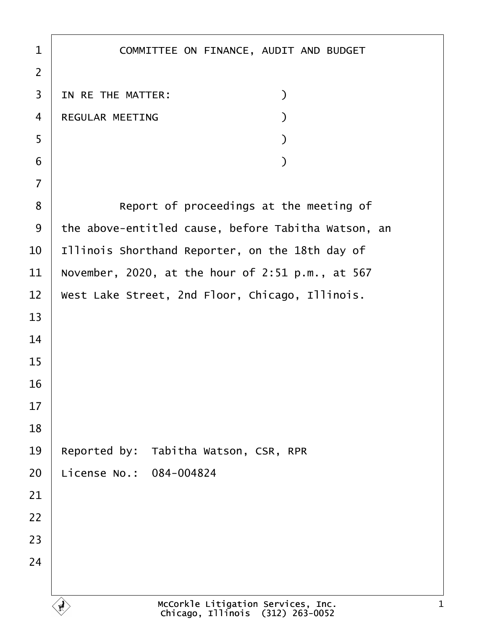| 1              | COMMITTEE ON FINANCE, AUDIT AND BUDGET              |
|----------------|-----------------------------------------------------|
| $\overline{2}$ |                                                     |
| 3              | IN RE THE MATTER:<br>$\mathcal{)}$                  |
| $\overline{4}$ | REGULAR MEETING                                     |
| 5              |                                                     |
| 6              |                                                     |
| $\overline{7}$ |                                                     |
| 8              | Report of proceedings at the meeting of             |
| 9              | the above-entitled cause, before Tabitha Watson, an |
| 10             | Illinois Shorthand Reporter, on the 18th day of     |
| 11             | November, 2020, at the hour of 2:51 p.m., at 567    |
| 12             | West Lake Street, 2nd Floor, Chicago, Illinois.     |
| 13             |                                                     |
| 14             |                                                     |
| 15             |                                                     |
| 16             |                                                     |
| 17             |                                                     |
| 18             |                                                     |
| 19             | Reported by: Tabitha Watson, CSR, RPR               |
| 20             | License No.: 084-004824                             |
| 21             |                                                     |
| 22             |                                                     |
| 23             |                                                     |
| 24             |                                                     |
|                |                                                     |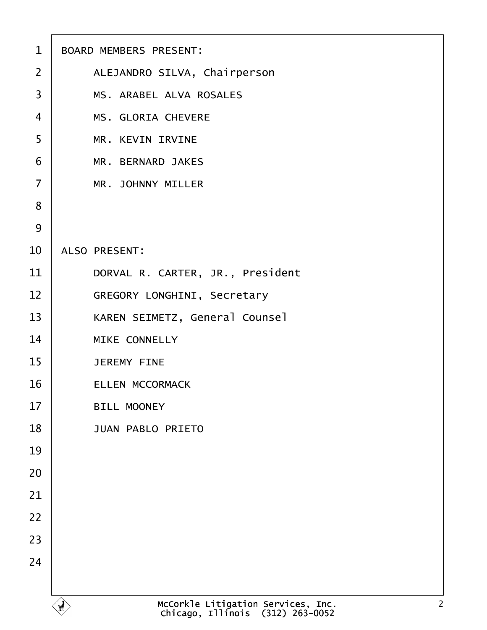| 1              | <b>BOARD MEMBERS PRESENT:</b>         |
|----------------|---------------------------------------|
| $\overline{2}$ | ALEJANDRO SILVA, Chairperson          |
| 3              | <b>MS. ARABEL ALVA ROSALES</b>        |
| 4              | <b>MS. GLORIA CHEVERE</b>             |
| 5              | <b>MR. KEVIN IRVINE</b>               |
| 6              | <b>MR. BERNARD JAKES</b>              |
| $\overline{7}$ | <b>MR. JOHNNY MILLER</b>              |
| 8              |                                       |
| 9              |                                       |
| 10             | <b>ALSO PRESENT:</b>                  |
| 11             | DORVAL R. CARTER, JR., President      |
| 12             | <b>GREGORY LONGHINI, Secretary</b>    |
| 13             | <b>KAREN SEIMETZ, General Counsel</b> |
| 14             | <b>MIKE CONNELLY</b>                  |
| 15             | <b>JEREMY FINE</b>                    |
| 16             | <b>ELLEN MCCORMACK</b>                |
| 17             | <b>BILL MOONEY</b>                    |
| 18             | <b>JUAN PABLO PRIETO</b>              |
| 19             |                                       |
| 20             |                                       |
| 21             |                                       |
| 22             |                                       |
| 23             |                                       |
| 24             |                                       |
|                |                                       |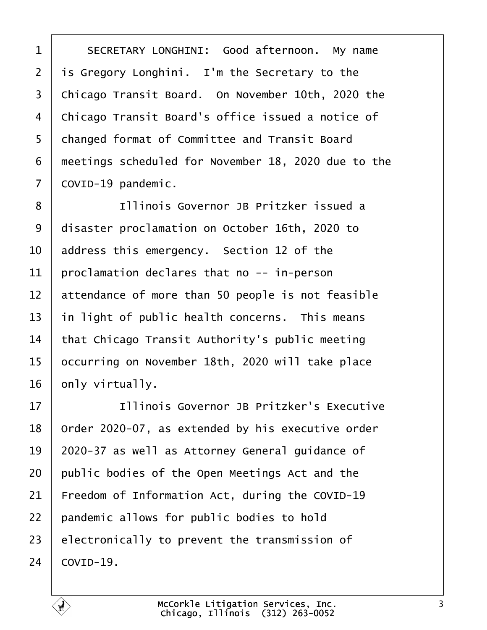| 1              | SECRETARY LONGHINI: Good afternoon. My name         |
|----------------|-----------------------------------------------------|
| $\overline{2}$ | is Gregory Longhini. I'm the Secretary to the       |
| 3              | Chicago Transit Board. On November 10th, 2020 the   |
| 4              | Chicago Transit Board's office issued a notice of   |
| 5              | changed format of Committee and Transit Board       |
| 6              | meetings scheduled for November 18, 2020 due to the |
| 7              | ¢OVID-19 pandemic.                                  |
| 8              | Illinois Governor JB Pritzker issued a              |
| 9              | disaster proclamation on October 16th, 2020 to      |
| 10             | address this emergency. Section 12 of the           |
| 11             | proclamation declares that no -- in-person          |
| 12             | attendance of more than 50 people is not feasible   |
| 13             | in light of public health concerns. This means      |
| 14             | that Chicago Transit Authority's public meeting     |
| 15             | occurring on November 18th, 2020 will take place    |
| 16             | only virtually.                                     |
| 17             | Illinois Governor JB Pritzker's Executive           |
| 18             | Order 2020-07, as extended by his executive order   |
| 19             | 2020-37 as well as Attorney General guidance of     |
| 20             | public bodies of the Open Meetings Act and the      |
| 21             | Freedom of Information Act, during the COVID-19     |
| 22             | pandemic allows for public bodies to hold           |
| 23             | electronically to prevent the transmission of       |
| 24             | COVID-19.                                           |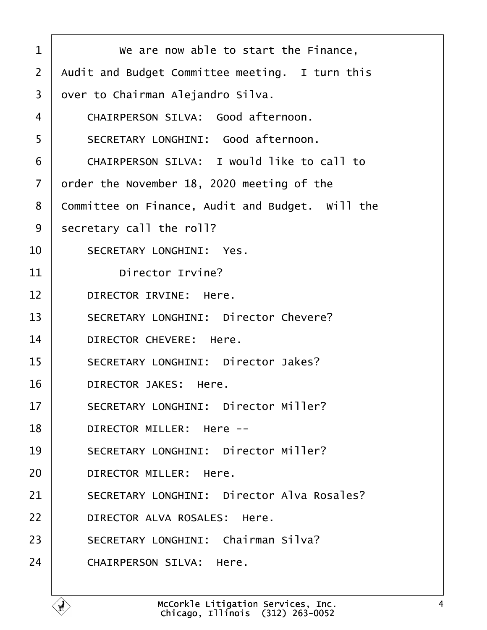| 1  | We are now able to start the Finance,             |
|----|---------------------------------------------------|
| 2  | Audit and Budget Committee meeting. I turn this   |
| 3  | dver to Chairman Alejandro Silva.                 |
| 4  | <b>CHAIRPERSON SILVA: Good afternoon.</b>         |
| 5  | <b>SECRETARY LONGHINI: Good afternoon.</b>        |
| 6  | <b>CHAIRPERSON SILVA: I would like to call to</b> |
| 7  | order the November 18, 2020 meeting of the        |
| 8  | Committee on Finance, Audit and Budget. Will the  |
| 9  | secretary call the roll?                          |
| 10 | <b>SECRETARY LONGHINI: Yes.</b>                   |
| 11 | Director Irvine?                                  |
| 12 | DIRECTOR IRVINE: Here.                            |
| 13 | <b>SECRETARY LONGHINI: Director Chevere?</b>      |
| 14 | DIRECTOR CHEVERE: Here.                           |
| 15 | <b>SECRETARY LONGHINI: Director Jakes?</b>        |
| 16 | <b>DIRECTOR JAKES: Here.</b>                      |
| 17 | <b>SECRETARY LONGHINI: Director Miller?</b>       |
| 18 | <b>DIRECTOR MILLER: Here --</b>                   |
| 19 | <b>SECRETARY LONGHINI: Director Miller?</b>       |
| 20 | DIRECTOR MILLER: Here.                            |
| 21 | <b>SECRETARY LONGHINI: Director Alva Rosales?</b> |
| 22 | DIRECTOR ALVA ROSALES: Here.                      |
| 23 | <b>SECRETARY LONGHINI: Chairman Silva?</b>        |
| 24 | <b>CHAIRPERSON SILVA: Here.</b>                   |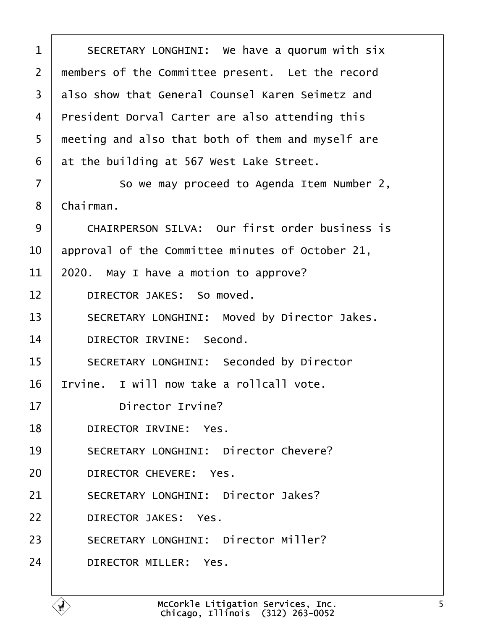| 1              | SECRETARY LONGHINI: We have a quorum with six         |
|----------------|-------------------------------------------------------|
| $\overline{2}$ | members of the Committee present. Let the record      |
| 3              | also show that General Counsel Karen Seimetz and      |
| 4              | President Dorval Carter are also attending this       |
| 5              | meeting and also that both of them and myself are     |
| 6              | at the building at 567 West Lake Street.              |
| 7              | So we may proceed to Agenda Item Number 2,            |
| 8              | Chairman.                                             |
| 9              | <b>CHAIRPERSON SILVA: Our first order business is</b> |
| 10             | approval of the Committee minutes of October 21,      |
| 11             | 2020. May I have a motion to approve?                 |
| 12             | DIRECTOR JAKES: So moved.                             |
| 13             | SECRETARY LONGHINI: Moved by Director Jakes.          |
| 14             | DIRECTOR IRVINE: Second.                              |
| 15             | <b>SECRETARY LONGHINI: Seconded by Director</b>       |
| 16             | rvine. I will now take a rollcall vote.               |
| 17             | Director Irvine?                                      |
| 18             | DIRECTOR IRVINE: Yes.                                 |
| 19             | <b>SECRETARY LONGHINI: Director Chevere?</b>          |
| 20             | DIRECTOR CHEVERE: Yes.                                |
| 21             | <b>SECRETARY LONGHINI: Director Jakes?</b>            |
| 22             | <b>DIRECTOR JAKES: Yes.</b>                           |
| 23             | <b>SECRETARY LONGHINI: Director Miller?</b>           |
| 24             | DIRECTOR MILLER: Yes.                                 |
|                |                                                       |

Г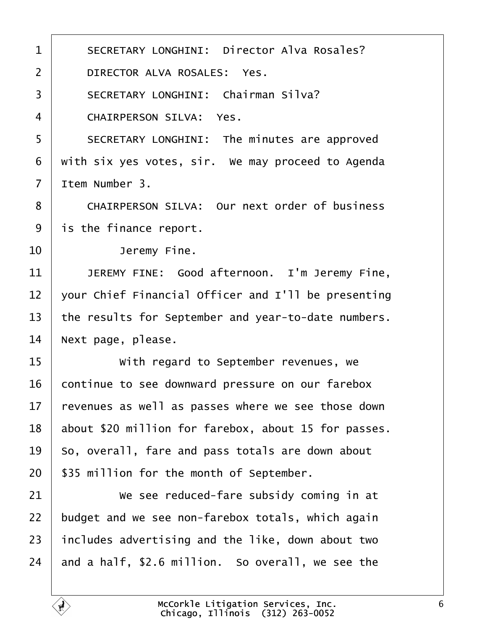| 1              | <b>SECRETARY LONGHINI: Director Alva Rosales?</b>    |
|----------------|------------------------------------------------------|
| $\overline{2}$ | DIRECTOR ALVA ROSALES: Yes.                          |
| 3              | <b>SECRETARY LONGHINI: Chairman Silva?</b>           |
| 4              | <b>CHAIRPERSON SILVA: Yes.</b>                       |
| 5              | SECRETARY LONGHINI: The minutes are approved         |
| 6              | with six yes votes, sir. We may proceed to Agenda    |
| $\overline{7}$ | Item Number 3.                                       |
| 8              | <b>CHAIRPERSON SILVA: Our next order of business</b> |
| 9              | is the finance report.                               |
| 10             | Jeremy Fine.                                         |
| 11             | JEREMY FINE: Good afternoon. I'm Jeremy Fine,        |
| 12             | your Chief Financial Officer and I'll be presenting  |
| 13             | the results for September and year-to-date numbers.  |
| 14             | Next page, please.                                   |
| 15             | With regard to September revenues, we                |
| 16             | continue to see downward pressure on our farebox     |
| 17             | revenues as well as passes where we see those down   |
| 18             | about \$20 million for farebox, about 15 for passes. |
| 19             | So, overall, fare and pass totals are down about     |
| 20             | \$35 million for the month of September.             |
| 21             | We see reduced-fare subsidy coming in at             |
| 22             | budget and we see non-farebox totals, which again    |
| 23             | includes advertising and the like, down about two    |
| 24             | and a half, \$2.6 million. So overall, we see the    |
|                |                                                      |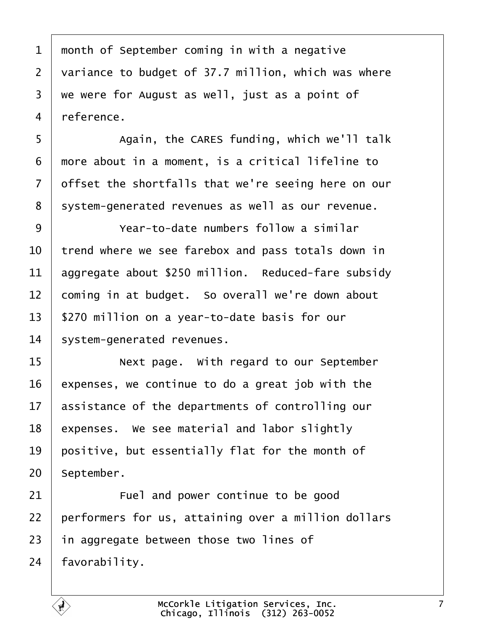| 1  | month of September coming in with a negative        |
|----|-----------------------------------------------------|
| 2  | variance to budget of 37.7 million, which was where |
| 3  | we were for August as well, just as a point of      |
| 4  | reference.                                          |
| 5  | Again, the CARES funding, which we'll talk          |
| 6  | more about in a moment, is a critical lifeline to   |
| 7  | dffset the shortfalls that we're seeing here on our |
| 8  | system-generated revenues as well as our revenue.   |
| 9  | Year-to-date numbers follow a similar               |
| 10 | trend where we see farebox and pass totals down in  |
| 11 | aggregate about \$250 million. Reduced-fare subsidy |
| 12 | coming in at budget. So overall we're down about    |
| 13 | \$270 million on a year-to-date basis for our       |
| 14 | system-generated revenues.                          |
| 15 | Next page. With regard to our September             |
| 16 | expenses, we continue to do a great job with the    |
| 17 | assistance of the departments of controlling our    |
| 18 | expenses. We see material and labor slightly        |
| 19 | positive, but essentially flat for the month of     |
| 20 | September.                                          |
| 21 | Fuel and power continue to be good                  |
| 22 | performers for us, attaining over a million dollars |
| 23 | in aggregate between those two lines of             |
| 24 | favorability.                                       |
|    |                                                     |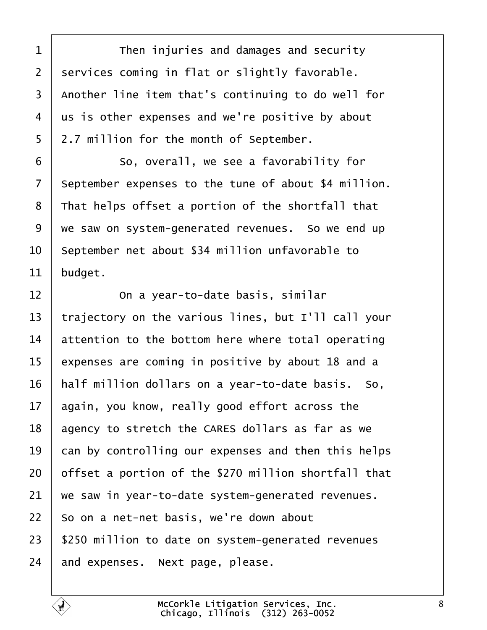| 1               | Then injuries and damages and security               |
|-----------------|------------------------------------------------------|
| $\overline{2}$  | services coming in flat or slightly favorable.       |
| 3               | Another line item that's continuing to do well for   |
| 4               | us is other expenses and we're positive by about     |
| 5               | 2.7 million for the month of September.              |
| 6               | So, overall, we see a favorability for               |
| 7               | September expenses to the tune of about \$4 million. |
| 8               | That helps offset a portion of the shortfall that    |
| 9               | we saw on system-generated revenues. So we end up    |
| 10              | September net about \$34 million unfavorable to      |
| 11              | budget.                                              |
| 12              | On a year-to-date basis, similar                     |
| 13              | trajectory on the various lines, but I'll call your  |
| 14              | attention to the bottom here where total operating   |
| 15              | expenses are coming in positive by about 18 and a    |
| 16              | half million dollars on a year-to-date basis. So,    |
| 17 <sup>1</sup> | again, you know, really good effort across the       |
| 18              | agency to stretch the CARES dollars as far as we     |
| 19              | can by controlling our expenses and then this helps  |
| 20              | offset a portion of the \$270 million shortfall that |
| 21              | we saw in year-to-date system-generated revenues.    |
| 22              | So on a net-net basis, we're down about              |
| 23              | \$250 million to date on system-generated revenues   |
| 24              | and expenses. Next page, please.                     |
|                 |                                                      |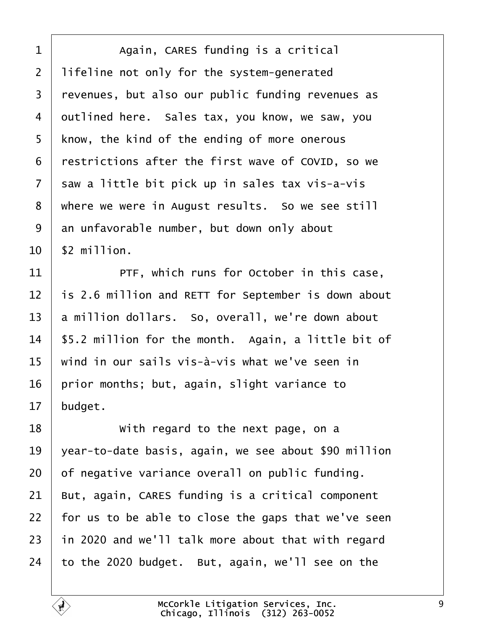| 1              | Again, CARES funding is a critical                   |
|----------------|------------------------------------------------------|
| $\overline{2}$ | lifeline not only for the system-generated           |
| 3              | revenues, but also our public funding revenues as    |
| 4              | dutlined here. Sales tax, you know, we saw, you      |
| 5              | know, the kind of the ending of more onerous         |
| 6              | restrictions after the first wave of COVID, so we    |
| 7              | saw a little bit pick up in sales tax vis-a-vis      |
| 8              | where we were in August results. So we see still     |
| 9              | an unfavorable number, but down only about           |
| 10             | \$2 million.                                         |
| 11             | PTF, which runs for October in this case,            |
| 12             | is 2.6 million and RETT for September is down about  |
| 13             | a million dollars. So, overall, we're down about     |
| 14             | \$5.2 million for the month. Again, a little bit of  |
| 15             | wind in our sails vis-à-vis what we've seen in       |
| 16             | prior months; but, again, slight variance to         |
| 17             | budget.                                              |
| 18             | With regard to the next page, on a                   |
| 19             | year-to-date basis, again, we see about \$90 million |
| 20             | of negative variance overall on public funding.      |
| 21             | But, again, CARES funding is a critical component    |
| 22             | for us to be able to close the gaps that we've seen  |
| 23             | in 2020 and we'll talk more about that with regard   |
| 24             | to the 2020 budget. But, again, we'll see on the     |

Г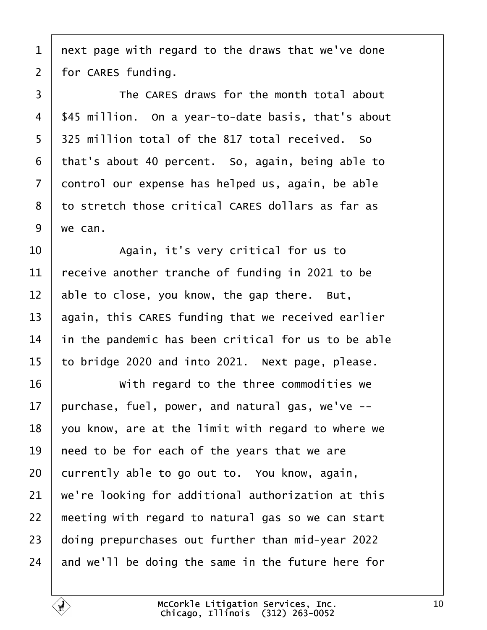1 next page with regard to the draws that we've done

2 for CARES funding.

3 **Fig. 7** The CARES draws for the month total about 4 \$45 million. On a year-to-date basis, that's about 5 325 million total of the 817 total received. So 6 that's about 40 percent. So, again, being able to 7 dontrol our expense has helped us, again, be able 8 to stretch those critical CARES dollars as far as 9 we can. 10 | Again, it's very critical for us to 11  $\frac{1}{2}$  receive another tranche of funding in 2021 to be 12 able to close, you know, the gap there. But, 13 again, this CARES funding that we received earlier 14 in the pandemic has been critical for us to be able 15 to bridge 2020 and into 2021. Next page, please. 16 **With regard to the three commodities we** 17 purchase, fuel, power, and natural gas, we've --18  $\sqrt{v}$  you know, are at the limit with regard to where we 19 heed to be for each of the years that we are 20 currently able to go out to. You know, again, 21 we're looking for additional authorization at this 22 meeting with regard to natural gas so we can start 23 doing prepurchases out further than mid-year 2022 24 and we'll be doing the same in the future here for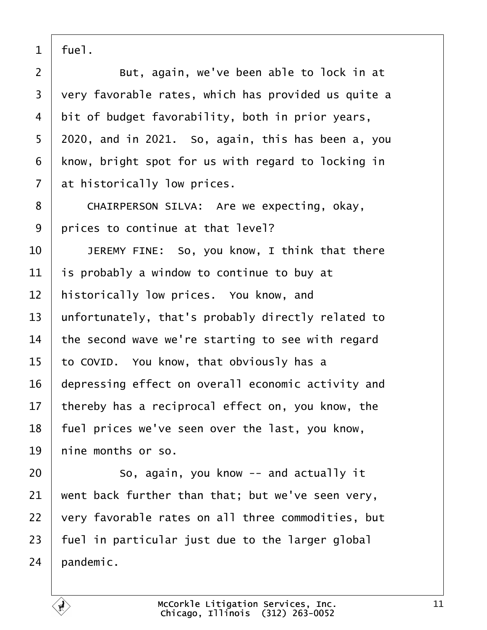1 fuel.  $2 \mid$  But, again, we've been able to lock in at 3 very favorable rates, which has provided us quite a 4 bit of budget favorability, both in prior years, 5 2020, and in 2021. So, again, this has been a, you 6 know, bright spot for us with regard to locking in 7 at historically low prices. 8 | CHAIRPERSON SILVA: Are we expecting, okay, 9 prices to continue at that level? 10 | JEREMY FINE: So, you know, I think that there 11 is probably a window to continue to buy at 12 historically low prices. You know, and 13 unfortunately, that's probably directly related to 14 the second wave we're starting to see with regard 15 to COVID. You know, that obviously has a 16 depressing effect on overall economic activity and 17 thereby has a reciprocal effect on, you know, the 18 fuel prices we've seen over the last, you know, 19 hine months or so.  $20$   $\sim$  So, again, you know -- and actually it 21 went back further than that; but we've seen very, 22  $\sqrt{v}$  very favorable rates on all three commodities, but 23 fuel in particular just due to the larger global 24 bandemic.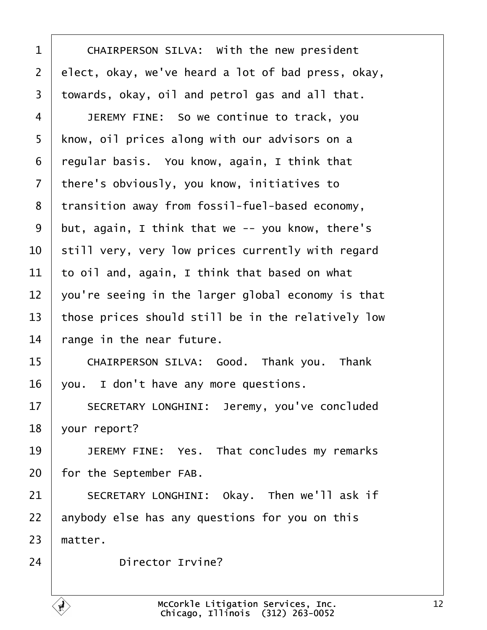| 1              | CHAIRPERSON SILVA: With the new president          |
|----------------|----------------------------------------------------|
| $\overline{2}$ | elect, okay, we've heard a lot of bad press, okay, |
| 3              | towards, okay, oil and petrol gas and all that.    |
| 4              | JEREMY FINE: So we continue to track, you          |
| 5              | know, oil prices along with our advisors on a      |
| 6              | regular basis. You know, again, I think that       |
| 7              | there's obviously, you know, initiatives to        |
| 8              | transition away from fossil-fuel-based economy,    |
| 9              | but, again, I think that we -- you know, there's   |
| 10             | still very, very low prices currently with regard  |
| 11             | to oil and, again, I think that based on what      |
| 12             | you're seeing in the larger global economy is that |
| 13             | those prices should still be in the relatively low |
| 14             | tange in the near future.                          |
| 15             | CHAIRPERSON SILVA: Good. Thank you. Thank          |
| 16             | you. I don't have any more questions.              |
| 17             | SECRETARY LONGHINI: Jeremy, you've concluded       |
| 18             | your report?                                       |
| 19             | JEREMY FINE: Yes. That concludes my remarks        |
| 20             | for the September FAB.                             |
| 21             | SECRETARY LONGHINI: Okay. Then we'll ask if        |
| 22             | anybody else has any questions for you on this     |
| 23             | matter.                                            |
| 24             | <b>Director Irvine?</b>                            |
|                |                                                    |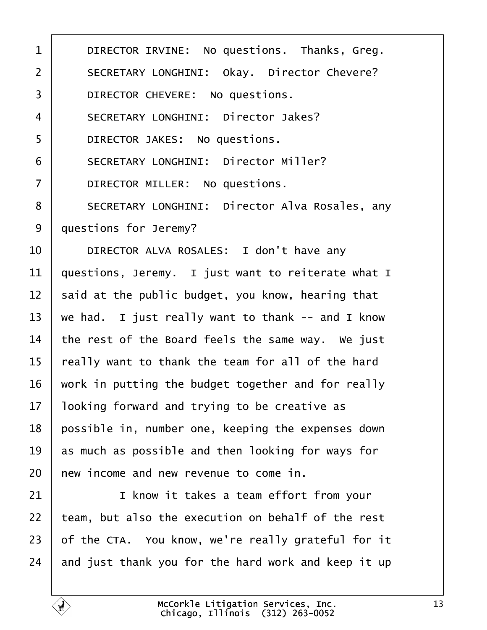| 1              | DIRECTOR IRVINE: No questions. Thanks, Greg.          |
|----------------|-------------------------------------------------------|
| 2              | <b>SECRETARY LONGHINI: Okay. Director Chevere?</b>    |
| 3              | DIRECTOR CHEVERE: No questions.                       |
| 4              | <b>SECRETARY LONGHINI: Director Jakes?</b>            |
| 5              | DIRECTOR JAKES: No questions.                         |
| 6              | <b>SECRETARY LONGHINI: Director Miller?</b>           |
| $\overline{7}$ | DIRECTOR MILLER: No questions.                        |
| 8              | <b>SECRETARY LONGHINI: Director Alva Rosales, any</b> |
| 9              | questions for Jeremy?                                 |
| 10             | DIRECTOR ALVA ROSALES: I don't have any               |
| 11             | questions, Jeremy. I just want to reiterate what I    |
| 12             | said at the public budget, you know, hearing that     |
| 13             | we had. I just really want to thank -- and I know     |
| 14             | the rest of the Board feels the same way. We just     |
| 15             | eally want to thank the team for all of the hard      |
| 16             | work in putting the budget together and for really    |
| 17             | looking forward and trying to be creative as          |
| 18             | possible in, number one, keeping the expenses down    |
| 19             | as much as possible and then looking for ways for     |
| 20             | hew income and new revenue to come in.                |
| 21             | I know it takes a team effort from your               |
| 22             | team, but also the execution on behalf of the rest    |
| 23             | of the CTA. You know, we're really grateful for it    |
| 24             | and just thank you for the hard work and keep it up   |
|                |                                                       |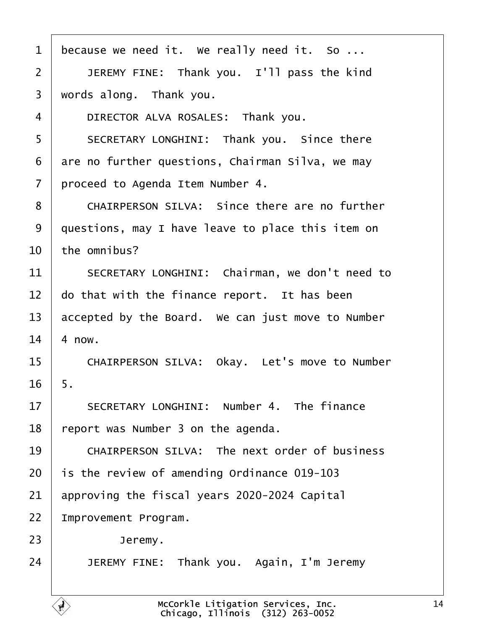| 1  | because we need it. We really need it. So            |
|----|------------------------------------------------------|
| 2  | JEREMY FINE: Thank you. I'll pass the kind           |
| 3  | words along. Thank you.                              |
| 4  | DIRECTOR ALVA ROSALES: Thank you.                    |
| 5  | SECRETARY LONGHINI: Thank you. Since there           |
| 6  | are no further questions, Chairman Silva, we may     |
| 7  | proceed to Agenda Item Number 4.                     |
| 8  | <b>CHAIRPERSON SILVA: Since there are no further</b> |
| 9  | questions, may I have leave to place this item on    |
| 10 | the omnibus?                                         |
| 11 | SECRETARY LONGHINI: Chairman, we don't need to       |
| 12 | do that with the finance report. It has been         |
| 13 | accepted by the Board. We can just move to Number    |
| 14 | 4 now.                                               |
| 15 | CHAIRPERSON SILVA: Okay. Let's move to Number        |
| 16 | 5.                                                   |
| 17 | SECRETARY LONGHINI: Number 4. The finance            |
| 18 | report was Number 3 on the agenda.                   |
| 19 | <b>CHAIRPERSON SILVA: The next order of business</b> |
| 20 | is the review of amending Ordinance 019-103          |
| 21 | approving the fiscal years 2020-2024 Capital         |
| 22 | mprovement Program.                                  |
| 23 | Jeremy.                                              |
| 24 | JEREMY FINE: Thank you. Again, I'm Jeremy            |
|    |                                                      |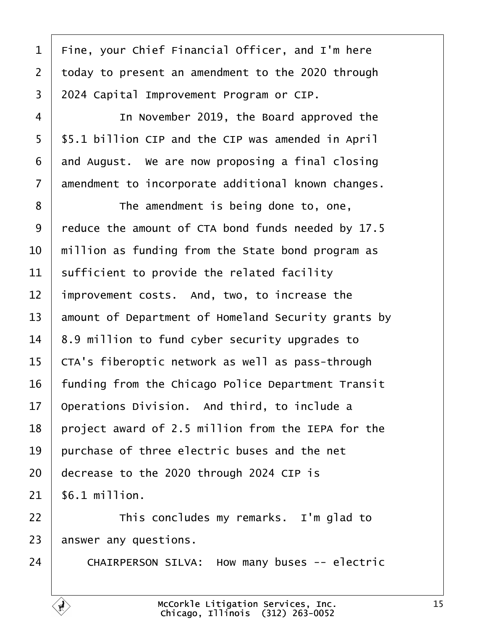| 1               | Fine, your Chief Financial Officer, and I'm here    |
|-----------------|-----------------------------------------------------|
| $\overline{2}$  | today to present an amendment to the 2020 through   |
| 3               | 2024 Capital Improvement Program or CIP.            |
| 4               | In November 2019, the Board approved the            |
| 5               | \$5.1 billion CIP and the CIP was amended in April  |
| 6               | and August. We are now proposing a final closing    |
| 7               | amendment to incorporate additional known changes.  |
| 8               | The amendment is being done to, one,                |
| 9               | reduce the amount of CTA bond funds needed by 17.5  |
| 10              | million as funding from the State bond program as   |
| 11              | sufficient to provide the related facility          |
| 12              | improvement costs. And, two, to increase the        |
| 13              | amount of Department of Homeland Security grants by |
| 14              | 8.9 million to fund cyber security upgrades to      |
| 15              | CTA's fiberoptic network as well as pass-through    |
| 16              | funding from the Chicago Police Department Transit  |
| 17 <sub>2</sub> | Operations Division. And third, to include a        |
| 18              | project award of 2.5 million from the IEPA for the  |
| 19              | purchase of three electric buses and the net        |
| 20              | decrease to the 2020 through 2024 CIP is            |
| 21              | \$6.1 million.                                      |
| 22              | This concludes my remarks. I'm glad to              |
| 23              | answer any questions.                               |
| 24              | CHAIRPERSON SILVA: How many buses -- electric       |
|                 |                                                     |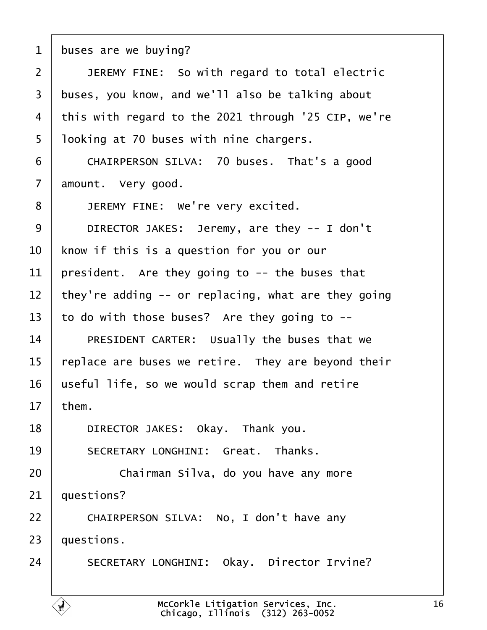1 buses are we buying?  $2$  | JEREMY FINE: So with regard to total electric 3 buses, you know, and we'll also be talking about 4 this with regard to the 2021 through '25 CIP, we're 5 looking at 70 buses with nine chargers.  $6$  / CHAIRPERSON SILVA: 70 buses. That's a good 7 amount. Very good. 8 | JEREMY FINE: We're very excited. 9 | DIRECTOR JAKES: Jeremy, are they -- I don't 10 know if this is a question for you or our 11 president. Are they going to -- the buses that 12 they're adding  $-$  or replacing, what are they going 13 to do with those buses? Are they going to --14 | PRESIDENT CARTER: Usually the buses that we 15 replace are buses we retire. They are beyond their 16 useful life, so we would scrap them and retire 17  $then.$ 18 | DIRECTOR JAKES: Okay. Thank you. 19 | SECRETARY LONGHINI: Great. Thanks. 20 **Chairman Silva, do you have any more** 21 duestions? 22 | CHAIRPERSON SILVA: No, I don't have any 23 *questions.* 24 | SECRETARY LONGHINI: Okay. Director Irvine?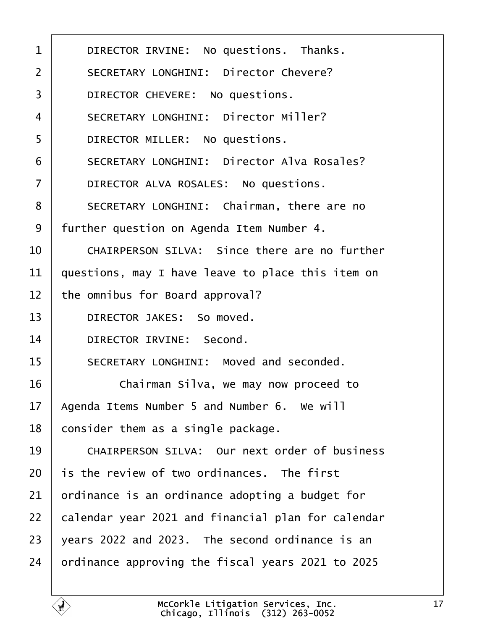| 1              | DIRECTOR IRVINE: No questions. Thanks.               |
|----------------|------------------------------------------------------|
| 2              | <b>SECRETARY LONGHINI: Director Chevere?</b>         |
| 3              | DIRECTOR CHEVERE: No questions.                      |
| 4              | <b>SECRETARY LONGHINI: Director Miller?</b>          |
| 5              | DIRECTOR MILLER: No questions.                       |
| 6              | <b>SECRETARY LONGHINI: Director Alva Rosales?</b>    |
| $\overline{7}$ | DIRECTOR ALVA ROSALES: No questions.                 |
| 8              | SECRETARY LONGHINI: Chairman, there are no           |
| 9              | further question on Agenda Item Number 4.            |
| 10             | CHAIRPERSON SILVA: Since there are no further        |
| 11             | questions, may I have leave to place this item on    |
| 12             | the omnibus for Board approval?                      |
| 13             | DIRECTOR JAKES: So moved.                            |
| 14             | DIRECTOR IRVINE: Second.                             |
| 15             | SECRETARY LONGHINI: Moved and seconded.              |
| 16             | Chairman Silva, we may now proceed to                |
| 17             | Agenda Items Number 5 and Number 6. We will          |
| 18             | consider them as a single package.                   |
| 19             | <b>CHAIRPERSON SILVA: Our next order of business</b> |
| 20             | is the review of two ordinances. The first           |
| 21             | ordinance is an ordinance adopting a budget for      |
| 22             | calendar year 2021 and financial plan for calendar   |
| 23             | years 2022 and 2023. The second ordinance is an      |
| 24             | ordinance approving the fiscal years 2021 to 2025    |
|                |                                                      |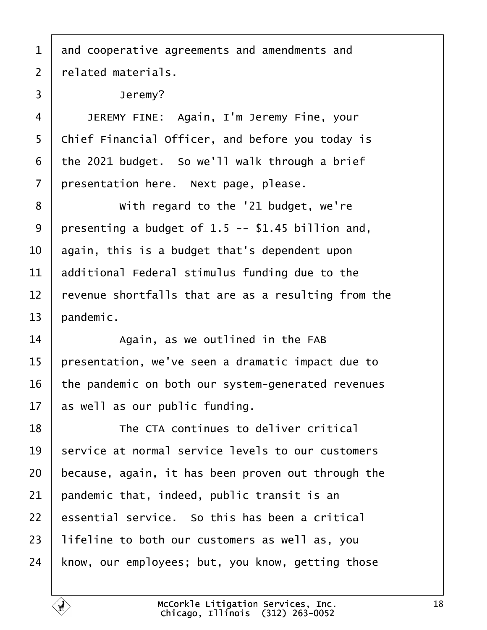- 1 and cooperative agreements and amendments and
- 2 related materials.
- 3 | Jeremy?
- 4 | JEREMY FINE: Again, I'm Jeremy Fine, your
- 5 Chief Financial Officer, and before you today is
- 6 the 2021 budget. So we'll walk through a brief
- 7 presentation here. Next page, please.
- 8 **With regard to the '21 budget, we're**
- 9 presenting a budget of 1.5 -- \$1.45 billion and,
- 10 again, this is a budget that's dependent upon
- 11 additional Federal stimulus funding due to the
- 12 revenue shortfalls that are as a resulting from the
- 13 bandemic.
- $14$   $\parallel$  Again, as we outlined in the FAB
- 15 presentation, we've seen a dramatic impact due to
- 16 the pandemic on both our system-generated revenues
- 17 as well as our public funding.
- 18 **The CTA continues to deliver critical**
- 19 service at normal service levels to our customers
- 20 because, again, it has been proven out through the
- 21 pandemic that, indeed, public transit is an
- 22 essential service. So this has been a critical
- 23 lifeline to both our customers as well as, you
- 24 know, our employees; but, you know, getting those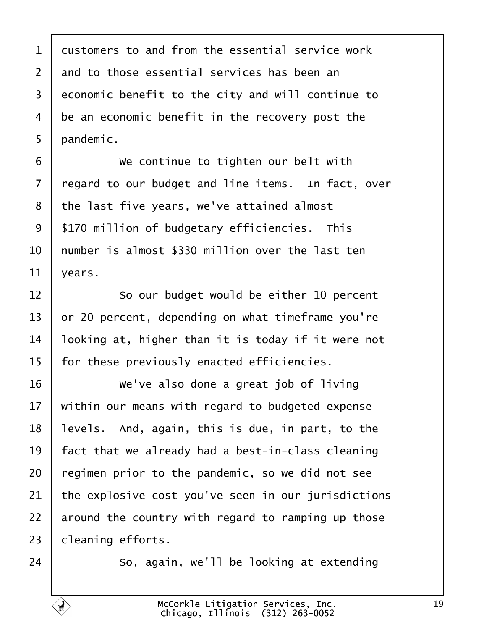| $\mathbf 1$ | dustomers to and from the essential service work    |
|-------------|-----------------------------------------------------|
| 2           | and to those essential services has been an         |
| 3           | economic benefit to the city and will continue to   |
| 4           | be an economic benefit in the recovery post the     |
| 5           | pandemic.                                           |
| 6           | We continue to tighten our belt with                |
| 7           | regard to our budget and line items. In fact, over  |
| 8           | the last five years, we've attained almost          |
| 9           | \$170 million of budgetary efficiencies. This       |
| 10          | humber is almost \$330 million over the last ten    |
| 11          | years.                                              |
| 12          | So our budget would be either 10 percent            |
| 13          | or 20 percent, depending on what timeframe you're   |
| 14          | looking at, higher than it is today if it were not  |
| 15          | for these previously enacted efficiencies.          |
| 16          | We've also done a great job of living               |
| 17          | within our means with regard to budgeted expense    |
| 18          | levels. And, again, this is due, in part, to the    |
| 19          | fact that we already had a best-in-class cleaning   |
| 20          | regimen prior to the pandemic, so we did not see    |
| 21          | the explosive cost you've seen in our jurisdictions |
| 22          | around the country with regard to ramping up those  |
| 23          | cleaning efforts.                                   |
| 24          | So, again, we'll be looking at extending            |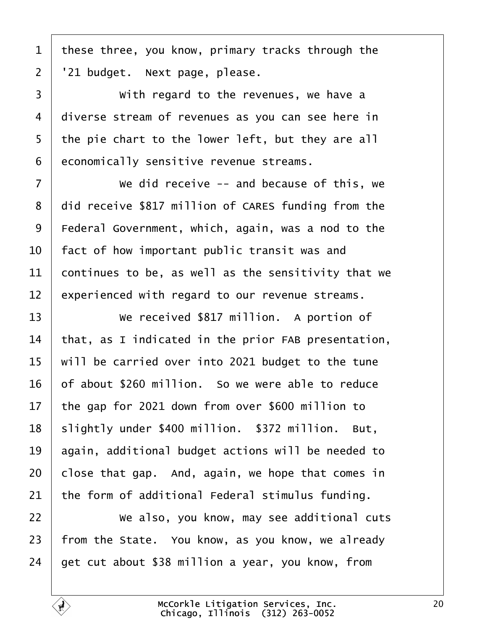1 these three, you know, primary tracks through the 2 '21 budget. Next page, please. 3 | With regard to the revenues, we have a 4 diverse stream of revenues as you can see here in 5 the pie chart to the lower left, but they are all 6 economically sensitive revenue streams. 7 **We did receive -- and because of this, we** 8 did receive \$817 million of CARES funding from the 9 Federal Government, which, again, was a nod to the 10 fact of how important public transit was and 11 **Continues to be, as well as the sensitivity that we** 12 experienced with regard to our revenue streams. 13 • We received \$817 million. A portion of 14 that, as I indicated in the prior FAB presentation, 15 will be carried over into 2021 budget to the tune 16 b f about \$260 million. So we were able to reduce 17 the gap for 2021 down from over \$600 million to 18 slightly under \$400 million. \$372 million. But, 19 again, additional budget actions will be needed to 20 close that gap. And, again, we hope that comes in 21 the form of additional Federal stimulus funding. 22 • We also, you know, may see additional cuts 23 from the State. You know, as you know, we already 24 det cut about \$38 million a year, you know, from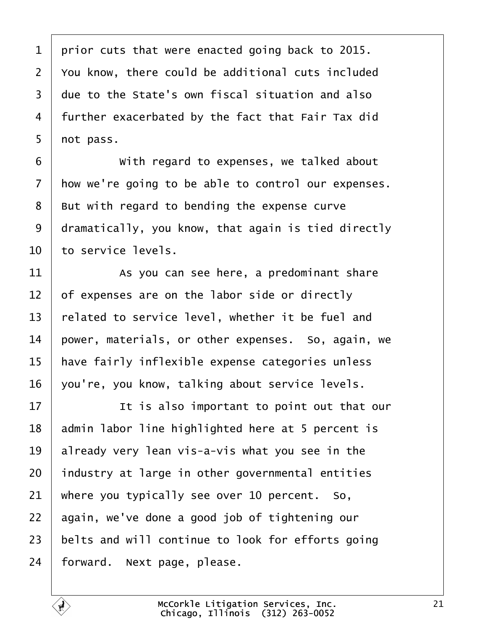1 prior cuts that were enacted going back to 2015. 2 You know, there could be additional cuts included 3 due to the State's own fiscal situation and also 4 further exacerbated by the fact that Fair Tax did 5 not pass. 6 **With regard to expenses, we talked about** 7 how we're going to be able to control our expenses. 8 But with regard to bending the expense curve 9 dramatically, you know, that again is tied directly 10 to service levels. 11 As you can see here, a predominant share 12 of expenses are on the labor side or directly 13 related to service level, whether it be fuel and 14 power, materials, or other expenses. So, again, we 15 have fairly inflexible expense categories unless 16 you're, you know, talking about service levels. 17 **I** is also important to point out that our 18 **admin labor line highlighted here at 5 percent is** 19  $\mu$  already very lean vis-a-vis what you see in the 20 industry at large in other governmental entities 21 where you typically see over 10 percent. So, 22 again, we've done a good job of tightening our 23 belts and will continue to look for efforts going 24 forward. Next page, please.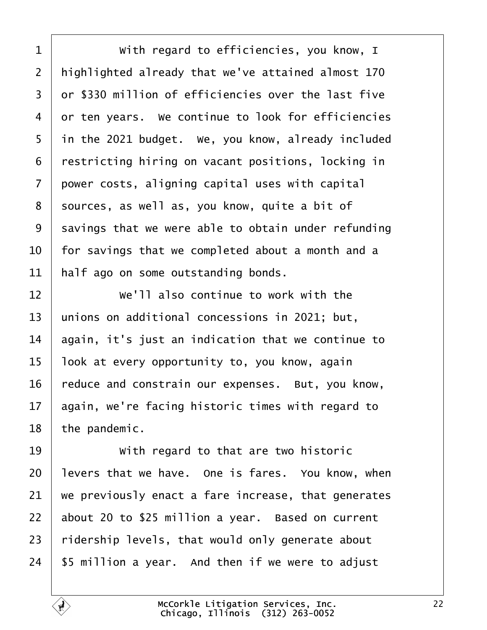| 1  | With regard to efficiencies, you know, I            |
|----|-----------------------------------------------------|
| 2  | highlighted already that we've attained almost 170  |
| 3  | dr \$330 million of efficiencies over the last five |
| 4  | or ten years. We continue to look for efficiencies  |
| 5  | in the 2021 budget. We, you know, already included  |
| 6  | restricting hiring on vacant positions, locking in  |
| 7  | power costs, aligning capital uses with capital     |
| 8  | sources, as well as, you know, quite a bit of       |
| 9  | savings that we were able to obtain under refunding |
| 10 | for savings that we completed about a month and a   |
| 11 | half ago on some outstanding bonds.                 |
| 12 | We'll also continue to work with the                |
| 13 | unions on additional concessions in 2021; but,      |
| 14 | again, it's just an indication that we continue to  |
| 15 | look at every opportunity to, you know, again       |
| 16 | feduce and constrain our expenses. But, you know,   |
| 17 | again, we're facing historic times with regard to   |
| 18 | the pandemic.                                       |
| 19 | With regard to that are two historic                |
| 20 | levers that we have. One is fares. You know, when   |
| 21 | we previously enact a fare increase, that generates |
| 22 | about 20 to \$25 million a year. Based on current   |
| 23 | ridership levels, that would only generate about    |
| 24 | \$5 million a year. And then if we were to adjust   |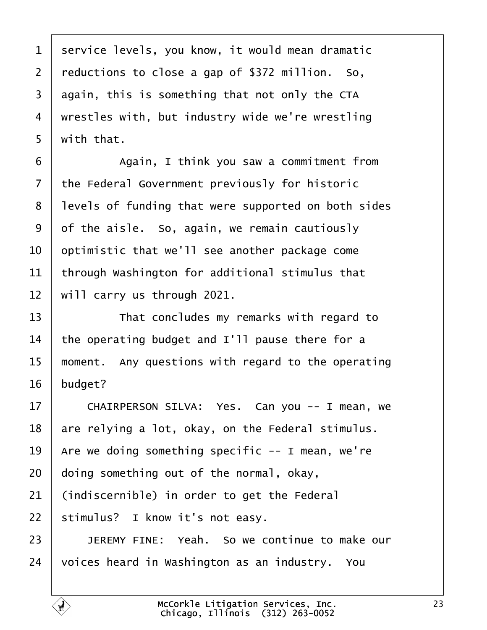| 1              | service levels, you know, it would mean dramatic    |
|----------------|-----------------------------------------------------|
| 2              | reductions to close a gap of \$372 million. So,     |
| 3              | again, this is something that not only the CTA      |
| 4              | wrestles with, but industry wide we're wrestling    |
| 5              | with that.                                          |
| 6              | Again, I think you saw a commitment from            |
| $\overline{7}$ | the Federal Government previously for historic      |
| 8              | levels of funding that were supported on both sides |
| 9              | of the aisle. So, again, we remain cautiously       |
| 10             | optimistic that we'll see another package come      |
| 11             | through Washington for additional stimulus that     |
| 12             | will carry us through 2021.                         |
| 13             | That concludes my remarks with regard to            |
| 14             | the operating budget and I'll pause there for a     |
| 15             | moment. Any questions with regard to the operating  |
| 16             | budget?                                             |
| 17             | CHAIRPERSON SILVA: Yes. Can you -- I mean, we       |
| 18             | are relying a lot, okay, on the Federal stimulus.   |
| 19             | Are we doing something specific -- I mean, we're    |
| 20             | doing something out of the normal, okay,            |
| 21             | (indiscernible) in order to get the Federal         |
| 22             | stimulus? I know it's not easy.                     |
| 23             | JEREMY FINE: Yeah. So we continue to make our       |
| 24             | voices heard in Washington as an industry. You      |
|                |                                                     |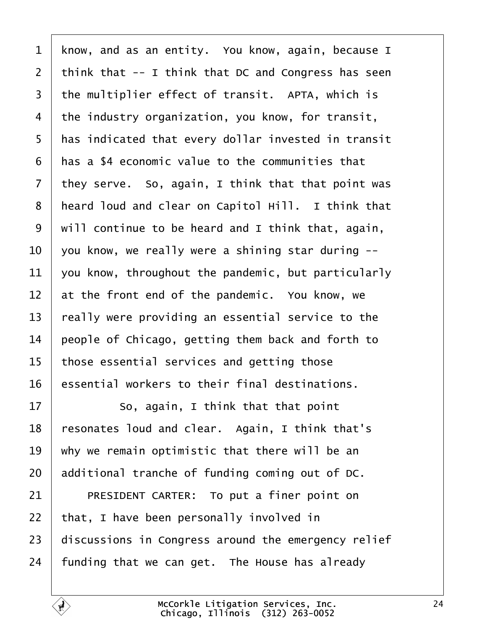| $\mathbf{1}$   | know, and as an entity. You know, again, because I  |
|----------------|-----------------------------------------------------|
| 2              | think that -- I think that DC and Congress has seen |
| 3              | the multiplier effect of transit. APTA, which is    |
| 4              | the industry organization, you know, for transit,   |
| 5              | has indicated that every dollar invested in transit |
| 6              | has a \$4 economic value to the communities that    |
| $\overline{7}$ | they serve. So, again, I think that that point was  |
| 8              | heard loud and clear on Capitol Hill. I think that  |
| 9              | will continue to be heard and I think that, again,  |
| 10             | you know, we really were a shining star during --   |
| 11             | you know, throughout the pandemic, but particularly |
| 12             | at the front end of the pandemic. You know, we      |
| 13             | really were providing an essential service to the   |
| 14             | people of Chicago, getting them back and forth to   |
| 15             | those essential services and getting those          |
| 16             | essential workers to their final destinations.      |
| 17             | So, again, I think that that point                  |
| 18             | resonates loud and clear. Again, I think that's     |
| 19             | why we remain optimistic that there will be an      |
| 20             | additional tranche of funding coming out of DC.     |
| 21             | PRESIDENT CARTER: To put a finer point on           |
| 22             | that, I have been personally involved in            |
| 23             | discussions in Congress around the emergency relief |
| 24             | funding that we can get. The House has already      |
|                |                                                     |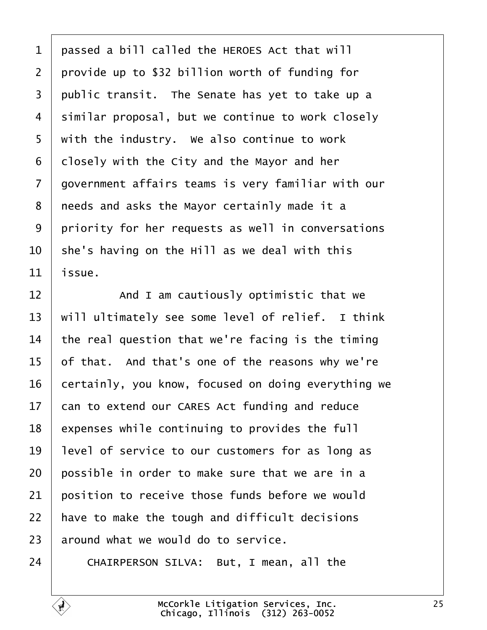1 passed a bill called the HEROES Act that will 2 provide up to \$32 billion worth of funding for 3 public transit. The Senate has yet to take up a 4 similar proposal, but we continue to work closely 5 with the industry. We also continue to work 6 dlosely with the City and the Mayor and her 7 dovernment affairs teams is very familiar with our 8 needs and asks the Mayor certainly made it a 9 priority for her requests as well in conversations 10 she's having on the Hill as we deal with this 11 *issue.* 12 **And I am cautiously optimistic that we** 13 will ultimately see some level of relief. I think 14 the real question that we're facing is the timing 15 of that. And that's one of the reasons why we're 16 certainly, you know, focused on doing everything we 17 can to extend our CARES Act funding and reduce 18 expenses while continuing to provides the full 19 level of service to our customers for as long as 20 bossible in order to make sure that we are in a 21 bosition to receive those funds before we would 22 have to make the tough and difficult decisions 23 around what we would do to service. 24 CHAIRPERSON SILVA: But, I mean, all the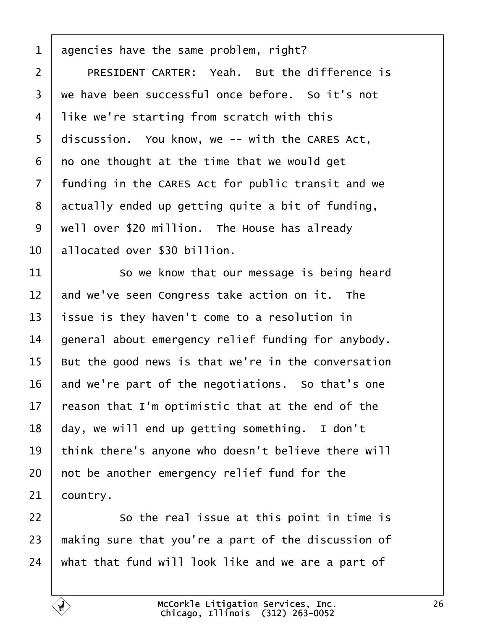| 1              | agencies have the same problem, right?              |
|----------------|-----------------------------------------------------|
| $\overline{2}$ | PRESIDENT CARTER: Yeah. But the difference is       |
| 3              | we have been successful once before. So it's not    |
| 4              | like we're starting from scratch with this          |
| 5              | discussion. You know, we -- with the CARES Act,     |
| 6              | no one thought at the time that we would get        |
| $\overline{7}$ | funding in the CARES Act for public transit and we  |
| 8              | actually ended up getting quite a bit of funding,   |
| 9              | well over \$20 million. The House has already       |
| 10             | allocated over \$30 billion.                        |
| 11             | So we know that our message is being heard          |
| 12             | and we've seen Congress take action on it. The      |
| 13             | ssue is they haven't come to a resolution in        |
| 14             | general about emergency relief funding for anybody. |
| 15             | But the good news is that we're in the conversation |
| 16             | and we're part of the negotiations. So that's one   |
| 17             | reason that I'm optimistic that at the end of the   |
| 18             | day, we will end up getting something. I don't      |
| 19             | think there's anyone who doesn't believe there will |
| 20             | not be another emergency relief fund for the        |
| 21             | country.                                            |
| 22             | So the real issue at this point in time is          |
| 23             | making sure that you're a part of the discussion of |
| 24             | what that fund will look like and we are a part of  |
|                |                                                     |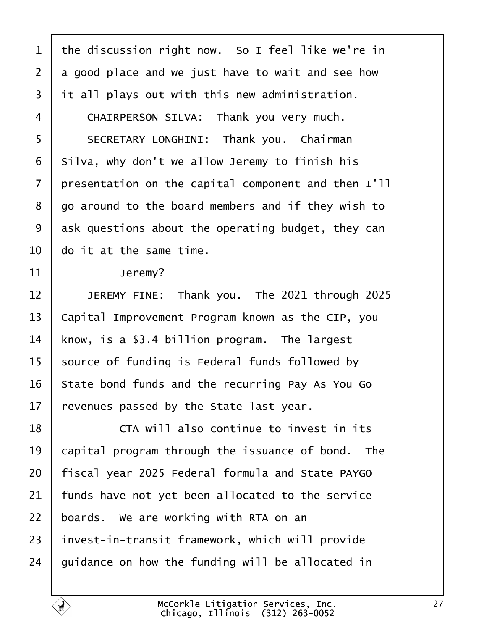| 1              | the discussion right now. So I feel like we're in   |
|----------------|-----------------------------------------------------|
| $\overline{2}$ | a good place and we just have to wait and see how   |
| 3              | it all plays out with this new administration.      |
| 4              | CHAIRPERSON SILVA: Thank you very much.             |
| 5              | SECRETARY LONGHINI: Thank you. Chairman             |
| 6              | Silva, why don't we allow Jeremy to finish his      |
| 7              | presentation on the capital component and then I'll |
| 8              | go around to the board members and if they wish to  |
| 9              | ask questions about the operating budget, they can  |
| 10             | do it at the same time.                             |
| 11             | Jeremy?                                             |
| 12             | JEREMY FINE: Thank you. The 2021 through 2025       |
| 13             | Capital Improvement Program known as the CIP, you   |
| 14             | know, is a \$3.4 billion program. The largest       |
| 15             | source of funding is Federal funds followed by      |
| 16             | State bond funds and the recurring Pay As You Go    |
| 17             | revenues passed by the State last year.             |
| 18             | CTA will also continue to invest in its             |
| 19             | capital program through the issuance of bond. The   |
| 20             | fiscal year 2025 Federal formula and State PAYGO    |
| 21             | funds have not yet been allocated to the service    |
| 22             | boards. We are working with RTA on an               |
| 23             | invest-in-transit framework, which will provide     |
| 24             | guidance on how the funding will be allocated in    |
|                |                                                     |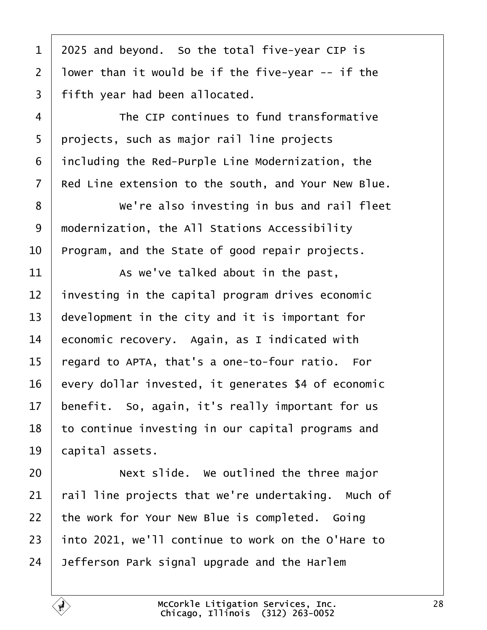| $\mathbf 1$    | 2025 and beyond. So the total five-year CIP is      |
|----------------|-----------------------------------------------------|
| $\overline{2}$ | Iower than it would be if the five-year -- if the   |
| 3              | fifth year had been allocated.                      |
| 4              | The CIP continues to fund transformative            |
| 5              | projects, such as major rail line projects          |
| 6              | including the Red-Purple Line Modernization, the    |
| 7              | Red Line extension to the south, and Your New Blue. |
| 8              | We're also investing in bus and rail fleet          |
| 9              | modernization, the All Stations Accessibility       |
| 10             | Program, and the State of good repair projects.     |
| 11             | As we've talked about in the past,                  |
| 12             | investing in the capital program drives economic    |
| 13             | development in the city and it is important for     |
| 14             | economic recovery. Again, as I indicated with       |
| 15             | regard to APTA, that's a one-to-four ratio. For     |
| 16             | every dollar invested, it generates \$4 of economic |
| 17             | benefit. So, again, it's really important for us    |
| 18             | to continue investing in our capital programs and   |
| 19             | capital assets.                                     |
| 20             | Next slide. We outlined the three major             |
| 21             | rail line projects that we're undertaking. Much of  |
| 22             | the work for Your New Blue is completed. Going      |
| 23             | into 2021, we'll continue to work on the O'Hare to  |
| 24             | Jefferson Park signal upgrade and the Harlem        |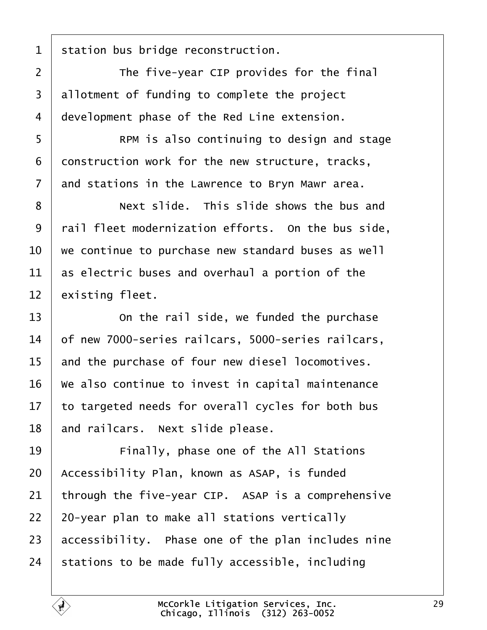1 station bus bridge reconstruction.  $2 \mid$  The five-year CIP provides for the final 3 allotment of funding to complete the project 4 development phase of the Red Line extension. 5 **Fig. 8** RPM is also continuing to design and stage 6 donstruction work for the new structure, tracks, 7 and stations in the Lawrence to Bryn Mawr area. 8 **Next slide.** This slide shows the bus and 9 rail fleet modernization efforts. On the bus side, 10 we continue to purchase new standard buses as well 11 as electric buses and overhaul a portion of the 12 existing fleet.  $13$   $\Box$  On the rail side, we funded the purchase 14 bf new 7000-series railcars, 5000-series railcars, 15 and the purchase of four new diesel locomotives. 16 We also continue to invest in capital maintenance 17 to targeted needs for overall cycles for both bus 18 and railcars. Next slide please. 19 **Finally, phase one of the All Stations** 20 Accessibility Plan, known as ASAP, is funded 21 through the five-year CIP. ASAP is a comprehensive 22 20-year plan to make all stations vertically 23 accessibility. Phase one of the plan includes nine 24 stations to be made fully accessible, including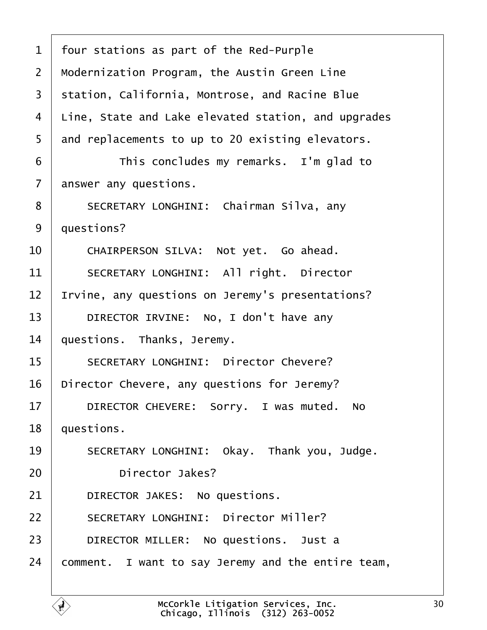| $\mathbf 1$    | four stations as part of the Red-Purple             |
|----------------|-----------------------------------------------------|
| $\overline{2}$ | Modernization Program, the Austin Green Line        |
| 3              | station, California, Montrose, and Racine Blue      |
| 4              | Line, State and Lake elevated station, and upgrades |
| 5              | and replacements to up to 20 existing elevators.    |
| 6              | This concludes my remarks. I'm glad to              |
| $\overline{7}$ | answer any questions.                               |
| 8              | SECRETARY LONGHINI: Chairman Silva, any             |
| 9              | duestions?                                          |
| 10             | CHAIRPERSON SILVA: Not yet. Go ahead.               |
| 11             | <b>SECRETARY LONGHINI: All right. Director</b>      |
| 12             | Irvine, any questions on Jeremy's presentations?    |
| 13             | DIRECTOR IRVINE: No, I don't have any               |
| 14             | questions. Thanks, Jeremy.                          |
| 15             | <b>SECRETARY LONGHINI: Director Chevere?</b>        |
| 16             | Director Chevere, any questions for Jeremy?         |
| 17             | DIRECTOR CHEVERE: Sorry. I was muted. No            |
| 18             | questions.                                          |
| 19             | SECRETARY LONGHINI: Okay. Thank you, Judge.         |
| 20             | Director Jakes?                                     |
| 21             | DIRECTOR JAKES: No questions.                       |
| 22             | <b>SECRETARY LONGHINI: Director Miller?</b>         |
| 23             | DIRECTOR MILLER: No questions. Just a               |
| 24             | comment. I want to say Jeremy and the entire team,  |
|                |                                                     |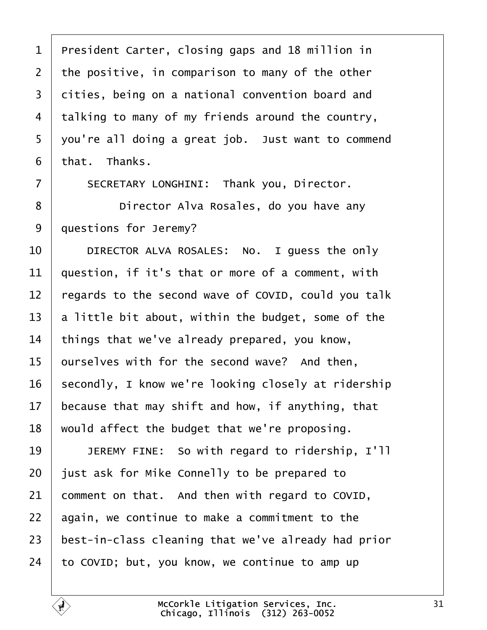| 1              | President Carter, closing gaps and 18 million in    |
|----------------|-----------------------------------------------------|
| $\overline{2}$ | the positive, in comparison to many of the other    |
| 3              | dities, being on a national convention board and    |
| 4              | talking to many of my friends around the country,   |
| 5              | you're all doing a great job. Just want to commend  |
| 6              | that. Thanks.                                       |
| 7              | SECRETARY LONGHINI: Thank you, Director.            |
| 8              | Director Alva Rosales, do you have any              |
| 9              | questions for Jeremy?                               |
| 10             | DIRECTOR ALVA ROSALES: No. I guess the only         |
| 11             | question, if it's that or more of a comment, with   |
| 12             | regards to the second wave of COVID, could you talk |
| 13             | a little bit about, within the budget, some of the  |
| 14             | things that we've already prepared, you know,       |
| 15             | purselves with for the second wave? And then,       |
| 16             | secondly, I know we're looking closely at ridership |
| 17             | because that may shift and how, if anything, that   |
| 18             | would affect the budget that we're proposing.       |
| 19             | JEREMY FINE: So with regard to ridership, I'll      |
| 20             | just ask for Mike Connelly to be prepared to        |
| 21             | comment on that. And then with regard to COVID,     |
| 22             | again, we continue to make a commitment to the      |
| 23             | best-in-class cleaning that we've already had prior |
| 24             | to COVID; but, you know, we continue to amp up      |
|                |                                                     |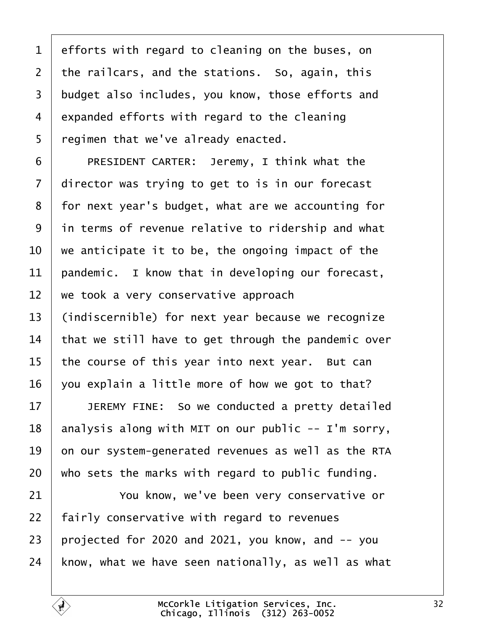| 1              | efforts with regard to cleaning on the buses, on    |
|----------------|-----------------------------------------------------|
| $\overline{2}$ | the railcars, and the stations. So, again, this     |
| 3              | budget also includes, you know, those efforts and   |
| 4              | expanded efforts with regard to the cleaning        |
| 5              | regimen that we've already enacted.                 |
| 6              | PRESIDENT CARTER: Jeremy, I think what the          |
| 7              | director was trying to get to is in our forecast    |
| 8              | for next year's budget, what are we accounting for  |
| 9              | in terms of revenue relative to ridership and what  |
| 10             | we anticipate it to be, the ongoing impact of the   |
| 11             | pandemic. I know that in developing our forecast,   |
| 12             | we took a very conservative approach                |
| 13             | (indiscernible) for next year because we recognize  |
| 14             | that we still have to get through the pandemic over |
| 15             | the course of this year into next year. But can     |
| 16             | you explain a little more of how we got to that?    |
| 17             | JEREMY FINE: So we conducted a pretty detailed      |
| 18             | analysis along with MIT on our public -- I'm sorry, |
| 19             | on our system-generated revenues as well as the RTA |
| 20             | who sets the marks with regard to public funding.   |
| 21             | You know, we've been very conservative or           |
| 22             | fairly conservative with regard to revenues         |
| 23             | projected for 2020 and 2021, you know, and -- you   |
| 24             | know, what we have seen nationally, as well as what |
|                |                                                     |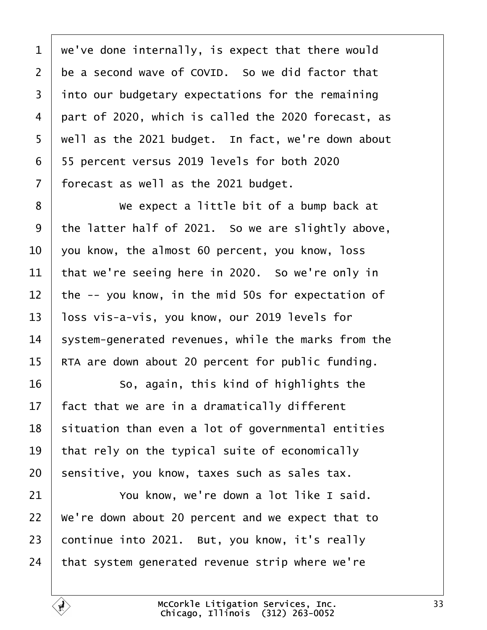1 we've done internally, is expect that there would 2 be a second wave of COVID. So we did factor that 3 into our budgetary expectations for the remaining 4 part of 2020, which is called the 2020 forecast, as 5 well as the 2021 budget. In fact, we're down about ·6· ·55 percent versus 2019 levels for both 2020 7 forecast as well as the 2021 budget. 8 **We expect a little bit of a bump back at** 9 the latter half of 2021. So we are slightly above, 10  $\sqrt{v}$  vou know, the almost 60 percent, you know, loss 11 that we're seeing here in 2020. So we're only in 12 the -- you know, in the mid 50s for expectation of 13 loss vis-a-vis, you know, our 2019 levels for 14 system-generated revenues, while the marks from the 15 RTA are down about 20 percent for public funding.  $16$   $\sim$  So, again, this kind of highlights the 17 fact that we are in a dramatically different 18 situation than even a lot of governmental entities 19 that rely on the typical suite of economically 20 sensitive, you know, taxes such as sales tax. 21 **You know, we're down a lot like I said.** 22 We're down about 20 percent and we expect that to 23 continue into 2021. But, you know, it's really 24 that system generated revenue strip where we're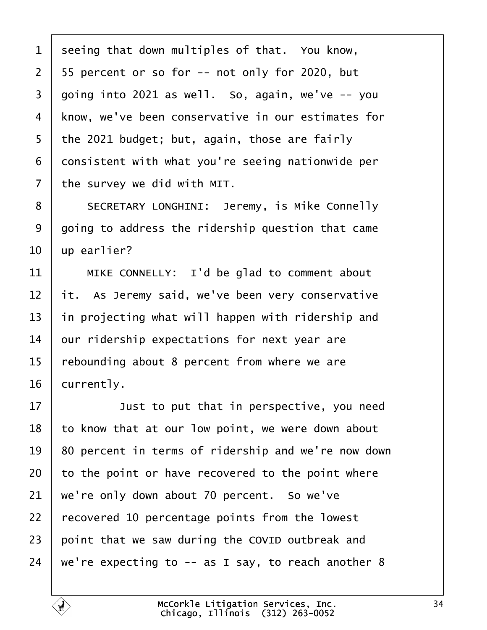| 1              | seeing that down multiples of that. You know,       |
|----------------|-----------------------------------------------------|
| $\overline{2}$ | 55 percent or so for -- not only for 2020, but      |
| 3              | going into 2021 as well. So, again, we've -- you    |
| 4              | know, we've been conservative in our estimates for  |
| 5              | the 2021 budget; but, again, those are fairly       |
| 6              | donsistent with what you're seeing nationwide per   |
| $\overline{7}$ | the survey we did with MIT.                         |
| 8              | <b>SECRETARY LONGHINI: Jeremy, is Mike Connelly</b> |
| 9              | going to address the ridership question that came   |
| 10             | up earlier?                                         |
| 11             | MIKE CONNELLY: I'd be glad to comment about         |
| 12             | it. As Jeremy said, we've been very conservative    |
| 13             | in projecting what will happen with ridership and   |
| 14             | our ridership expectations for next year are        |
| 15             | rebounding about 8 percent from where we are        |
| 16             | currently.                                          |
| 17             | Just to put that in perspective, you need           |
| 18             | to know that at our low point, we were down about   |
| 19             | 80 percent in terms of ridership and we're now down |
| 20             | to the point or have recovered to the point where   |
| 21             | we're only down about 70 percent. So we've          |
| 22             | recovered 10 percentage points from the lowest      |
| 23             | point that we saw during the COVID outbreak and     |
| 24             | we're expecting to -- as I say, to reach another 8  |
|                |                                                     |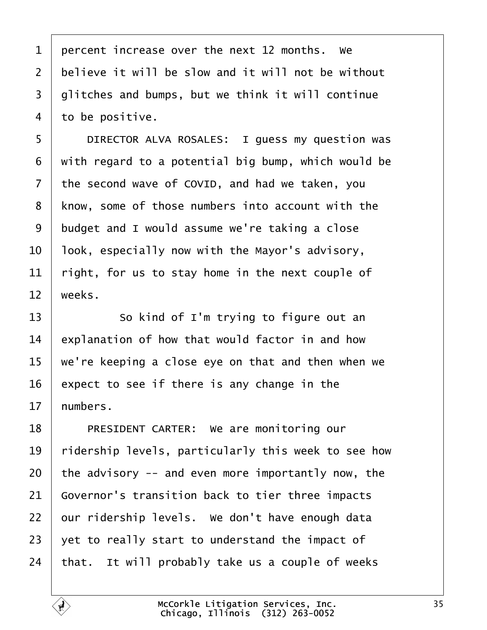| 1              | percent increase over the next 12 months. We        |
|----------------|-----------------------------------------------------|
| $\overline{2}$ | believe it will be slow and it will not be without  |
| 3              | glitches and bumps, but we think it will continue   |
| 4              | to be positive.                                     |
| 5              | DIRECTOR ALVA ROSALES: I guess my question was      |
| 6              | with regard to a potential big bump, which would be |
| $\overline{7}$ | the second wave of COVID, and had we taken, you     |
| 8              | know, some of those numbers into account with the   |
| 9              | budget and I would assume we're taking a close      |
| 10             | look, especially now with the Mayor's advisory,     |
| 11             | right, for us to stay home in the next couple of    |
| 12             | weeks.                                              |
| 13             | So kind of I'm trying to figure out an              |
| 14             | explanation of how that would factor in and how     |
| 15             | we're keeping a close eye on that and then when we  |
| 16             | expect to see if there is any change in the         |

17 humbers.

- 18 | PRESIDENT CARTER: We are monitoring our
- 19 ridership levels, particularly this week to see how
- 20 the advisory  $-$  and even more importantly now, the
- 21 Governor's transition back to tier three impacts
- 22 bur ridership levels. We don't have enough data
- 23  $\,\,\rule{0.2mm}{1.3mm}$  yet to really start to understand the impact of
- 24  $\cdot$ that. It will probably take us a couple of weeks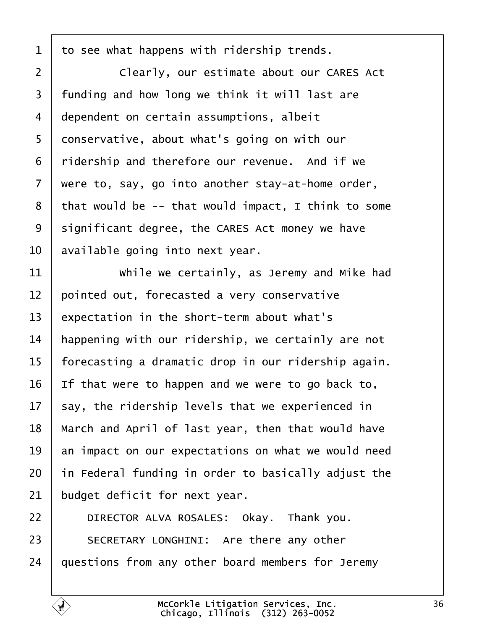| 1              | to see what happens with ridership trends.          |
|----------------|-----------------------------------------------------|
| 2              | Clearly, our estimate about our CARES Act           |
| 3              | funding and how long we think it will last are      |
| 4              | dependent on certain assumptions, albeit            |
| 5              | donservative, about what's going on with our        |
| 6              | ridership and therefore our revenue. And if we      |
| $\overline{7}$ | were to, say, go into another stay-at-home order,   |
| 8              | that would be -- that would impact, I think to some |
| 9              | significant degree, the CARES Act money we have     |
| 10             | available going into next year.                     |
| 11             | While we certainly, as Jeremy and Mike had          |
| 12             | pointed out, forecasted a very conservative         |
| 13             | expectation in the short-term about what's          |
| 14             | happening with our ridership, we certainly are not  |
| 15             | forecasting a dramatic drop in our ridership again. |
| 16             | If that were to happen and we were to go back to,   |
| $17 \,$        | say, the ridership levels that we experienced in    |
| 18             | March and April of last year, then that would have  |
| 19             | an impact on our expectations on what we would need |
| 20             | in Federal funding in order to basically adjust the |
| 21             | budget deficit for next year.                       |
| 22             | DIRECTOR ALVA ROSALES: Okay. Thank you.             |
| 23             | SECRETARY LONGHINI: Are there any other             |
| 24             | questions from any other board members for Jeremy   |
|                |                                                     |

 $\sqrt{ }$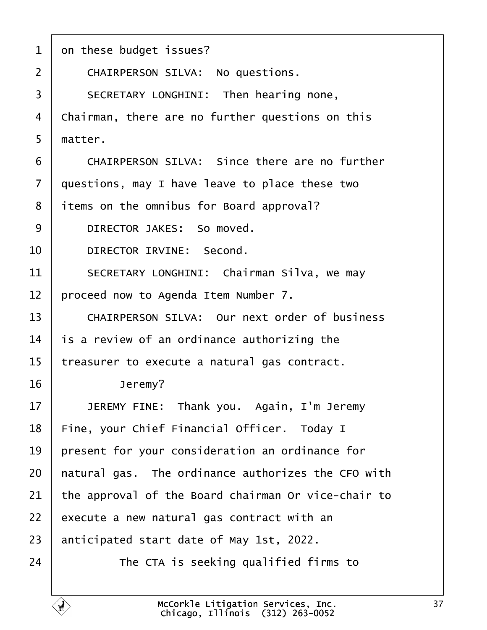- 1 on these budget issues?
- 2 | CHAIRPERSON SILVA: No questions.
- 3 | SECRETARY LONGHINI: Then hearing none,
- 4 Chairman, there are no further questions on this
- 5 matter.
- $6 \mid$  CHAIRPERSON SILVA: Since there are no further
- 7 duestions, may I have leave to place these two
- 8 items on the omnibus for Board approval?
- 9 | DIRECTOR JAKES: So moved.
- 10 | DIRECTOR IRVINE: Second.
- 11 | SECRETARY LONGHINI: Chairman Silva, we may
- 12 proceed now to Agenda Item Number 7.
- 13 CHAIRPERSON SILVA: Our next order of business
- 14 is a review of an ordinance authorizing the
- 15 treasurer to execute a natural gas contract.
- 16 | Jeremy?
- 17 | JEREMY FINE: Thank you. Again, I'm Jeremy
- 18 Fine, your Chief Financial Officer. Today I
- 19 present for your consideration an ordinance for
- 20 hatural gas. The ordinance authorizes the CFO with
- 21 the approval of the Board chairman Or vice-chair to
- 22  $\,$  execute a new natural gas contract with an
- 23 anticipated start date of May 1st, 2022.
- $24$   $\parallel$  The CTA is seeking qualified firms to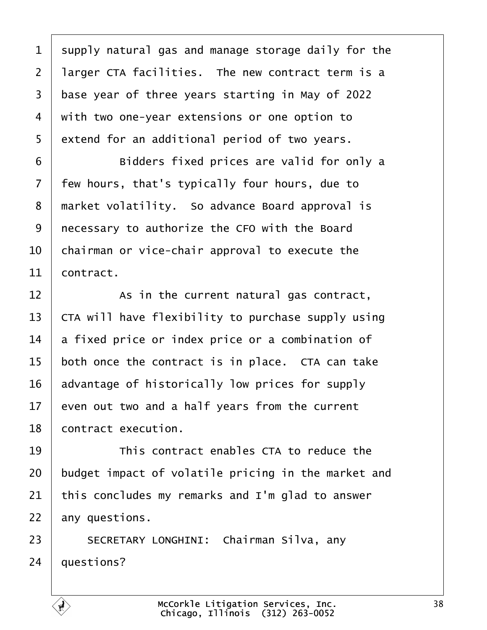1 supply natural gas and manage storage daily for the 2 larger CTA facilities. The new contract term is a 3 base year of three years starting in May of 2022 4 with two one-year extensions or one option to 5 extend for an additional period of two years. 6 **budders fixed prices are valid for only a** 7 few hours, that's typically four hours, due to 8 market volatility. So advance Board approval is 9 recessary to authorize the CFO with the Board 10 chairman or vice-chair approval to execute the 11 **contract**  $12$   $\phantom{1}$  As in the current natural gas contract, 13 CTA will have flexibility to purchase supply using 14 a fixed price or index price or a combination of 15 both once the contract is in place. CTA can take 16 advantage of historically low prices for supply 17 even out two and a half years from the current 18 **contract execution.** 19 **This contract enables CTA to reduce the** 20 budget impact of volatile pricing in the market and 21 this concludes my remarks and I'm glad to answer 22 any questions. 23 | SECRETARY LONGHINI: Chairman Silva, any 24 *questions?*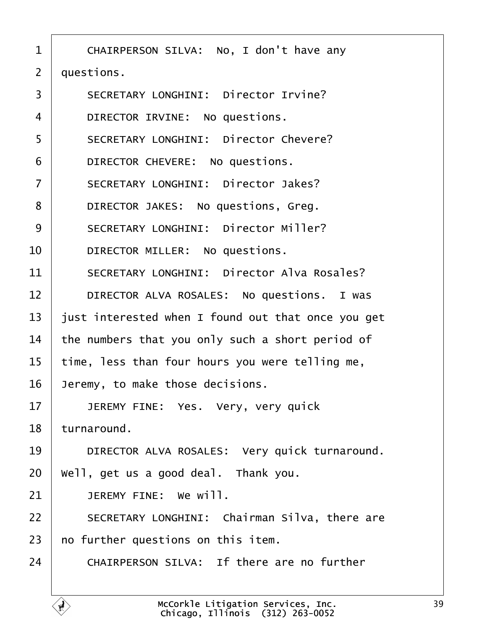1 | CHAIRPERSON SILVA: No, I don't have any

2 duestions.

- 3 | SECRETARY LONGHINI: Director Irvine?
- 4 | DIRECTOR IRVINE: No questions.
- 5 | SECRETARY LONGHINI: Director Chevere?
- 6 | DIRECTOR CHEVERE: No questions.
- 7 | SECRETARY LONGHINI: Director Jakes?
- 8 | DIRECTOR JAKES: No questions, Greg.
- 9 | SECRETARY LONGHINI: Director Miller?
- 10 | DIRECTOR MILLER: No questions.
- 11 | SECRETARY LONGHINI: Director Alva Rosales?
- 12 | DIRECTOR ALVA ROSALES: No questions. I was
- 13 just interested when I found out that once you get
- 14 the numbers that you only such a short period of
- 15 time, less than four hours you were telling me,
- 16 Jeremy, to make those decisions.
- 17 | JEREMY FINE: Yes. Very, very quick

18 turnaround.

- 19 | DIRECTOR ALVA ROSALES: Very quick turnaround.
- 20 Well, get us a good deal. Thank you.
- 21  $\parallel$  JEREMY FINE: We will.
- 22 | SECRETARY LONGHINI: Chairman Silva, there are
- 23 ho further questions on this item.
- $24$   $\blacksquare$  CHAIRPERSON SILVA: If there are no further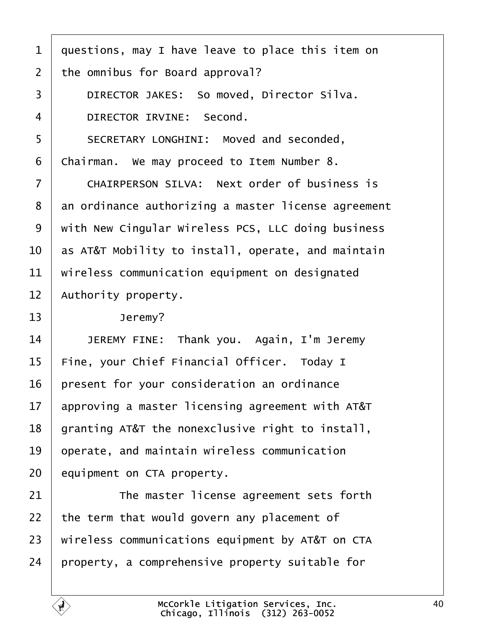|  |  | 1 duestions, may I have leave to place this item on |  |  |
|--|--|-----------------------------------------------------|--|--|
|--|--|-----------------------------------------------------|--|--|

- 2 the omnibus for Board approval?
- 3 | DIRECTOR JAKES: So moved, Director Silva.
- 4 **DIRECTOR IRVINE: Second.**
- 5 | SECRETARY LONGHINI: Moved and seconded,
- 6 Chairman. We may proceed to Item Number 8.
- 7 CHAIRPERSON SILVA: Next order of business is
- 8 an ordinance authorizing a master license agreement
- 9 with New Cingular Wireless PCS, LLC doing business
- 10 as AT&T Mobility to install, operate, and maintain
- 11 wireless communication equipment on designated
- 12 Authority property.
- 13 | Jeremy?
- 14 | JEREMY FINE: Thank you. Again, I'm Jeremy
- 15 Fine, your Chief Financial Officer. Today I
- 16 present for your consideration an ordinance
- 17 approving a master licensing agreement with AT&T
- 18 granting AT&T the nonexclusive right to install,
- 19 b perate, and maintain wireless communication
- 20 **equipment on CTA property.**
- 21 **The master license agreement sets forth**
- 22 the term that would govern any placement of
- 23 wireless communications equipment by AT&T on CTA
- 24 property, a comprehensive property suitable for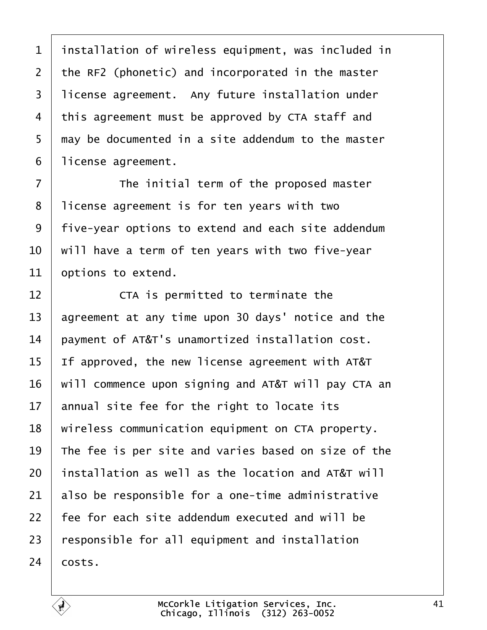| $\mathbf 1$    | installation of wireless equipment, was included in |
|----------------|-----------------------------------------------------|
| $\overline{2}$ | the RF2 (phonetic) and incorporated in the master   |
| 3              | license agreement. Any future installation under    |
| 4              | this agreement must be approved by CTA staff and    |
| 5              | thay be documented in a site addendum to the master |
| 6              | license agreement.                                  |
| $\overline{7}$ | The initial term of the proposed master             |
| 8              | license agreement is for ten years with two         |
| 9              | five-year options to extend and each site addendum  |
| 10             | will have a term of ten years with two five-year    |
| 11             | options to extend.                                  |
| 12             | CTA is permitted to terminate the                   |
| 13             | agreement at any time upon 30 days' notice and the  |
| 14             | payment of AT&T's unamortized installation cost.    |
| 15             | If approved, the new license agreement with AT&T    |
| 16             | will commence upon signing and AT&T will pay CTA an |
| 17             | annual site fee for the right to locate its         |
| 18             | wireless communication equipment on CTA property.   |
| 19             | The fee is per site and varies based on size of the |
| 20             | installation as well as the location and AT&T will  |
| 21             | also be responsible for a one-time administrative   |
| 22             | fee for each site addendum executed and will be     |
| 23             | responsible for all equipment and installation      |
| 24             | costs.                                              |
|                |                                                     |

 $\overline{\phantom{a}}$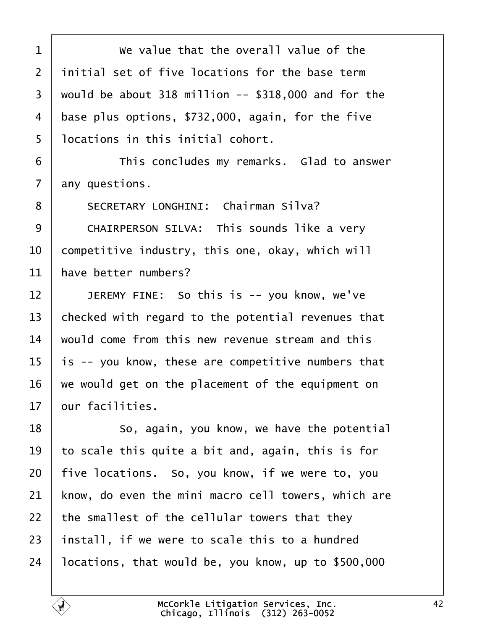| 1              | We value that the overall value of the              |
|----------------|-----------------------------------------------------|
| $\overline{2}$ | initial set of five locations for the base term     |
| 3              | would be about 318 million -- \$318,000 and for the |
| 4              | base plus options, \$732,000, again, for the five   |
| 5              | Ibcations in this initial cohort.                   |
| 6              | This concludes my remarks. Glad to answer           |
| $\overline{7}$ | any questions.                                      |
| 8              | <b>SECRETARY LONGHINI: Chairman Silva?</b>          |
| 9              | CHAIRPERSON SILVA: This sounds like a very          |
| 10             | competitive industry, this one, okay, which will    |
| 11             | have better numbers?                                |
| 12             | JEREMY FINE: So this is -- you know, we've          |
| 13             | checked with regard to the potential revenues that  |
| 14             | would come from this new revenue stream and this    |
| 15             | is -- you know, these are competitive numbers that  |
| 16             | we would get on the placement of the equipment on   |
| 17             | bur facilities.                                     |
| 18             | So, again, you know, we have the potential          |
| 19             | to scale this quite a bit and, again, this is for   |
| 20             | five locations. So, you know, if we were to, you    |
| 21             | know, do even the mini macro cell towers, which are |
| 22             | the smallest of the cellular towers that they       |
| 23             | install, if we were to scale this to a hundred      |
| 24             | locations, that would be, you know, up to \$500,000 |
|                |                                                     |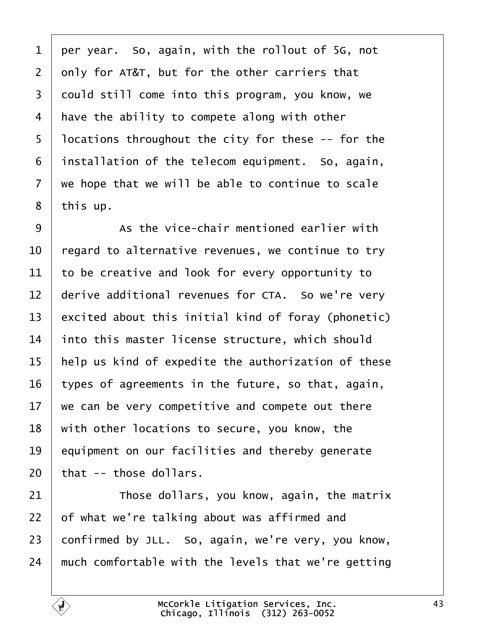1 per year. So, again, with the rollout of 5G, not 2 only for AT&T, but for the other carriers that 3 dould still come into this program, you know, we 4 have the ability to compete along with other 5 locations throughout the city for these -- for the 6 installation of the telecom equipment. So, again, 7 we hope that we will be able to continue to scale 8 this up.  $9 \mid$  As the vice-chair mentioned earlier with 10 regard to alternative revenues, we continue to try 11 to be creative and look for every opportunity to 12 derive additional revenues for CTA. So we're very 13 excited about this initial kind of foray (phonetic) 14 into this master license structure, which should 15 help us kind of expedite the authorization of these 16 types of agreements in the future, so that, again, 17 we can be very competitive and compete out there 18 with other locations to secure, you know, the 19 equipment on our facilities and thereby generate 20 that -- those dollars. 21 **Those dollars, you know, again, the matrix** 22 b f what we're talking about was affirmed and 23 confirmed by JLL. So, again, we're very, you know, 24 much comfortable with the levels that we're getting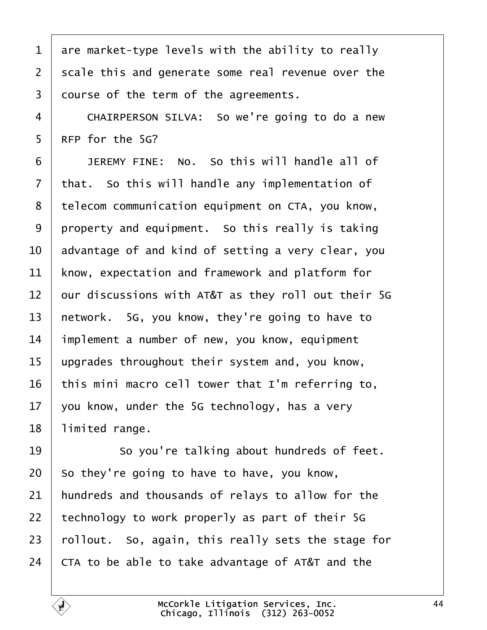|  |  |  | 1 are market-type levels with the ability to really |
|--|--|--|-----------------------------------------------------|
|--|--|--|-----------------------------------------------------|

2 scale this and generate some real revenue over the

3 dourse of the term of the agreements.

4 CHAIRPERSON SILVA: So we're going to do a new

5 RFP for the 5G?

 $6$   $\blacksquare$  JEREMY FINE: No. So this will handle all of

7 that. So this will handle any implementation of

8 telecom communication equipment on CTA, you know,

9 property and equipment. So this really is taking

10 advantage of and kind of setting a very clear, you

11 know, expectation and framework and platform for

12 bur discussions with AT&T as they roll out their 5G

13 hetwork. 5G, you know, they're going to have to

14 implement a number of new, you know, equipment

15 upgrades throughout their system and, you know,

16 this mini macro cell tower that I'm referring to,

17  $\sqrt{v}$  vou know, under the 5G technology, has a very

18 limited range.

19 **So you're talking about hundreds of feet.** 

20 So they're going to have to have, you know,

21 hundreds and thousands of relays to allow for the

22 technology to work properly as part of their  $5G$ 

23 rollout. So, again, this really sets the stage for

24 CTA to be able to take advantage of AT&T and the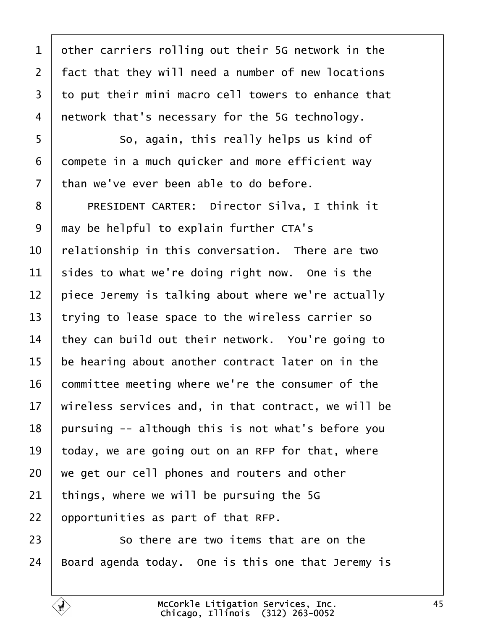| 1  | other carriers rolling out their 5G network in the     |
|----|--------------------------------------------------------|
| 2  | fact that they will need a number of new locations     |
| 3  | to put their mini macro cell towers to enhance that    |
| 4  | network that's necessary for the 5G technology.        |
| 5  | So, again, this really helps us kind of                |
| 6  | dompete in a much quicker and more efficient way       |
| 7  | than we've ever been able to do before.                |
| 8  | PRESIDENT CARTER: Director Silva, I think it           |
| 9  | may be helpful to explain further CTA's                |
| 10 | relationship in this conversation. There are two       |
| 11 | sides to what we're doing right now. One is the        |
| 12 | piece Jeremy is talking about where we're actually     |
| 13 | trying to lease space to the wireless carrier so       |
| 14 | they can build out their network. You're going to      |
| 15 | be hearing about another contract later on in the      |
| 16 | committee meeting where we're the consumer of the      |
|    | 17 wireless services and, in that contract, we will be |
| 18 | pursuing -- although this is not what's before you     |
| 19 | today, we are going out on an RFP for that, where      |
| 20 | we get our cell phones and routers and other           |
| 21 | things, where we will be pursuing the 5G               |
| 22 | opportunities as part of that RFP.                     |
| 23 | So there are two items that are on the                 |
| 24 | Board agenda today. One is this one that Jeremy is     |
|    |                                                        |

 $\Gamma$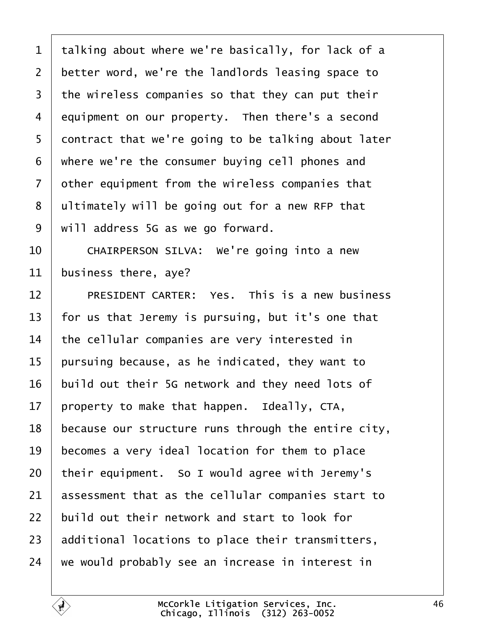| 1              | talking about where we're basically, for lack of a  |
|----------------|-----------------------------------------------------|
| $\overline{2}$ | better word, we're the landlords leasing space to   |
| 3              | the wireless companies so that they can put their   |
| 4              | equipment on our property. Then there's a second    |
| 5              | dontract that we're going to be talking about later |
| 6              | where we're the consumer buying cell phones and     |
| $\overline{7}$ | other equipment from the wireless companies that    |
| 8              | ultimately will be going out for a new RFP that     |
| 9              | will address 5G as we go forward.                   |
| 10             | CHAIRPERSON SILVA: We're going into a new           |
| 11             | business there, aye?                                |
| 12             | PRESIDENT CARTER: Yes. This is a new business       |
| 13             | for us that Jeremy is pursuing, but it's one that   |
| 14             | the cellular companies are very interested in       |
| 15             | pursuing because, as he indicated, they want to     |
| 16             | build out their 5G network and they need lots of    |
| 17             | property to make that happen. Ideally, CTA,         |
| 18             | because our structure runs through the entire city, |
| 19             | becomes a very ideal location for them to place     |
| 20             | their equipment. So I would agree with Jeremy's     |
| 21             | assessment that as the cellular companies start to  |
| 22             | build out their network and start to look for       |
| 23             | additional locations to place their transmitters,   |
| 24             | we would probably see an increase in interest in    |
|                |                                                     |

 $\sqrt{ }$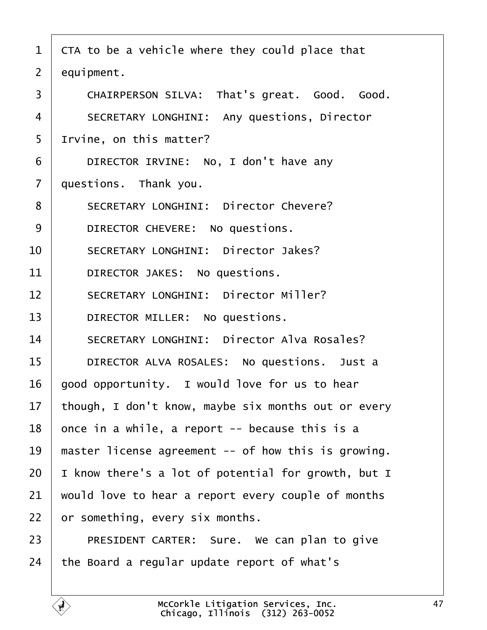- 1 CTA to be a vehicle where they could place that
- 2 equipment.
- 3 | CHAIRPERSON SILVA: That's great. Good. Good.
- 4 | SECRETARY LONGHINI: Any questions, Director
- 5 Irvine, on this matter?
- 6 | DIRECTOR IRVINE: No, I don't have any
- 7 duestions. Thank you.
- 8 | SECRETARY LONGHINI: Director Chevere?
- 9 | DIRECTOR CHEVERE: No questions.
- 10 | SECRETARY LONGHINI: Director Jakes?
- 11 | DIRECTOR JAKES: No questions.
- 12 | SECRETARY LONGHINI: Director Miller?
- 13 | DIRECTOR MILLER: No questions.
- 14 | SECRETARY LONGHINI: Director Alva Rosales?
- 15 | DIRECTOR ALVA ROSALES: No questions. Just a
- 16 good opportunity. I would love for us to hear
- 17 though, I don't know, maybe six months out or every
- 18  $\theta$  once in a while, a report -- because this is a
- 19 master license agreement -- of how this is growing.
- 20 I know there's a lot of potential for growth, but I
- 21 would love to hear a report every couple of months
- 22 br something, every six months.
- $23$  | PRESIDENT CARTER: Sure. We can plan to give
- 24 the Board a regular update report of what's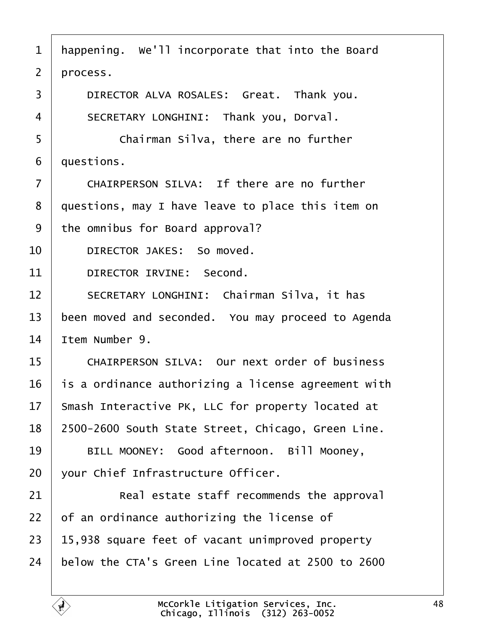- 1 happening. We'll incorporate that into the Board
- 2 process.
- 3 | DIRECTOR ALVA ROSALES: Great. Thank you.
- 4 | SECRETARY LONGHINI: Thank you, Dorval.
- 5 **Chairman Silva, there are no further**
- 6 duestions.
- $7$   $\blacksquare$  CHAIRPERSON SILVA: If there are no further
- 8 duestions, may I have leave to place this item on
- 9 the omnibus for Board approval?
- 10 | DIRECTOR JAKES: So moved.
- 11 | DIRECTOR IRVINE: Second.
- 12 | SECRETARY LONGHINI: Chairman Silva, it has
- 13 been moved and seconded. You may proceed to Agenda
- 14 ltem Number 9.
- 15 | CHAIRPERSON SILVA: Our next order of business
- 16 is a ordinance authorizing a license agreement with
- 17 Smash Interactive PK, LLC for property located at
- 18 2500-2600 South State Street, Chicago, Green Line.
- 19 | BILL MOONEY: Good afternoon. Bill Mooney,
- 20 vour Chief Infrastructure Officer.
- 21  **• Real estate staff recommends the approval**
- 22  $\theta$  f an ordinance authorizing the license of
- $23$  15,938 square feet of vacant unimproved property
- 24 below the CTA's Green Line located at 2500 to 2600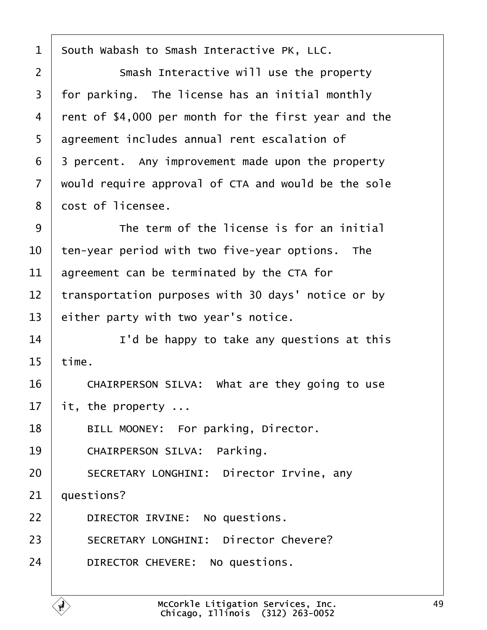| 1  | South Wabash to Smash Interactive PK, LLC.           |
|----|------------------------------------------------------|
| 2  | Smash Interactive will use the property              |
| 3  | for parking. The license has an initial monthly      |
| 4  | rent of \$4,000 per month for the first year and the |
| 5  | agreement includes annual rent escalation of         |
| 6  | 3 percent. Any improvement made upon the property    |
| 7  | would require approval of CTA and would be the sole  |
| 8  | dost of licensee.                                    |
| 9  | The term of the license is for an initial            |
| 10 | ten-year period with two five-year options. The      |
| 11 | agreement can be terminated by the CTA for           |
| 12 | transportation purposes with 30 days' notice or by   |
| 13 | either party with two year's notice.                 |
| 14 | I'd be happy to take any questions at this           |
| 15 | time.                                                |
| 16 | CHAIRPERSON SILVA: What are they going to use        |
| 17 | it, the property                                     |
| 18 | BILL MOONEY: For parking, Director.                  |
| 19 | <b>CHAIRPERSON SILVA: Parking.</b>                   |
| 20 | <b>SECRETARY LONGHINI: Director Irvine, any</b>      |
| 21 | questions?                                           |
| 22 | DIRECTOR IRVINE: No questions.                       |
| 23 | <b>SECRETARY LONGHINI: Director Chevere?</b>         |
| 24 | DIRECTOR CHEVERE: No questions.                      |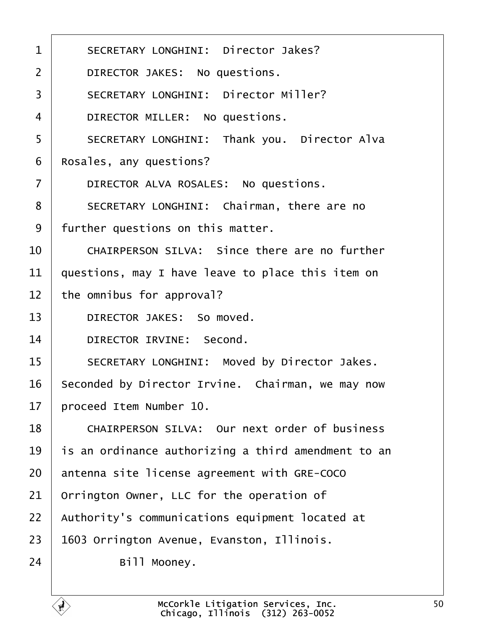- 1 | SECRETARY LONGHINI: Director Jakes?
- 2 | DIRECTOR JAKES: No questions.
- 3 | SECRETARY LONGHINI: Director Miller?
- 4 | DIRECTOR MILLER: No questions.
- 5 | SECRETARY LONGHINI: Thank you. Director Alva
- 6 Rosales, any questions?
- 7 | DIRECTOR ALVA ROSALES: No questions.
- 8 | SECRETARY LONGHINI: Chairman, there are no
- 9 further questions on this matter.
- $10~\pm~$  CHAIRPERSON SILVA: Since there are no further
- 11 duestions, may I have leave to place this item on
- 12 the omnibus for approval?
- 13 | DIRECTOR JAKES: So moved.
- 14 | DIRECTOR IRVINE: Second.
- 15 | SECRETARY LONGHINI: Moved by Director Jakes.
- 16 Seconded by Director Irvine. Chairman, we may now
- 17 broceed Item Number 10.
- 18 | CHAIRPERSON SILVA: Our next order of business
- 19 is an ordinance authorizing a third amendment to an
- 20 antenna site license agreement with GRE-COCO
- 21 Drrington Owner, LLC for the operation of
- 22 Authority's communications equipment located at
- 23 **1603 Orrington Avenue, Evanston, Illinois.**
- 24 | Bill Mooney.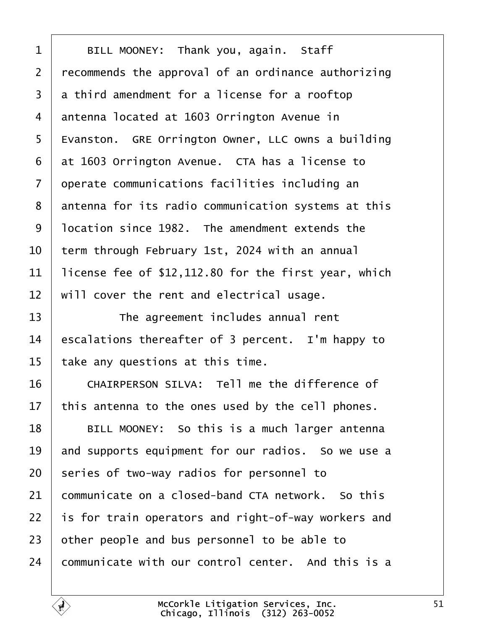| 1              | BILL MOONEY: Thank you, again. Staff                 |
|----------------|------------------------------------------------------|
| $\overline{2}$ | recommends the approval of an ordinance authorizing  |
| 3              | a third amendment for a license for a rooftop        |
| 4              | antenna located at 1603 Orrington Avenue in          |
| 5              | Evanston. GRE Orrington Owner, LLC owns a building   |
| 6              | at 1603 Orrington Avenue. CTA has a license to       |
| 7              | operate communications facilities including an       |
| 8              | antenna for its radio communication systems at this  |
| 9              | Incation since 1982. The amendment extends the       |
| 10             | term through February 1st, 2024 with an annual       |
| 11             | license fee of \$12,112.80 for the first year, which |
| 12             | will cover the rent and electrical usage.            |
| 13             | The agreement includes annual rent                   |
| 14             | escalations thereafter of 3 percent. I'm happy to    |
| 15             | take any questions at this time.                     |
| 16             | CHAIRPERSON SILVA: Tell me the difference of         |
| 17             | this antenna to the ones used by the cell phones.    |
| 18             | BILL MOONEY: So this is a much larger antenna        |
| 19             | and supports equipment for our radios. So we use a   |
| 20             | series of two-way radios for personnel to            |
| 21             | communicate on a closed-band CTA network. So this    |
| 22             | is for train operators and right-of-way workers and  |
| 23             | other people and bus personnel to be able to         |
| 24             | communicate with our control center. And this is a   |
|                |                                                      |

 $\overline{1}$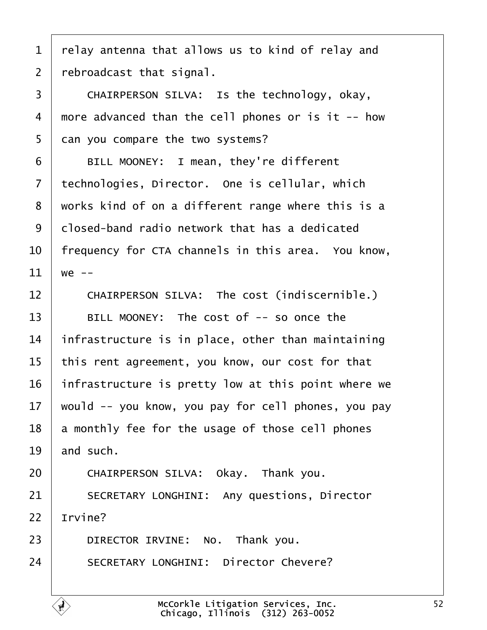|  |  | 1 relay antenna that allows us to kind of relay and |  |  |  |  |  |  |  |  |
|--|--|-----------------------------------------------------|--|--|--|--|--|--|--|--|
|--|--|-----------------------------------------------------|--|--|--|--|--|--|--|--|

2 rebroadcast that signal.

3 | CHAIRPERSON SILVA: Is the technology, okay,

- 4 more advanced than the cell phones or is it -- how
- 5 dan you compare the two systems?

6 | BILL MOONEY: I mean, they're different

- 7 technologies, Director. One is cellular, which
- 8 works kind of on a different range where this is a

9 dlosed-band radio network that has a dedicated

10 frequency for CTA channels in this area. You know,

- 11  $\text{we} -$
- 12 | CHAIRPERSON SILVA: The cost (indiscernible.)

 $13$  | BILL MOONEY: The cost of  $-$  so once the

- 14 infrastructure is in place, other than maintaining
- 15 this rent agreement, you know, our cost for that
- 16 infrastructure is pretty low at this point where we
- 17 would -- you know, you pay for cell phones, you pay
- 18 **a** monthly fee for the usage of those cell phones

19  $\mu$  and such.

- 20 CHAIRPERSON SILVA: Okay. Thank you.
- 21 | SECRETARY LONGHINI: Any questions, Director

22 Irvine?

- 23 | DIRECTOR IRVINE: No. Thank you.
- 24 | SECRETARY LONGHINI: Director Chevere?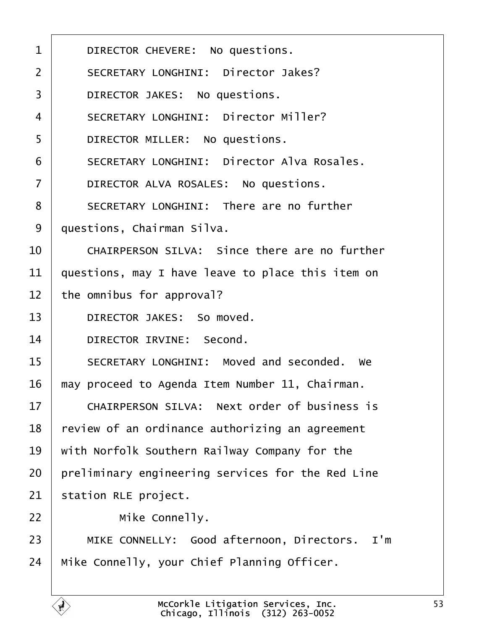| 1              | DIRECTOR CHEVERE: No questions.                     |
|----------------|-----------------------------------------------------|
| 2              | <b>SECRETARY LONGHINI: Director Jakes?</b>          |
| 3              | DIRECTOR JAKES: No questions.                       |
| 4              | <b>SECRETARY LONGHINI: Director Miller?</b>         |
| 5              | DIRECTOR MILLER: No questions.                      |
| 6              | <b>SECRETARY LONGHINI: Director Alva Rosales.</b>   |
| $\overline{7}$ | DIRECTOR ALVA ROSALES: No questions.                |
| 8              | <b>SECRETARY LONGHINI: There are no further</b>     |
| 9              | questions, Chairman Silva.                          |
| 10             | CHAIRPERSON SILVA: Since there are no further       |
| 11             | questions, may I have leave to place this item on   |
| 12             | the omnibus for approval?                           |
| 13             | DIRECTOR JAKES: So moved.                           |
| 14             | DIRECTOR IRVINE: Second.                            |
| 15             | SECRETARY LONGHINI: Moved and seconded. We          |
| 16             | may proceed to Agenda Item Number 11, Chairman.     |
| 17             | <b>CHAIRPERSON SILVA: Next order of business is</b> |
| 18             | review of an ordinance authorizing an agreement     |
| 19             | with Norfolk Southern Railway Company for the       |
| 20             | preliminary engineering services for the Red Line   |
| 21             | station RLE project.                                |
| 22             | Mike Connelly.                                      |
| 23             | MIKE CONNELLY: Good afternoon, Directors. I'm       |
| 24             | Mike Connelly, your Chief Planning Officer.         |
|                |                                                     |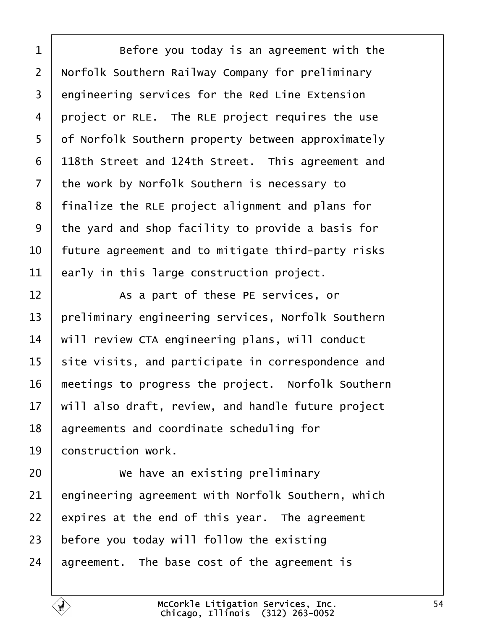| 1               | Before you today is an agreement with the          |
|-----------------|----------------------------------------------------|
| $\overline{2}$  | Norfolk Southern Railway Company for preliminary   |
| 3               | engineering services for the Red Line Extension    |
| 4               | project or RLE. The RLE project requires the use   |
| 5               | of Norfolk Southern property between approximately |
| 6               | 118th Street and 124th Street. This agreement and  |
| 7               | the work by Norfolk Southern is necessary to       |
| 8               | finalize the RLE project alignment and plans for   |
| 9               | the yard and shop facility to provide a basis for  |
| 10              | future agreement and to mitigate third-party risks |
| 11              | early in this large construction project.          |
| 12              | As a part of these PE services, or                 |
| 13              | preliminary engineering services, Norfolk Southern |
| 14              | will review CTA engineering plans, will conduct    |
| 15              | site visits, and participate in correspondence and |
| 16              | meetings to progress the project. Norfolk Southern |
| 17 <sup>7</sup> | will also draft, review, and handle future project |
| 18              | agreements and coordinate scheduling for           |
| 19              | construction work.                                 |
| 20              | We have an existing preliminary                    |
| 21              | engineering agreement with Norfolk Southern, which |
| 22              | expires at the end of this year. The agreement     |
| 23              | before you today will follow the existing          |
| 24              | agreement. The base cost of the agreement is       |
|                 |                                                    |

 $\Gamma$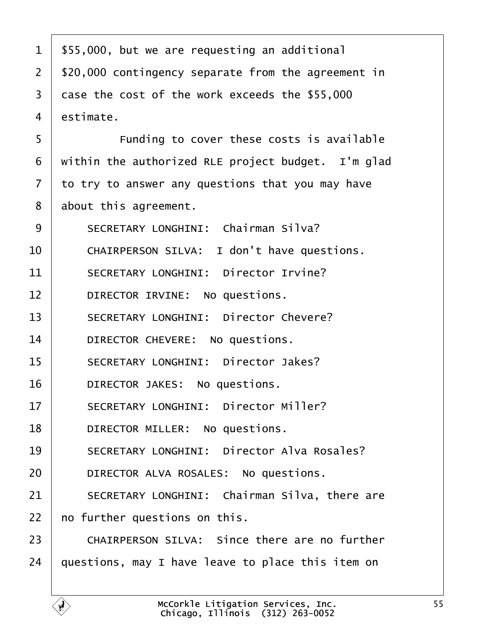| 1              | \$55,000, but we are requesting an additional        |
|----------------|------------------------------------------------------|
| $\overline{2}$ | \$20,000 contingency separate from the agreement in  |
| 3              | dase the cost of the work exceeds the \$55,000       |
| 4              | estimate.                                            |
| 5              | Funding to cover these costs is available            |
| 6              | within the authorized RLE project budget. I'm glad   |
| 7              | to try to answer any questions that you may have     |
| 8              | about this agreement.                                |
| 9              | <b>SECRETARY LONGHINI: Chairman Silva?</b>           |
| 10             | CHAIRPERSON SILVA: I don't have questions.           |
| 11             | <b>SECRETARY LONGHINI: Director Irvine?</b>          |
| 12             | DIRECTOR IRVINE: No questions.                       |
| 13             | <b>SECRETARY LONGHINI: Director Chevere?</b>         |
| 14             | DIRECTOR CHEVERE: No questions.                      |
| 15             | <b>SECRETARY LONGHINI: Director Jakes?</b>           |
| 16             | DIRECTOR JAKES: No questions.                        |
| 17             | <b>SECRETARY LONGHINI: Director Miller?</b>          |
| 18             | DIRECTOR MILLER: No questions.                       |
| 19             | <b>SECRETARY LONGHINI: Director Alva Rosales?</b>    |
| 20             | DIRECTOR ALVA ROSALES: No questions.                 |
| 21             | <b>SECRETARY LONGHINI: Chairman Silva, there are</b> |
| 22             | no further questions on this.                        |
| 23             | <b>CHAIRPERSON SILVA: Since there are no further</b> |
| 24             | questions, may I have leave to place this item on    |
|                |                                                      |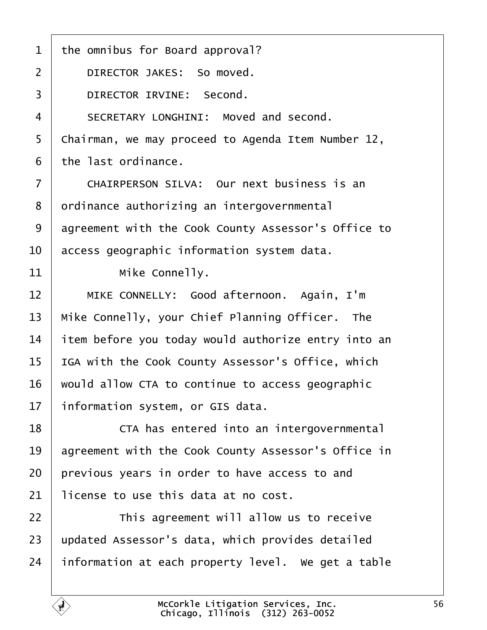| 1              | the omnibus for Board approval?                     |  |  |  |  |  |
|----------------|-----------------------------------------------------|--|--|--|--|--|
| $\overline{2}$ | DIRECTOR JAKES: So moved.                           |  |  |  |  |  |
| 3              | DIRECTOR IRVINE: Second.                            |  |  |  |  |  |
| 4              | SECRETARY LONGHINI: Moved and second.               |  |  |  |  |  |
| 5              | Chairman, we may proceed to Agenda Item Number 12,  |  |  |  |  |  |
| 6              | the last ordinance.                                 |  |  |  |  |  |
| 7              | <b>CHAIRPERSON SILVA: Our next business is an</b>   |  |  |  |  |  |
| 8              | drdinance authorizing an intergovernmental          |  |  |  |  |  |
| 9              | agreement with the Cook County Assessor's Office to |  |  |  |  |  |
| 10             | access geographic information system data.          |  |  |  |  |  |
| 11             | Mike Connelly.                                      |  |  |  |  |  |
| 12             | MIKE CONNELLY: Good afternoon. Again, I'm           |  |  |  |  |  |
| 13             | Mike Connelly, your Chief Planning Officer. The     |  |  |  |  |  |
| 14             | item before you today would authorize entry into an |  |  |  |  |  |
| 15             | IGA with the Cook County Assessor's Office, which   |  |  |  |  |  |
| 16             | would allow CTA to continue to access geographic    |  |  |  |  |  |
| 17             | information system, or GIS data.                    |  |  |  |  |  |
| 18             | CTA has entered into an intergovernmental           |  |  |  |  |  |
| 19             | agreement with the Cook County Assessor's Office in |  |  |  |  |  |
| 20             | previous years in order to have access to and       |  |  |  |  |  |
| 21             | license to use this data at no cost.                |  |  |  |  |  |
| 22             | This agreement will allow us to receive             |  |  |  |  |  |
| 23             | updated Assessor's data, which provides detailed    |  |  |  |  |  |
| 24             | information at each property level. We get a table  |  |  |  |  |  |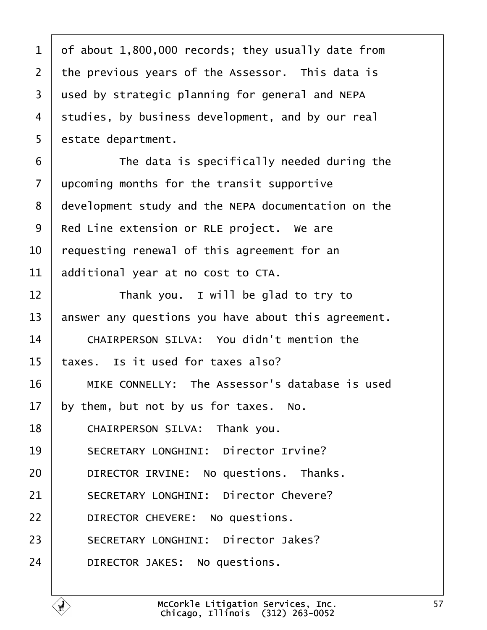| 1  | of about 1,800,000 records; they usually date from  |
|----|-----------------------------------------------------|
| 2  | the previous years of the Assessor. This data is    |
| 3  | used by strategic planning for general and NEPA     |
| 4  | studies, by business development, and by our real   |
| 5  | estate department.                                  |
| 6  | The data is specifically needed during the          |
| 7  | upcoming months for the transit supportive          |
| 8  | development study and the NEPA documentation on the |
| 9  | Red Line extension or RLE project. We are           |
| 10 | requesting renewal of this agreement for an         |
| 11 | additional year at no cost to CTA.                  |
| 12 | Thank you. I will be glad to try to                 |
| 13 | answer any questions you have about this agreement. |
| 14 | <b>CHAIRPERSON SILVA: You didn't mention the</b>    |
| 15 | taxes. Is it used for taxes also?                   |
| 16 | MIKE CONNELLY: The Assessor's database is used      |
| 17 | by them, but not by us for taxes. No.               |
| 18 | CHAIRPERSON SILVA: Thank you.                       |
| 19 | <b>SECRETARY LONGHINI: Director Irvine?</b>         |
| 20 | DIRECTOR IRVINE: No questions. Thanks.              |
| 21 | <b>SECRETARY LONGHINI: Director Chevere?</b>        |
| 22 | DIRECTOR CHEVERE: No questions.                     |
| 23 | <b>SECRETARY LONGHINI: Director Jakes?</b>          |
| 24 | DIRECTOR JAKES: No questions.                       |
|    |                                                     |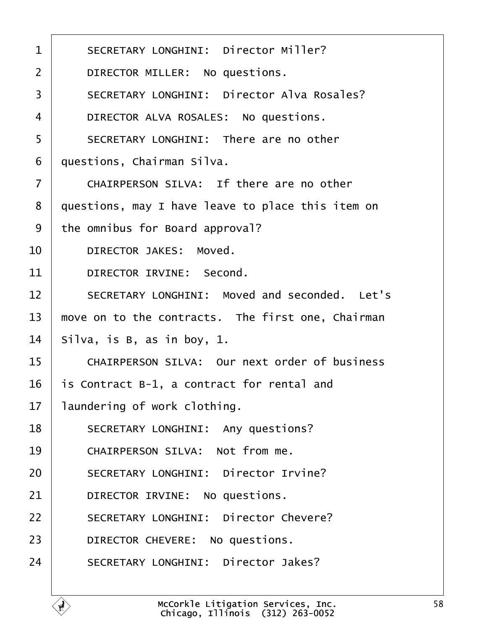| 1              | <b>SECRETARY LONGHINI: Director Miller?</b>          |
|----------------|------------------------------------------------------|
| 2              | DIRECTOR MILLER: No questions.                       |
| 3              | <b>SECRETARY LONGHINI: Director Alva Rosales?</b>    |
| 4              | DIRECTOR ALVA ROSALES: No questions.                 |
| 5              | SECRETARY LONGHINI: There are no other               |
| 6              | questions, Chairman Silva.                           |
| $\overline{7}$ | CHAIRPERSON SILVA: If there are no other             |
| 8              | questions, may I have leave to place this item on    |
| 9              | the omnibus for Board approval?                      |
| 10             | <b>DIRECTOR JAKES: Moved.</b>                        |
| 11             | DIRECTOR IRVINE: Second.                             |
| 12             | SECRETARY LONGHINI: Moved and seconded. Let's        |
| 13             | move on to the contracts. The first one, Chairman    |
| 14             | Silva, is B, as in boy, 1.                           |
| 15             | <b>CHAIRPERSON SILVA: Our next order of business</b> |
| 16             | is Contract B-1, a contract for rental and           |
| 17             | laundering of work clothing.                         |
| 18             | <b>SECRETARY LONGHINI: Any questions?</b>            |
| 19             | CHAIRPERSON SILVA: Not from me.                      |
| 20             | <b>SECRETARY LONGHINI: Director Irvine?</b>          |
| 21             | DIRECTOR IRVINE: No questions.                       |
| 22             | <b>SECRETARY LONGHINI: Director Chevere?</b>         |
| 23             | DIRECTOR CHEVERE: No questions.                      |
| 24             | <b>SECRETARY LONGHINI: Director Jakes?</b>           |
|                |                                                      |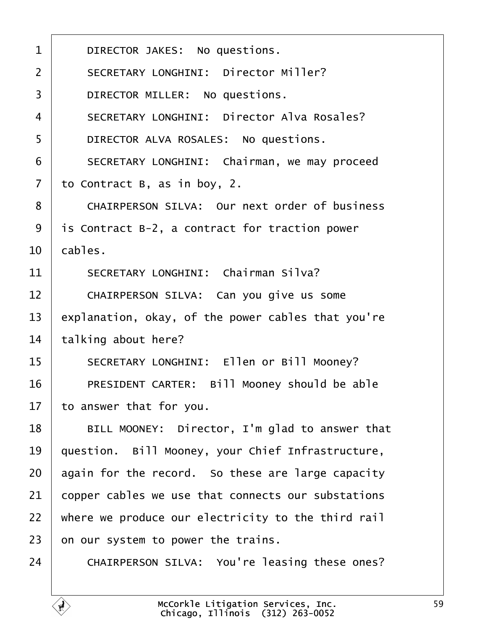| 1              | DIRECTOR JAKES: No questions.                      |
|----------------|----------------------------------------------------|
| 2              | <b>SECRETARY LONGHINI: Director Miller?</b>        |
| 3              | DIRECTOR MILLER: No questions.                     |
| $\overline{4}$ | <b>SECRETARY LONGHINI: Director Alva Rosales?</b>  |
| 5              | DIRECTOR ALVA ROSALES: No questions.               |
| 6              | SECRETARY LONGHINI: Chairman, we may proceed       |
| $\overline{7}$ | to Contract B, as in boy, 2.                       |
| 8              | CHAIRPERSON SILVA: Our next order of business      |
| 9              | is Contract B-2, a contract for traction power     |
| 10             | cables.                                            |
| 11             | <b>SECRETARY LONGHINI: Chairman Silva?</b>         |
| 12             | CHAIRPERSON SILVA: Can you give us some            |
| 13             | explanation, okay, of the power cables that you're |
| 14             | talking about here?                                |
| 15             | SECRETARY LONGHINI: Ellen or Bill Mooney?          |
| 16             | PRESIDENT CARTER: Bill Mooney should be able       |
| 17             | to answer that for you.                            |
| 18             | BILL MOONEY: Director, I'm glad to answer that     |
| 19             | question. Bill Mooney, your Chief Infrastructure,  |
| 20             | again for the record. So these are large capacity  |
| 21             | copper cables we use that connects our substations |
| 22             | where we produce our electricity to the third rail |
| 23             | on our system to power the trains.                 |
| 24             | CHAIRPERSON SILVA: You're leasing these ones?      |
|                |                                                    |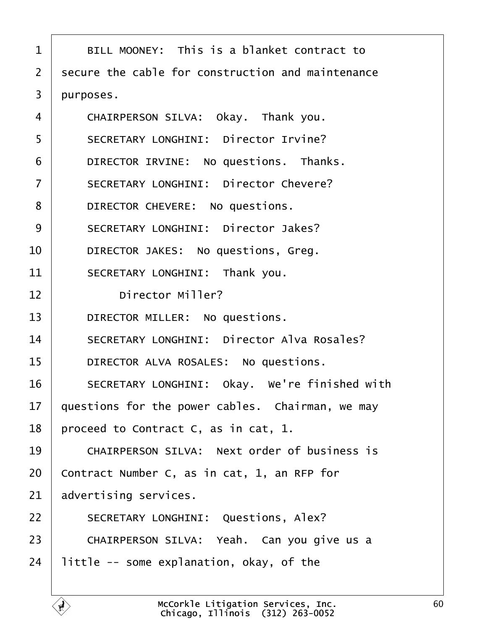| 1              | BILL MOONEY: This is a blanket contract to          |
|----------------|-----------------------------------------------------|
| 2              | secure the cable for construction and maintenance   |
| 3              | purposes.                                           |
| 4              | CHAIRPERSON SILVA: Okay. Thank you.                 |
| 5              | <b>SECRETARY LONGHINI: Director Irvine?</b>         |
| 6              | DIRECTOR IRVINE: No questions. Thanks.              |
| $\overline{7}$ | <b>SECRETARY LONGHINI: Director Chevere?</b>        |
| 8              | DIRECTOR CHEVERE: No questions.                     |
| 9              | <b>SECRETARY LONGHINI: Director Jakes?</b>          |
| 10             | DIRECTOR JAKES: No questions, Greg.                 |
| 11             | SECRETARY LONGHINI: Thank you.                      |
| 12             | <b>Director Miller?</b>                             |
| 13             | DIRECTOR MILLER: No questions.                      |
| 14             | <b>SECRETARY LONGHINI: Director Alva Rosales?</b>   |
| 15             | DIRECTOR ALVA ROSALES: No questions.                |
| 16             | SECRETARY LONGHINI: Okay. We're finished with       |
| 17             | questions for the power cables. Chairman, we may    |
| 18             | proceed to Contract C, as in cat, 1.                |
| 19             | <b>CHAIRPERSON SILVA: Next order of business is</b> |
| 20             | Contract Number C, as in cat, 1, an RFP for         |
| 21             | advertising services.                               |
| 22             | <b>SECRETARY LONGHINI: Questions, Alex?</b>         |
| 23             | CHAIRPERSON SILVA: Yeah. Can you give us a          |
| 24             | little -- some explanation, okay, of the            |
|                |                                                     |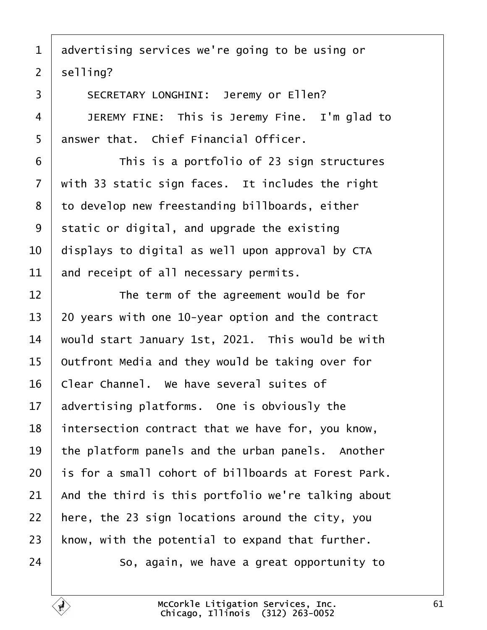|  | 1 advertising services we're going to be using or |  |  |  |  |  |  |  |
|--|---------------------------------------------------|--|--|--|--|--|--|--|
|--|---------------------------------------------------|--|--|--|--|--|--|--|

2 selling?

 $\sqrt{ }$ 

| 3              | <b>SECRETARY LONGHINI: Jeremy or Ellen?</b>         |  |  |  |  |  |  |
|----------------|-----------------------------------------------------|--|--|--|--|--|--|
| $\overline{4}$ | JEREMY FINE: This is Jeremy Fine. I'm glad to       |  |  |  |  |  |  |
| 5              | answer that. Chief Financial Officer.               |  |  |  |  |  |  |
| 6              | This is a portfolio of 23 sign structures           |  |  |  |  |  |  |
| $\overline{7}$ | with 33 static sign faces. It includes the right    |  |  |  |  |  |  |
| 8              | to develop new freestanding billboards, either      |  |  |  |  |  |  |
| 9              | static or digital, and upgrade the existing         |  |  |  |  |  |  |
| 10             | displays to digital as well upon approval by CTA    |  |  |  |  |  |  |
| 11             | and receipt of all necessary permits.               |  |  |  |  |  |  |
| 12             | The term of the agreement would be for              |  |  |  |  |  |  |
| 13             | 20 years with one 10-year option and the contract   |  |  |  |  |  |  |
| 14             | would start January 1st, 2021. This would be with   |  |  |  |  |  |  |
| 15             | Outfront Media and they would be taking over for    |  |  |  |  |  |  |
| 16             | Clear Channel. We have several suites of            |  |  |  |  |  |  |
| 17             | advertising platforms. One is obviously the         |  |  |  |  |  |  |
| 18             | intersection contract that we have for, you know,   |  |  |  |  |  |  |
| 19             | the platform panels and the urban panels. Another   |  |  |  |  |  |  |
| 20             | is for a small cohort of billboards at Forest Park. |  |  |  |  |  |  |
| 21             | And the third is this portfolio we're talking about |  |  |  |  |  |  |
| 22             | here, the 23 sign locations around the city, you    |  |  |  |  |  |  |
| 23             | know, with the potential to expand that further.    |  |  |  |  |  |  |
| 24             | So, again, we have a great opportunity to           |  |  |  |  |  |  |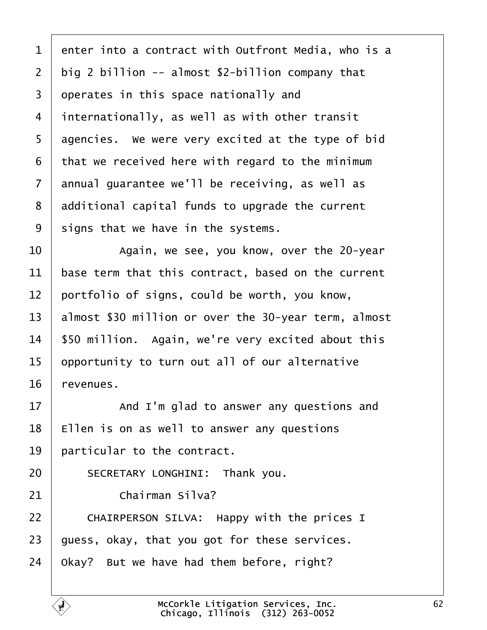| 1              | enter into a contract with Outfront Media, who is a  |
|----------------|------------------------------------------------------|
| $\overline{2}$ | big 2 billion -- almost \$2-billion company that     |
| 3              | operates in this space nationally and                |
| 4              | internationally, as well as with other transit       |
| 5              | agencies. We were very excited at the type of bid    |
| 6              | that we received here with regard to the minimum     |
| 7              | annual guarantee we'll be receiving, as well as      |
| 8              | additional capital funds to upgrade the current      |
| 9              | signs that we have in the systems.                   |
| 10             | Again, we see, you know, over the 20-year            |
| 11             | base term that this contract, based on the current   |
| 12             | portfolio of signs, could be worth, you know,        |
| 13             | almost \$30 million or over the 30-year term, almost |
| 14             | \$50 million. Again, we're very excited about this   |
| 15             | opportunity to turn out all of our alternative       |
| 16             | revenues.                                            |
| 17             | And I'm glad to answer any questions and             |
| 18             | Ellen is on as well to answer any questions          |
| 19             | particular to the contract.                          |
| 20             | SECRETARY LONGHINI: Thank you.                       |
| 21             | <b>Chairman Silva?</b>                               |
| 22             | CHAIRPERSON SILVA: Happy with the prices I           |
| 23             | guess, okay, that you got for these services.        |
| 24             | Okay? But we have had them before, right?            |
|                |                                                      |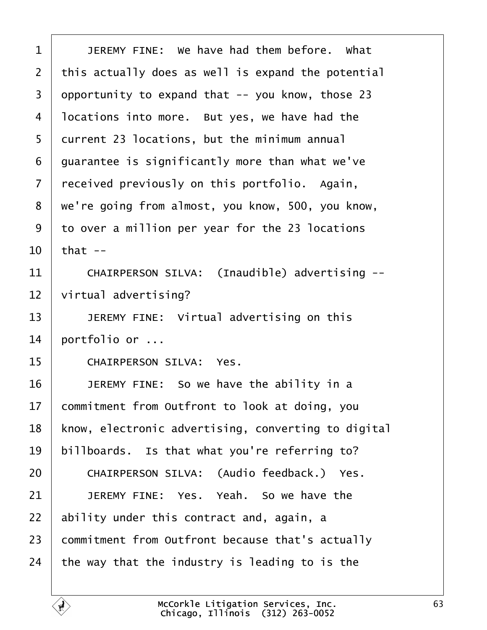| 1  | JEREMY FINE: We have had them before. What          |
|----|-----------------------------------------------------|
| 2  | this actually does as well is expand the potential  |
| 3  | opportunity to expand that -- you know, those 23    |
| 4  | Incations into more. But yes, we have had the       |
| 5  | durrent 23 locations, but the minimum annual        |
| 6  | guarantee is significantly more than what we've     |
| 7  | received previously on this portfolio. Again,       |
| 8  | we're going from almost, you know, 500, you know,   |
| 9  | to over a million per year for the 23 locations     |
| 10 | that $-$                                            |
| 11 | CHAIRPERSON SILVA: (Inaudible) advertising --       |
| 12 | virtual advertising?                                |
| 13 | JEREMY FINE: Virtual advertising on this            |
| 14 | portfolio or                                        |
| 15 | <b>CHAIRPERSON SILVA: Yes.</b>                      |
| 16 | JEREMY FINE: So we have the ability in a            |
| 17 | commitment from Outfront to look at doing, you      |
| 18 | know, electronic advertising, converting to digital |
| 19 | billboards. Is that what you're referring to?       |
| 20 | CHAIRPERSON SILVA: (Audio feedback.) Yes.           |
| 21 | JEREMY FINE: Yes. Yeah. So we have the              |
| 22 | ability under this contract and, again, a           |
| 23 | commitment from Outfront because that's actually    |
| 24 | the way that the industry is leading to is the      |
|    |                                                     |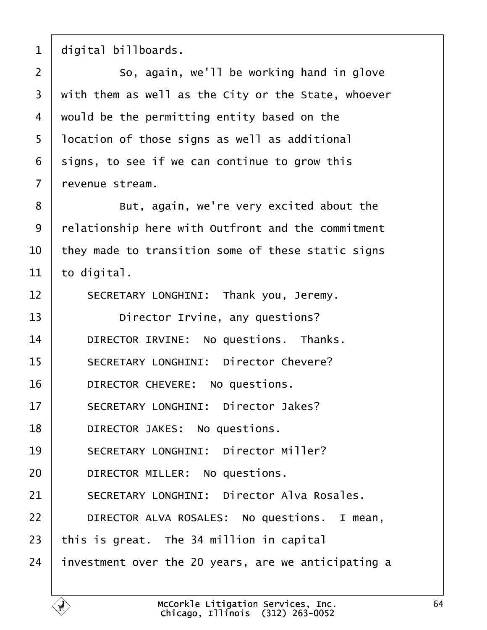1 digital billboards.

2 **So.** again, we'll be working hand in glove 3 with them as well as the City or the State, whoever 4 would be the permitting entity based on the 5 location of those signs as well as additional 6 signs, to see if we can continue to grow this 7 revenue stream. 8 **But, again, we're very excited about the** 9 relationship here with Outfront and the commitment 10 they made to transition some of these static signs 11  $\pm$  to digital. 12 | SECRETARY LONGHINI: Thank you, Jeremy. 13 **Director Irvine, any questions?** 14 | DIRECTOR IRVINE: No questions. Thanks. 15 | SECRETARY LONGHINI: Director Chevere? 16 | DIRECTOR CHEVERE: No questions. 17 | SECRETARY LONGHINI: Director Jakes? 18 | DIRECTOR JAKES: No questions. 19 | SECRETARY LONGHINI: Director Miller? 20 | DIRECTOR MILLER: No questions. 21 | SECRETARY LONGHINI: Director Alva Rosales. 22 | DIRECTOR ALVA ROSALES: No questions. I mean, 23 this is great. The 34 million in capital 24 investment over the 20 years, are we anticipating a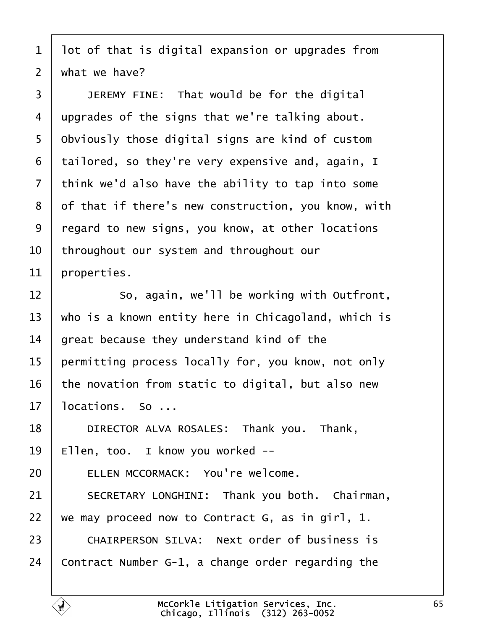- 1 lot of that is digital expansion or upgrades from
- 2 what we have?
- 3 | JEREMY FINE: That would be for the digital
- 4 upgrades of the signs that we're talking about.
- 5 Obviously those digital signs are kind of custom
- 6 tailored, so they're very expensive and, again, I
- 7 think we'd also have the ability to tap into some
- 8 of that if there's new construction, you know, with
- ·9· ·regard to new signs, you know, at other locations
- 10 throughout our system and throughout our
- 11 properties.
- 12 **So.** again, we'll be working with Outfront,
- 13 who is a known entity here in Chicagoland, which is
- 14 great because they understand kind of the
- 15 permitting process locally for, you know, not only
- 16 the novation from static to digital, but also new
- 17 locations. So ...
- 18 | DIRECTOR ALVA ROSALES: Thank you. Thank,
- 19 Ellen, too. I know you worked --
- 20 | ELLEN MCCORMACK: You're welcome.
- 21 | SECRETARY LONGHINI: Thank you both. Chairman,
- 22 we may proceed now to Contract G, as in girl, 1.
- 23 CHAIRPERSON SILVA: Next order of business is
- 24 Contract Number G-1, a change order regarding the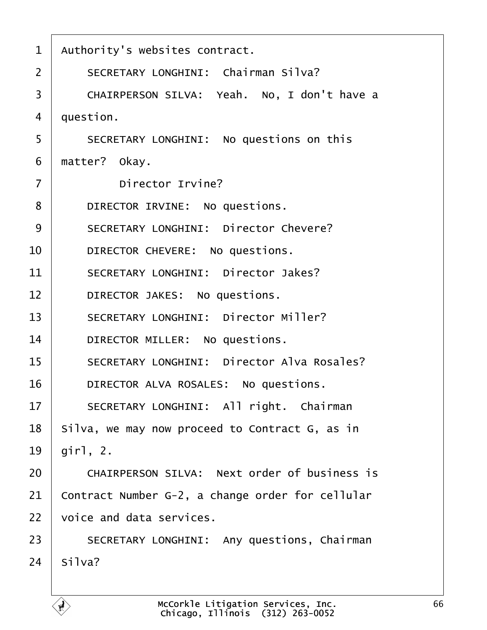| $\mathbf 1$    | Authority's websites contract.                      |
|----------------|-----------------------------------------------------|
| $\overline{2}$ | <b>SECRETARY LONGHINI: Chairman Silva?</b>          |
| 3              | CHAIRPERSON SILVA: Yeah. No, I don't have a         |
| 4              | question.                                           |
| 5              | SECRETARY LONGHINI: No questions on this            |
| 6              | matter? Okay.                                       |
| $\overline{7}$ | Director Irvine?                                    |
| 8              | DIRECTOR IRVINE: No questions.                      |
| 9              | <b>SECRETARY LONGHINI: Director Chevere?</b>        |
| 10             | DIRECTOR CHEVERE: No questions.                     |
| 11             | <b>SECRETARY LONGHINI: Director Jakes?</b>          |
| 12             | DIRECTOR JAKES: No questions.                       |
| 13             | <b>SECRETARY LONGHINI: Director Miller?</b>         |
| 14             | DIRECTOR MILLER: No questions.                      |
| 15             | <b>SECRETARY LONGHINI: Director Alva Rosales?</b>   |
| 16             | DIRECTOR ALVA ROSALES: No questions.                |
| 17             | SECRETARY LONGHINI: All right. Chairman             |
| 18             | Silva, we may now proceed to Contract G, as in      |
| 19             | $\chi$ irl, 2.                                      |
| 20             | <b>CHAIRPERSON SILVA: Next order of business is</b> |
| 21             | Contract Number G-2, a change order for cellular    |
| 22             | voice and data services.                            |
| 23             | <b>SECRETARY LONGHINI: Any questions, Chairman</b>  |
| 24             | Silva?                                              |
|                |                                                     |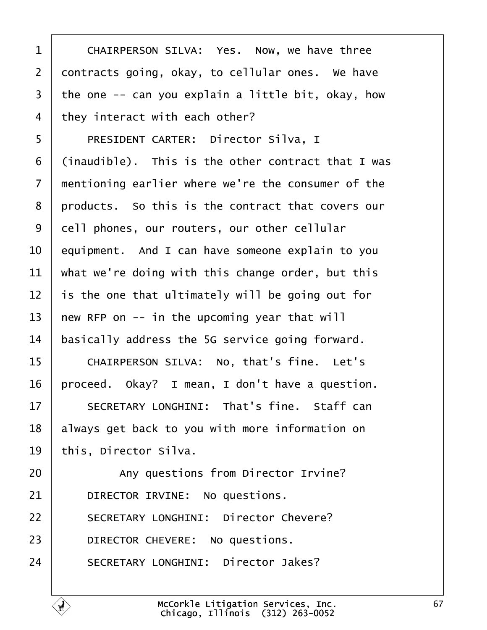| 1              | CHAIRPERSON SILVA: Yes. Now, we have three         |
|----------------|----------------------------------------------------|
| $\overline{2}$ | dontracts going, okay, to cellular ones. We have   |
| 3              | the one -- can you explain a little bit, okay, how |
| 4              | they interact with each other?                     |
| 5              | <b>PRESIDENT CARTER: Director Silva, I</b>         |
| 6              | (inaudible). This is the other contract that I was |
| $\overline{7}$ | mentioning earlier where we're the consumer of the |
| 8              | products. So this is the contract that covers our  |
| 9              | dell phones, our routers, our other cellular       |
| 10             | equipment. And I can have someone explain to you   |
| 11             | what we're doing with this change order, but this  |
| 12             | is the one that ultimately will be going out for   |
| 13             | hew RFP on -- in the upcoming year that will       |
| 14             | basically address the 5G service going forward.    |
| 15             | CHAIRPERSON SILVA: No, that's fine. Let's          |
| 16             | proceed. Okay? I mean, I don't have a question.    |
| 17             | SECRETARY LONGHINI: That's fine. Staff can         |
| 18             | always get back to you with more information on    |
| 19             | this, Director Silva.                              |
| 20             | Any questions from Director Irvine?                |
| 21             | DIRECTOR IRVINE: No questions.                     |
| 22             | <b>SECRETARY LONGHINI: Director Chevere?</b>       |
| 23             | DIRECTOR CHEVERE: No questions.                    |
| 24             | <b>SECRETARY LONGHINI: Director Jakes?</b>         |
|                |                                                    |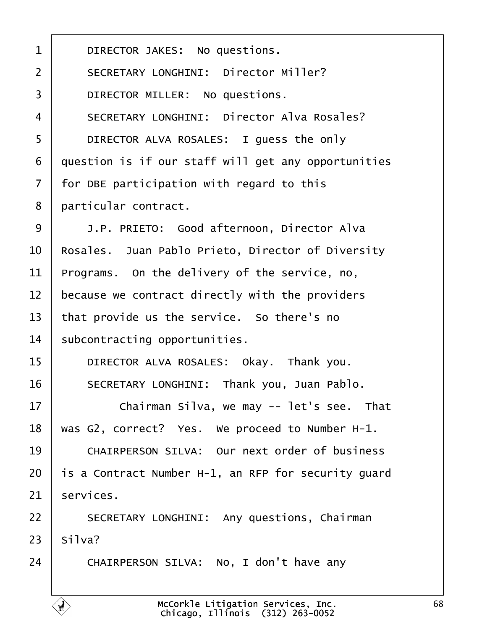| 1              | DIRECTOR JAKES: No questions.                        |
|----------------|------------------------------------------------------|
| $\overline{2}$ | <b>SECRETARY LONGHINI: Director Miller?</b>          |
| 3              | DIRECTOR MILLER: No questions.                       |
| $\overline{4}$ | <b>SECRETARY LONGHINI: Director Alva Rosales?</b>    |
| 5              | DIRECTOR ALVA ROSALES: I guess the only              |
| 6              | question is if our staff will get any opportunities  |
| $\overline{7}$ | for DBE participation with regard to this            |
| 8              | particular contract.                                 |
| 9              | J.P. PRIETO: Good afternoon, Director Alva           |
| 10             | Rosales. Juan Pablo Prieto, Director of Diversity    |
| 11             | Programs. On the delivery of the service, no,        |
| 12             | because we contract directly with the providers      |
| 13             | that provide us the service. So there's no           |
| 14             | subcontracting opportunities.                        |
| 15             | DIRECTOR ALVA ROSALES: Okay. Thank you.              |
| 16             | SECRETARY LONGHINI: Thank you, Juan Pablo.           |
| 17             | Chairman Silva, we may -- let's see. That            |
| 18             | was G2, correct? Yes. We proceed to Number H-1.      |
| 19             | <b>CHAIRPERSON SILVA: Our next order of business</b> |
| 20             | is a Contract Number H-1, an RFP for security guard  |
| 21             | services.                                            |
| 22             | <b>SECRETARY LONGHINI: Any questions, Chairman</b>   |
| 23             | Silva?                                               |
| 24             | CHAIRPERSON SILVA: No, I don't have any              |
|                |                                                      |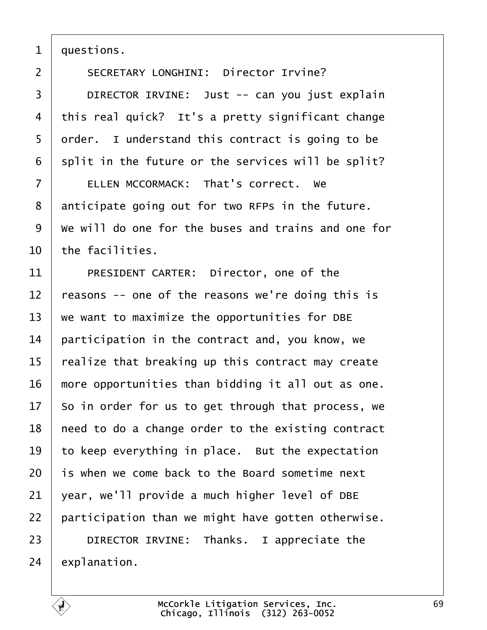1 duestions.

2 | SECRETARY LONGHINI: Director Irvine? 3 | DIRECTOR IRVINE: Just -- can you just explain 4 this real quick? It's a pretty significant change 5 drder. I understand this contract is going to be 6 split in the future or the services will be split? 7 | ELLEN MCCORMACK: That's correct. We 8 anticipate going out for two RFPs in the future. ·9· ·We will do one for the buses and trains and one for 10 the facilities. 11 | PRESIDENT CARTER: Director, one of the 12 reasons -- one of the reasons we're doing this is 13 we want to maximize the opportunities for DBE 14 **participation in the contract and, you know, we** 15 realize that breaking up this contract may create 16 more opportunities than bidding it all out as one. 17 So in order for us to get through that process, we 18 heed to do a change order to the existing contract 19 to keep everything in place. But the expectation 20 is when we come back to the Board sometime next 21  $\sqrt{2}$  vear, we'll provide a much higher level of DBE 22 participation than we might have gotten otherwise. 23 | DIRECTOR IRVINE: Thanks. I appreciate the  $24$  explanation.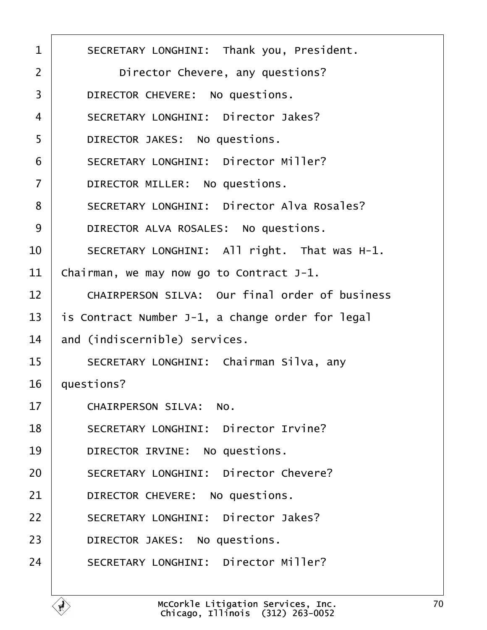| 1              | <b>SECRETARY LONGHINI: Thank you, President.</b>      |
|----------------|-------------------------------------------------------|
| 2              | Director Chevere, any questions?                      |
| 3              | DIRECTOR CHEVERE: No questions.                       |
| 4              | <b>SECRETARY LONGHINI: Director Jakes?</b>            |
| 5              | DIRECTOR JAKES: No questions.                         |
| 6              | <b>SECRETARY LONGHINI: Director Miller?</b>           |
| $\overline{7}$ | DIRECTOR MILLER: No questions.                        |
| 8              | <b>SECRETARY LONGHINI: Director Alva Rosales?</b>     |
| 9              | DIRECTOR ALVA ROSALES: No questions.                  |
| 10             | SECRETARY LONGHINI: All right. That was H-1.          |
| 11             | Chairman, we may now go to Contract J-1.              |
| 12             | <b>CHAIRPERSON SILVA: Our final order of business</b> |
| 13             | is Contract Number J-1, a change order for legal      |
| 14             | and (indiscernible) services.                         |
| 15             | SECRETARY LONGHINI: Chairman Silva, any               |
| 16             | questions?                                            |
| 17             |                                                       |
|                | CHAIRPERSON SILVA: No.                                |
| 18             | <b>SECRETARY LONGHINI: Director Irvine?</b>           |
| 19             | DIRECTOR IRVINE: No questions.                        |
| 20             | <b>SECRETARY LONGHINI: Director Chevere?</b>          |
| 21             | DIRECTOR CHEVERE: No questions.                       |
| 22             | <b>SECRETARY LONGHINI: Director Jakes?</b>            |
| 23             | DIRECTOR JAKES: No questions.                         |
| 24             | <b>SECRETARY LONGHINI: Director Miller?</b>           |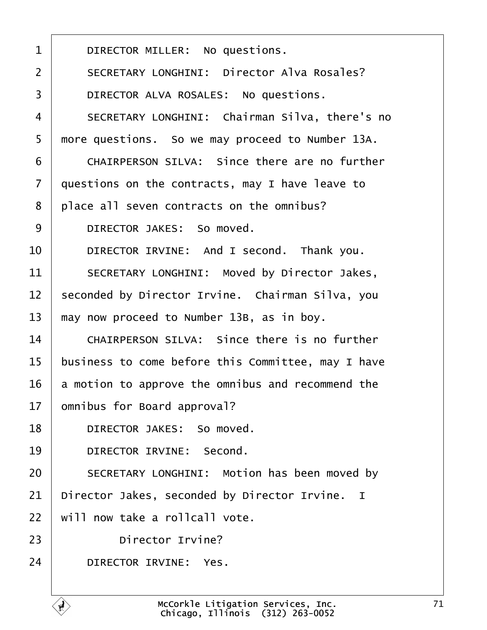| 1  | DIRECTOR MILLER: No questions.                      |
|----|-----------------------------------------------------|
| 2  | <b>SECRETARY LONGHINI: Director Alva Rosales?</b>   |
| 3  | DIRECTOR ALVA ROSALES: No questions.                |
| 4  | SECRETARY LONGHINI: Chairman Silva, there's no      |
| 5  | more questions. So we may proceed to Number 13A.    |
| 6  | CHAIRPERSON SILVA: Since there are no further       |
| 7  | questions on the contracts, may I have leave to     |
| 8  | place all seven contracts on the omnibus?           |
| 9  | DIRECTOR JAKES: So moved.                           |
| 10 | DIRECTOR IRVINE: And I second. Thank you.           |
| 11 | SECRETARY LONGHINI: Moved by Director Jakes,        |
| 12 | seconded by Director Irvine. Chairman Silva, you    |
| 13 | may now proceed to Number 13B, as in boy.           |
| 14 | <b>CHAIRPERSON SILVA: Since there is no further</b> |
| 15 | business to come before this Committee, may I have  |
| 16 | a motion to approve the omnibus and recommend the   |
| 17 | omnibus for Board approval?                         |
| 18 | DIRECTOR JAKES: So moved.                           |
| 19 | DIRECTOR IRVINE: Second.                            |
| 20 | SECRETARY LONGHINI: Motion has been moved by        |
| 21 | Director Jakes, seconded by Director Irvine. I      |
| 22 | will now take a rollcall vote.                      |
| 23 | Director Irvine?                                    |
| 24 | <b>DIRECTOR IRVINE: Yes.</b>                        |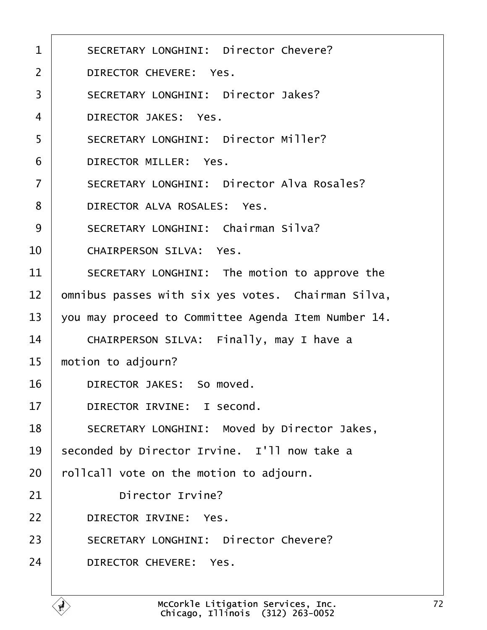| 1              | <b>SECRETARY LONGHINI: Director Chevere?</b>        |
|----------------|-----------------------------------------------------|
| $\overline{2}$ | DIRECTOR CHEVERE: Yes.                              |
| 3              | <b>SECRETARY LONGHINI: Director Jakes?</b>          |
| 4              | <b>DIRECTOR JAKES: Yes.</b>                         |
| 5              | <b>SECRETARY LONGHINI: Director Miller?</b>         |
| 6              | <b>DIRECTOR MILLER: Yes.</b>                        |
| $\overline{7}$ | <b>SECRETARY LONGHINI: Director Alva Rosales?</b>   |
| 8              | DIRECTOR ALVA ROSALES: Yes.                         |
| 9              | <b>SECRETARY LONGHINI: Chairman Silva?</b>          |
| 10             | <b>CHAIRPERSON SILVA: Yes.</b>                      |
| 11             | SECRETARY LONGHINI: The motion to approve the       |
| 12             | omnibus passes with six yes votes. Chairman Silva,  |
| 13             | you may proceed to Committee Agenda Item Number 14. |
| 14             | CHAIRPERSON SILVA: Finally, may I have a            |
| 15             | motion to adjourn?                                  |
| 16             | DIRECTOR JAKES: So moved.                           |
| 17             | DIRECTOR IRVINE: I second.                          |
| 18             | SECRETARY LONGHINI: Moved by Director Jakes,        |
| 19             | seconded by Director Irvine. I'll now take a        |
| 20             | folicall vote on the motion to adjourn.             |
| 21             | Director Irvine?                                    |
| 22             | <b>DIRECTOR IRVINE: Yes.</b>                        |
| 23             | <b>SECRETARY LONGHINI: Director Chevere?</b>        |
| 24             | DIRECTOR CHEVERE: Yes.                              |
|                |                                                     |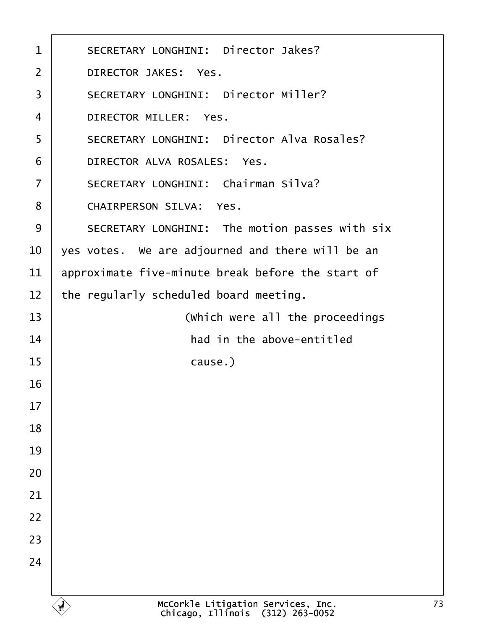<span id="page-72-0"></span>

| 1              | <b>SECRETARY LONGHINI: Director Jakes?</b>        |  |
|----------------|---------------------------------------------------|--|
| 2              | <b>DIRECTOR JAKES: Yes.</b>                       |  |
| 3              | <b>SECRETARY LONGHINI: Director Miller?</b>       |  |
| $\overline{4}$ | <b>DIRECTOR MILLER: Yes.</b>                      |  |
| 5              | <b>SECRETARY LONGHINI: Director Alva Rosales?</b> |  |
| 6              | DIRECTOR ALVA ROSALES: Yes.                       |  |
| 7              | <b>SECRETARY LONGHINI: Chairman Silva?</b>        |  |
| 8              | <b>CHAIRPERSON SILVA: Yes.</b>                    |  |
| 9              | SECRETARY LONGHINI: The motion passes with six    |  |
| 10             | yes votes. We are adjourned and there will be an  |  |
| 11             | approximate five-minute break before the start of |  |
| 12             | the regularly scheduled board meeting.            |  |
| 13             | (Which were all the proceedings                   |  |
| 14             | had in the above-entitled                         |  |
| 15             | cause.)                                           |  |
| 16             |                                                   |  |
| 17             |                                                   |  |
| 18             |                                                   |  |
| 19             |                                                   |  |
| 20             |                                                   |  |
| 21             |                                                   |  |
| 22             |                                                   |  |
| 23             |                                                   |  |
| 24             |                                                   |  |
|                |                                                   |  |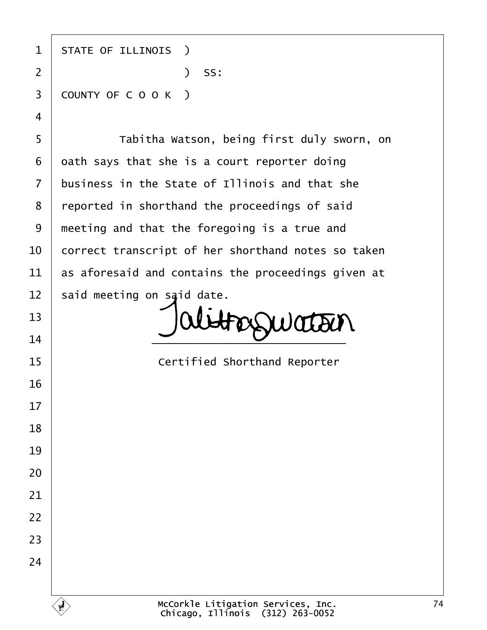| 1              | <b>STATE OF ILLINOIS</b> )                         |
|----------------|----------------------------------------------------|
| $\overline{2}$ | ) SS:                                              |
| 3              | COUNTY OF COOK)                                    |
| 4              |                                                    |
| 5              | Tabitha Watson, being first duly sworn, on         |
| 6              | dath says that she is a court reporter doing       |
| $\overline{7}$ | business in the State of Illinois and that she     |
| 8              | reported in shorthand the proceedings of said      |
| 9              | meeting and that the foregoing is a true and       |
| 10             | correct transcript of her shorthand notes so taken |
| 11             | as aforesaid and contains the proceedings given at |
| 12             | said meeting on said date.                         |
| 13             |                                                    |
| 14             |                                                    |
| 15             | <b>Certified Shorthand Reporter</b>                |
| 16             |                                                    |
| 17             |                                                    |
| 18             |                                                    |
| 19             |                                                    |
| 20             |                                                    |
| 21             |                                                    |
| 22             |                                                    |
| 23             |                                                    |
| 24             |                                                    |
|                |                                                    |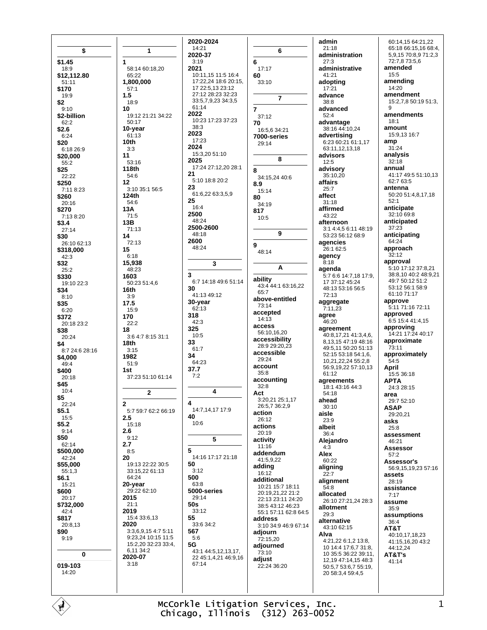\$ \$1.45  $18:9$ \$12,112.80  $51.11$ \$170  $19.9$  $$2$  $9.10$ \$2-billion  $62.2$  $$2.6$  $6.24$  $$20$ 6:18 26:9 \$20,000  $55.2$ \$25 22:22 \$250 7:11 8:23 \$260  $20:16$ \$270 7:13 8:20  $$3.4$  $27.14$ \$30 26:10 62:13 \$318,000  $42:3$  $$32$  $25.2$ \$330 19:10 22:3 \$34  $8:10$ \$35  $6:20$ \$372 20:18 23:2 \$38 20:24 \$4 8:7 24:6 28:16 \$4,000  $49:4$ \$400 20:18 \$45  $10:4$ \$5  $22.24$  $$5.1$  $15:5$  $$5.2$$  $9:14$ \$50  $62.14$ \$500,000  $42.24$ \$55,000  $55:1.3$ \$6.1 15:21 \$600  $20:17$ \$732,000  $A2 \cdot A$ \$817 20:8,13 \$90  $9:19$  $\mathbf 0$ 019-103 14:20

1 1 58:14 60:18,20 65:22 1.800.000  $57:1$  $1.5$ 18:9  $10$ 19:12 21:21 34:22  $50.17$ 10-year  $61.13$  $10<sub>th</sub>$  $3:3$  $11$  $53.16$ **118th** 54:6  $12$ 3:10 35:1 56:5 124th  $54.6$ 13A  $71:5$  $13B$ 71:13  $14$  $72.13$ 15  $6:18$ 15,938  $48:23$ 1603 50:23 51:4,6  $16th$  $3:9$ 17.5  $15:9$ 170  $22:2$ 18 3:6 4:7 8:15 31:1  $18th$  $3:15$ 1982 51:9 1st 37:23 51:10 61:14  $\mathbf{z}$  $\overline{2}$ 5:7 59:7 62:2 66:19  $2.5$ 15:18  $2.6$  $9.12$  $2.7$  $8:5$ 20 19:13 22:22 30:5 33:15.22 61:13 64:24 20-year 29:22 62:10 2015  $21:1$ 2019  $15:433:613$ 2020 3:3,6,9,15 4:7 5:11 9:23,24 10:15 11:5 15:2,20 32:23 33:4. 6,11 34:2 2020-07  $3.18$ 

2020-2024 14:21 2020-37  $3.19$ 6 2021 10:11 15 11:5 16:4 17:22,24 18:6 20:15, 17 22:5,13 23:12 27:12 28:23 32:23 33:5,7,9,23 34:3,5 61:14  $\overline{7}$ 2022 10:23 17:23 37:23  $38.3$ 2023 17:23 2024 15:3,20 51:10 2025 17:24 27:12,20 28:1 8  $21$ 5:10 18:8 20:2 23 61:6,22 63:3,5,9 25  $16:4$ 2500 48:24 2500-2600  $48.18$ 2600 9 48:24  $\mathbf{3}$ 6:7 14:18 49:6 51:14 30  $41.1349.12$ 30-year  $62:13$  $318$  $42.3$ 325  $10:5$ 33  $61:7$ 34 64:23 37.7  $7:2$  $\overline{\mathbf{A}}$ 14:7,14,17 17:9 40  $10.6$ 5 14:16 17:17 21:18 50  $3:12$ 500  $63.8$ 5000-series  $29:14$  $50s$  $33.12$ 55  $33.634.2$ 567  $5:6$ 5G 43:1 44:5.12.13.17. 22 45:1,4,21 46:9,16  $67.14$ 

3

4

5

6  $17:17$ 60  $33:10$  $\overline{7}$  $37:12$ 70 16:5,6 34:21 7000-series 29:14 8  $34.1524406$  $8.9$ 15:14 80  $34:19$ 817  $10.5$  $\overline{9}$ 48:14 A ability 43:4 44:1 63:16,22  $65.7$ above-entitled  $73.14$ accepted  $14:13$ access  $56:10.16.20$ accessibility 28:9 29:20.23 accessible 29:24 account  $35.8$ accounting  $32:8$ Act 3:20,21 25:1,17 26:5.7 36:2.9 action 26:12 actions 20:19 activity  $11.16$ addendum 41:5,9,22 adding  $16:12$ additional 10:21 15:7 18:11 20:19,21,22 21:2 22:13.23:11.24:20 38:5 43:12 46:23 55:1 57:11 62:8 64:5 address 3:10 34:9 46:9 67:14 adiourn 72:15.20 adjourned  $73:10$ adiust  $22.24.36.20$ 

admin  $21:18$ administration  $27.3$ administrative  $41.21$ adopting  $17:21$ advance  $38.8$ advanced 52:4 advantage 38:16 44:10,24 advertising 6:23 60:21 61:1,17 63:11.12.13.18 advisors  $12.5$ advisory  $35:10.20$ affairs  $25:7$ affect 31:18 affirmed  $43.22$ afternoon 3:1 4:4,5 6:11 48:19 53:23 56:12 68:9 agencies 26:1 62:5 agency  $8:18$ agenda 5:7 6:6 14:7,18 17:9, 17 37:12 45:24 48:13 53:16 56:5  $72:13$ aggregate  $7:11,23$ agree 46:20 agreement 40.8 17 21 41:3 4 6 8.13.15 47:19 48:16 49:5,11 50:20 51:13 52:15 53:18 54:1.6. 10,21,22,24 55:2,8 56:9,19,22 57:10,13 61:12 agreements 18:1 43:16 44:3  $54.18$ ahead  $30:10$ aisle 23:9 albeit  $36.4$ Alejandro  $4:3$ Alex 60:22 aligning  $22:7$ alignment  $54:8$ allocated 26:10 27:21 24 28:3 allotment  $29:3$ alternative 43:10 62:15 Alva  $4.21$  22 6.1 2 13.8 10 14:4 17:6,7 31:8, 10 35:5 36:22 39:11, 12,19 47:14,15 48:3 50:5,7 53:6,7 55:19, 20 58:3,4 59:4,5

60:14.15 64:21.22 65:18 66:15,16 68:4, 5.9.15 70:8.9 71:2.3 72:7,8 73:5,6 amended  $15.5$ amending 14:20 amendment  $15:2,7,850:1951:3$ 9 amendments  $18.1$ amount 15:9 13 16:7 amp  $31:24$ analysis  $32:18$ annual  $41:1749:551:10.13$ 62:7 63:5 antenna 50:20 51:4,8,17,18  $52.1$ anticipate 32:10 69:8 anticipated  $37.23$ anticipating 64:24 approach  $32:12$ approval 5:10 17:12 37:8.21 38:8,10 40:2 48:9,21 49.7 50.12 51.2 53:12 56:1 58:9 61:10 71:17 approve 5:11 71:16 72:11 approved 6:5 15:4 41:4,15 approving<br>14:21 17:24 40:17 approximate  $73:11$ approximately  $54.5$ April 15:5 36:18 **APTA**  $24:328:15$ area 29:7 52:10 **ASAP** 29:20.21 asks  $25:8$ assessment  $46.21$ **Assessor**  $57.2$ Assessor's 56:9,15,19,23 57:16 assets 28:19 assistance  $7.17$ assume  $35:9$ assumptions  $36.4$ AT&T 40:10.17.18.23 41:15,16,20 43:2 44:12,24 AT&T's  $41:14$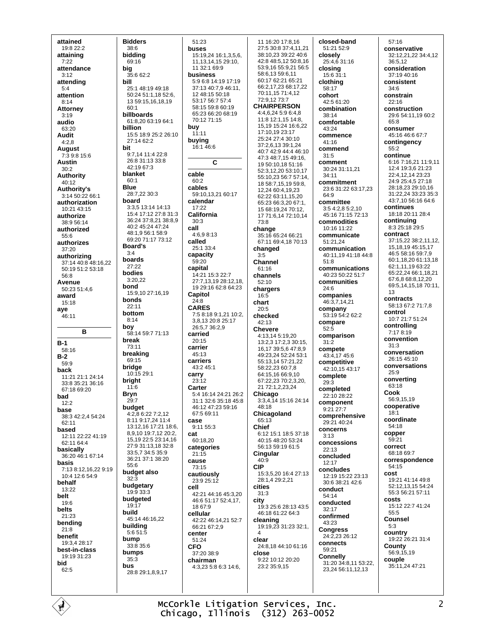attained 19:8 22:2 attaining  $7.22$ attendance  $3.12$ attending  $5:4$ attention  $8.14$ **Attorney**  $3:19$ audio 63:20 **Audit**  $4:2,8$ **August** 7:3 9:8 15:6 **Austin**  $30:2$ **Authority** 40:12 **Authority's** 3:14 50:22 66:1 authorization  $10.2143.15$ authorize 38:9 56:14 authorized  $55.6$ authorizes  $37:20$ authorizing 37:14 40:8 48:16,22 50:19 51:2 53:18 56.8 Avenue 50:23 51:4.6 award  $15:18$ aye  $46.11$ B  $B-1$  $58.16$  $B-2$  $59:9$ back 11.21.21.1.24.14 33:8 35:21 36:16 67:18 69:20 bad  $12:2$ base 38:3 42:2.4 54:24  $62.11$ based 12:11 22:22 41:19 62:11 64:4 basically 36:20 46:1 67:14 hasis 7:13 8:12,16,22 9:19  $10.4126549$ behalf 13:22 belt  $19.6$ belts 21:23 bendina  $21.8$ benefit 19:3.4 28:17 hest-in-class 19:19 31:23 bid  $62:5$ 

**Bidders**  $38:6$ biddina  $69.16$ big  $35.662.2$ bill 25:1 48:19 49:18 50:24 51:1,18 52:6, 13 59:15,16,18,19  $60.1$ billboards 61:8 20 63:19 64:1 billion 15:5 18:9 25:2 26:10 27:14 62:2 hit  $9.714114228$ 26:8.31:13.33:8 42:19 67:3 **hlanket**  $60:1$ **Blue** 28:7.22 30:3 hoard 3:3.5 13:14 14:13 15:4 17:12 27:8 31:3 36:24 37:8,21 38:8,9  $40.245.2447.24$ 48:1,9 56:1 58:9 69:20 71:17 73:12 **Board's**  $3·4$ boards 27:22 bodies  $3:20.22$ bond 15:9 10 27:16 19 bonds  $22:11$ bottom  $8.14$ boy 58.14 59.7 71.13 break 73:11 breaking  $69.15$ bridge 10:15 29:1 bright  $11:6$ **Bryn**  $29:7$ budget 4:2,8 6:22 7:2,12 8:11 9:17,24 11:4 13:12,16 17:21 18:6, 8,9,10 19:7,12 20:2, 15.19 22:5 23:14.16 27:9 31:13 18 32:8 33:5.7 34:5 35:9 36:21 37:1 38:20  $55.6$ budget also  $32:3$ budgetary  $19:9.33:3$ budgeted  $19:17$ build 45:14 46:16.22 building  $5:651:5$ bump 33:8 35:6 bumps  $35:3$ **bus** 28:8 29:1.8.9.17

15:19 24 16:1 3 5 6 11 13 14 15 29:10 11 32:1 69:9 **business** 5:9 6:8 14:19 17:19 37:13 40:7,9 46:11, 12 48:15 50:18 53:17 56:7 57:4 58:15 59:8 60:19 65:23 66:20 68:19 70:12 71:15 buying 16:1 46:6  $\mathbf c$ cables 59:10 13 21 60:17 calendar California  $4:6.98:13$  $25.1334$ capacity  $3.5$ capital 14:21 15:3 22:7 27:7,13,19 28:12,18, 19 29:16 62:8 64:23 Capitol chart **CARES** 7:5 8:18 9:1,21 10:2, 3.8.13 20:8 25:17 26:5,7 36:2,9 carried carriers 43:2 45:1 5:4 16:14 24:21 26:2  $31.1$   $32.6$   $35.18$   $45.8$ 46:12 47:23 59:16 67:5 69:11 9:11 55:3 Chief 60:18,20 categories **CIP** cautiously 23:9 25:12 cities 42:21 44:16 45:3,20 46:6 51:17 52:4,17, city  $1867.9$ cellular 42:22 46:14,21 52:7 66:21 67:2.9  $\overline{\mathbf{A}}$ clear  $37.20.38.9$ close chairman  $4:3$  23 5 $\cdot$ 8 6 $:3$  14 $\cdot$ 6

 $51.23$ 

buses

buy

 $11:11$ 

cable

60:2

17:22

 $30:3$ 

called

 $59.20$ 

 $24.8$ 

 $20:15$ 

 $45.13$ 

carrier

carry

 $23.12$ 

Carter

case

cat

 $21.15$ 

73:15

cause

cell

center

**CFO** 

51:24

call

11 16:20 17:8 16 27:5 30:8 37:4,11,21 38:10.23 39:22 40:6 42:8 48:5,12 50:8,16 53:9,16 55:9,21 56:5 58:6,13 59:6,11 60:17 62:21 65:21 66:2 17 23 68:17 22 70:11,15 71:4,12 72.9 12 73.7 **CHAIRPERSON** 4:4,6,24 5:9 6:4,8 11:8 12:1,15 14:8, 15,19 15:24 16:6,22 17:10.19 23:17 25:24 27:4 30:10 37:2,6,13 39:1,24 40:7 42:9 44:4 46:10 47:3 48:7,15 49:16, 19 50:10 18 51:16 52:3.12.20 53:10.17 55:10.23 56:7 57:14. 18.58.7.15.19.59.8 12 24 60:4 19 23 62:22 63:11,15,20 65:23 66:3 20 67:1 15 68:19 24 70:12 17 71:6,14 72:10,14 73:8 change 35:16 65:24 66:21 67:11 69:4,18 70:13 changed Channel 61:16 channels  $52:10$ chargers  $16:5$  $20.5$ checked  $42.13$ **Chevere** 4:13,14 5:19,20 13:2,3 17:2,3 30:15, 16, 17 39:5, 647:8, 9 49:23,24 52:24 53:1 55:13,14 57:21,22 58:22,23 60:7,8 64:15 16 66:9 10 67:22.23 70:2.3.20. 21 72:1.2.23.24 Chicago 3:3,4,14 15:16 24:14 48:18 Chicagoland  $65:13$ 6:12 15:1 18:5 37:18 40:15 48:20 53:24 56:13 59:19 61:5 Cingular 40:9 15:3.5.20.16:4.27:13 28:1 4 29:2 21  $31:3$ 19:3 25:6 28:13 43:5 46:18 61:22 64:3 cleaning 19:19,23 31:23 32:1, 24:8,18 44:10 61:16 9:22 10:12 20:20 23:2 35:9,15

closed-band 51:21 52:9 closelv 25:4.6 31:16 closing 15:6 31:1 clothing 58:17 cohort  $42.561.20$ combination 38:14 comfortable 43:24 commence 41:16 commend  $31:5$ comment 30:24 31:11.21  $34.11$ commitment 23:6 31:22 63:17,23 64:9 committee 3:5 4:2.8 5:2.10 45:16 71:15 72:13 commodities 10:16 11:22 communicate 51:21.24 communication 40:11.19 41:18 44:8  $51.8$ communications 40:23 50:22 51:7 communities  $24.6$ companies 46:3.7.14.21 company 53:19 54:2 62:2 compare  $52.5$ comparison  $31:2$ compete 43:4,17 45:6 competitive 42:10.15 43:17 complete  $29:3$ completed  $22.1028.22$ component  $9:21$   $27:7$ comprehensive 29:21 40:24 concerns  $3.13$ concessions 22:13 concluded  $12.17$ concludes 12:19 15:22 23:13 30:6 38:21 42:6 conduct  $54.14$ conducted  $32.17$ confirmed 43:23 **Congress** 24:2.23 26:12 connects 59:21 **Connelly** 31:20 34:8,11 53:22, 23,24 56:11,12,13

 $57.16$ conservative 32:12.21.22 34:4.12  $36:512$ consideration  $37.19 \text{ A}0.16$ consistent 34:6 constrain  $22.16$ construction 29:6 54:11,19 60:2  $65.8$ consumer 45:16 46:6 67:7 contingency 55.2 continue 6:16 7:16,21 11:9,11 12:4 19:3.6 21:23 22:4,12,14 23:23 24:9 25:4.5 27:18 28:18 23 29:10 16 31:22.24 33:23 35:3  $43.7105616646$ continues 18:18 20:11 28:4 continuing 8:3 25:18 29:5 contract 37:15.22 38:2.11.12. 15, 18, 19 45: 15, 17 46:558:1659:79 60:1,18,20 61:13,18 62:1,11,19 63:22 65:22,24 66:1,18,21 67:6.8 68:8.12.20 69:5, 14, 15, 18 70:11,  $13$ contracts 58:13 67:2 71:7 8 control 10:7 21:7 51:24 controlling 7:17 8:19 convention  $31.3$ conversation 26:15 45:10 conversations  $25.9$ converting  $63.18$ Cook 56:9,15,19 cooperative  $18.1$ coordinate 54:18 copper 59:21 correct 68:18 69:7 correspondence  $54.15$ cost 19.21 41.14 49.8 52:12 13 15 54:24 55:3 56:21 57:11 costs 15:12 22:7 41:24  $55.5$ **Counsel**  $5.3$ country 19:22 26:21 31:4 County 56:9,15,19 couple 35:11,24 47:21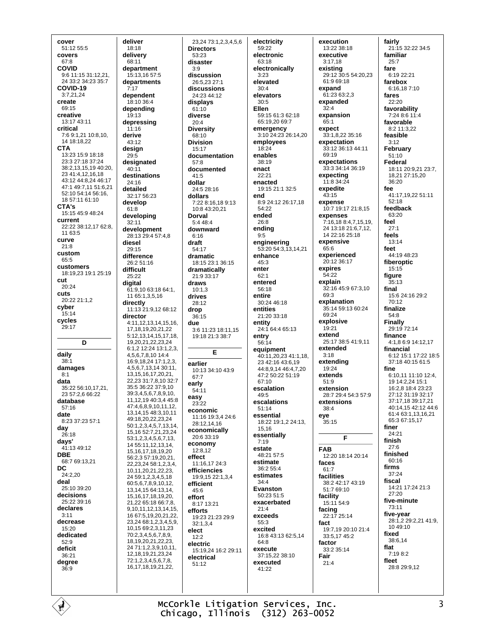cover 51:12 55:5 covers  $67.8$ COVID 9:6 11:15 31:12,21, 24 33:2 34:23 35:7 COVID-19  $3.72124$ create  $69.15$ creative 13:17 43:11 critical 76912110810 14 18:18,22 **CTA** 13:23 15:9 18:18 23:3 27:18 37:24 38:2,13,15,19 40:20, 23 41:4,12,16,18 43:12 44:8.24 46:17 47:1 49:7,11 51:6,21 52:10 54:14 56:16, 18 57:11 61:10 CTA's 15:15 45:9 48:24 current 22:22 38:12,17 62:8, 11 63:5 curve  $21:8$ custom  $65.5$ customers 18:19,23 19:1 25:19 cut.  $20.24$ cuts 20:22 21:1,2 cyber  $15.14$ cycles 29:17 D daily  $38 - 1$ damages  $8.1$ data 35:22 56:10,17,21,  $23.57.2666.22$ database 57:16 date  $8:23.37:23.57:1$ day  $26:18$ days'  $41:1349:12$ **DBE** 68:7 69:13,21 DC  $24:2.20$ deal 25:10.39:20 decisions  $25.22.39.16$ declares  $3.11$ decrease  $15:20$ dedicated 52:9 deficit  $36.21$ degree  $36:9$ 

deliver 18:18 delivery  $68.11$ denartment  $15.1316575$ departments  $7:17$ dependent  $18.10.36.4$ depending 19:13 depressing 11:16 derive 43:12 design  $29:5$ designated 40:11 destinations  $24.16$ detailed 32:17 56:23 develop  $61.8$ developing 32:11 development 28.13.29.4.57.4.8 diesel  $20.15$ difference 26:2 51:16 difficult  $25.22$ digital 61:9,10 63:18 64:1, 11 65:1,3,5,16 directly 11:13 21:9.12 68:12 director 4:11,12,13,14,15,16, 17, 18, 19, 20, 21, 22 5:12, 13, 14, 15, 17, 18, 19,20,21,22,23,24 6:1,2 12:24 13:1,2,3, 4,5,6,7,8,10 14:4 16:9,18,24 17:1,2,3, 4,5,6,7,13,14 30:11, 13.15.16.17.20.21. 22,23 31:7,8,10 32:7 35:5 36:22 37:9.10 39345678910 11.12.19 40:3.4 45:8 47:4,6,8,9,10,11,12, 13.14.15 48:3.10.11 49:18.20.22.23.24 50:1,2,3,4,5,7,13,14, 15, 16 52: 7, 21, 23, 24 53:1,2,3,4,5,6,7,13, 14 55:11, 12, 13, 14, 15, 16, 17, 18, 19, 20 56:2,3 57:19,20,21, 22, 23, 24 58: 1, 2, 3, 4, 10,11,20,21,22,23, 24 59:1,2,3,4,5,18 60:5,6,7,8,9,10,12,  $13,14,1564:13,14,$ 15, 16, 17, 18, 19, 20, 21 22 65:18 66:7 8 9, 10, 11, 12, 13, 14, 15 16 67:5.19.20.21.22 23,24 68:1,2,3,4,5,9 10.15 69:2.3.11.23 70:2,3,4,5,6,7,8,9, 18 19 20 21 22 23 24 71:1,2,3,9,10,11, 12, 18, 19, 21, 23, 24 72:1.2.3.4.5.6.7.8. 16, 17, 18, 19, 21, 22,

23,24 73:1,2,3,4,5,6 **Directors**  $53.23$ disaster  $3.9$ discussion 26:5,23 27:1 discussions  $24.2344.12$ displays  $61:10$ diverse  $20:4$ **Diversity**  $68.10$ **Division**  $15:17$ documentation  $57.8$ documented dollar 24:5 28:16 dollars 10:8 43:20 21 Dorval 5:4 48:4 downward  $6.16$ draft  $54.17$ dramatic 18:15 23:1 36:15 dramatically  $21.933.17$ draws  $10:1.3$ drives 28:12 drop  $36:15$ due 3:6 11:23 18:11,15 19:18 21:3 38:7 E earlier 10:13 34:10 43:9  $67.7$ early 54:11 easy  $23.22$ economic 11:16 19:3,4 24:6 28:12.14.16 economically 20:6 33:19 economy  $12.812$ effect 11:16,17 24:3 efficiencies 19:9,15 22:1,3,4 efficient  $45:6$ effort 8:17 13:21 efforts 19:23 21:23 29:9  $32.134$ elect  $12.2$ electric 15:19,24 16:2 29:11 electrical  $51.12$ 

electricity 59:22 electronic  $63.18$ electronically  $3.23$ elevated  $30:4$ elevators  $30.5$ Ellen 59:15 61:3 62:18 65:19,20 69:7 emergency 3:10 24:23 26:14.20 employees  $18.24$ enables 38:19 enact  $22.21$ enacted 19:15 21:1 32:5 end 8:9 24:12 26:17,18 54:22 ended 26:8 ending  $9.5$ engineering 53:20 54:3,13,14,21 enhance  $45:3$ enter  $62:1$ entered  $56.18$ entire 30:24 46:18 entities  $21.2033.18$ entity 24:1 64:4 65:13 entry  $56:14$ equipment 40:11,20,23 41:1.18. 23 42 16 43 6 19 44:8,9,14 46:4,7,20 47:2 50:22 51:19  $67.10$ escalation  $49.5$ escalations  $51.14$ essential 18:22 19:1,2 24:13. 15,16 essentially  $7.19$ estate 48:21 57:5 estimate 36:2 55:4 estimates  $34.4$ Evanston 50:23 51:5 exacerbated  $21:4$ exceeds 55:3 excited 16:8 43:13 62:5,14  $64.8$ execute 37:15,22 38:10 executed 41:22

execution 13:22 38:18 executive  $3.1718$ existing 29:12 30:5 54:20,23 61:9 69:18 expand 61:23 63:2.3 expanded  $32.4$ expansion  $65:1$ expect 33:1.8.22 35:16 expectation 33:12 36:13 44:11  $69.19$ expectations 33:3 34:14 36:19 expecting  $11.8.34.24$ expedite  $43:15$ expense 10:7 19:17 21:8.15 expenses 7:16,18 8:4,7,15,19, 24 13:18 21:6,7,12,  $14.22 \cdot 16.25 \cdot 18$ expensive  $65:6$ experienced  $20.12.36.17$ expires 54:22 explain 32:16 45:9 67:3.10 69:3 explanation 35:14 59:13 60:24  $69.24$ explosive  $19.21$ extend 25:17 38:5 41:9 11 extended  $3:18$ extendina  $19.24$ extends  $51:9$ extension 28:7 29:4 54:3 57:9 extensions  $38.4$ eye  $35:15$ E **FAR** 12:20 18:14 20:14 faces  $61:7$ facilities 38:2 42:17 43:19 51:7 69:10 facility  $-15:11.54:9$ facing 22:17 25:14 fact 19:7,19 20:10 21:4 33:5.17 45:2 factor  $33.235.14$ Fair  $21.4$ 

fairly 21:15 32:22 34:5 familiar  $25.7$ fare  $6.1922.21$ farebox 6:16,187:10 fares  $22.20$ favorability 7:24 8:6 11:4 favorable 8:2 11:3,22 feasible  $3:12$ February  $51:10$ **Federal** 18:11 20:9.21 23:7. 18 21 27 15 20  $36.20$ fee 41:17,19,22 51:11  $52:18$ feedback  $63.20$ feel  $27.1$ feels 13:14 feet 44.19 48.23 fiberoptic 15:15 figure  $35:13$ final 15:6 24:16 29:2  $70.12$ finalize 54:8 Finally  $29:1972:14$ finance 4:1,8 6:9 14:12,17 financial 6:12 15:1 17:22 18:5 37:18 40:15 61:5 fine 6:10,11 11:10 12:4, 19 14:2,24 15:1 16:2,8 18:4 23:23 27:12 31:19 32:17 37:17,18 39:17,21 40:14.15 42:12 44:6 61:4 63:1,13,16,21 65:3 67:15 17 finer  $24.21$ finish  $27:6$ finished  $60:16$ firms 37:24 fiscal 14:21 17:24 21:3  $27.20$ five-minute 73:11 five-year 28:1,2 29:2,21 41:9, 10 49:10 fixed 38:6.14 flat  $7:19.8:2$ fleet 28:8 29:9.12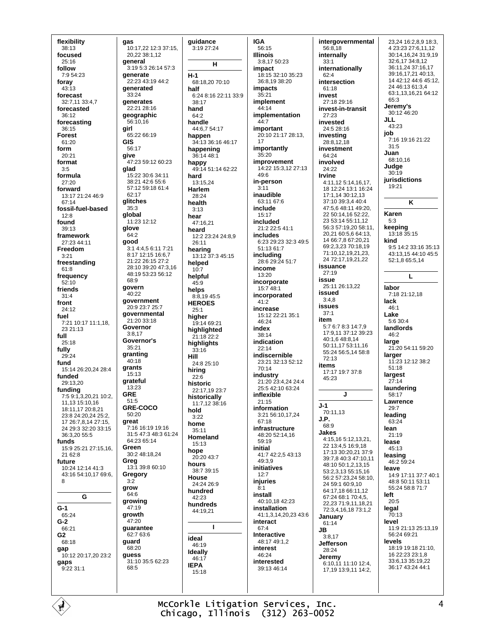flexibility  $38:13$ focused  $25.16$ follow  $7.954.23$ foray 43:13 forecast 32.7 11 33:4 7 forecasted 36:12 forecasting 36:15 **Forest** 61:20 form 20:21 format  $3:5$ formula 27:20 forward 13:17 21:24 46:9 67:14 fossil-fuel-based  $12:8$ found 39:13 framework 27:23 44:11 Freedom  $3.21$ freestanding  $61:8$ frequency  $52 - 10$ friends  $31:4$ front  $24.12$ fuel 7:21 10:17 11:1,18, 23 21:13 full  $25:18$ fully  $29.24$ fund 15:14 26:20.24 28:4 funded 29:13,20 funding 7:5 9:1,3,20,21 10:2, 11,13 15:10,16 18:11.17 20:8.21 23:8 24:20,24 25:2, 17 26:7,8,14 27:15, 24 29:3 32:20 33:15 36:3,20 55:5 funds 15:9 25:21 27:15.16. 21 62:8 future 10:24 12:14 41:3 43:16 54:10,17 69:6, 8 G  $G-1$  $65.24$  $G-2$  $66.21$  $G<sub>2</sub>$ 68:18 gap 10:12 20:17 20 23:2 gaps 9:22 31:1

aas 10:17,22 12:3 37:15, 20.22 38:1.12 general 3:19 5:3 26:14 57:3 generate 22:23 43:19 44:2 generated  $33.24$ generates  $22.2128.16$ geographic 56:10.16 girl 65:22.66:19 GIS  $56.17$ give 47:23 59:12 60:23 glad  $15:22$  30:6 34:11 38:21 42:6 55:6 57:12 59:18 61:4 62:17 glitches  $35:3$ global 11:23 12:12 glove  $64.2$ good 3:1 4:4,5 6:11 7:21 8:17 12:15 16:6,7 21:22 26:15 27:2 28:10 39:20 47:3 16 48:19 53:23 56:12  $68.9$ govern 40:22 government 20:9 23:7 25:7 governmental  $21:20.33:18$ Governor  $3:8.17$ Governor's  $35:21$ granting 40:18 grants  $15:13$ grateful  $13.23$ **GRE**  $51:5$ GRE-COCO  $50.20$ great 7:16 16:19 19:16 31:5 47:3 48:3 61:24 64:23 65:14 Green 30:2 48:18,24 Greg 13:1 39:8 60:10 Gregory  $3:2$ grow  $64.6$ growing 47:19 growth  $47.20$ guarantee  $62.7636$ guard 68:20 guess 31:10 35:5 62:23  $68:5$ 

quidance 3:19 27:24  $\mathbf{H}$  $H-1$ 68:18,20 70:10 half 6:24 8:16 22:11 33:9 38:17 hand  $64:2$ handle 44:6.7 54:17 happen 34:13 36:16 46:17 happening 36:14 48:1 happy 49:14 51:14 62:22 hard 13:15.24 **Harlem**  $28.24$ health  $3:13$ hear  $47.1621$ heard  $22.23:2424:8.9$  $26.11$ hearing 13:12 37:3 45:15 helped  $10-7$ helpful  $45:9$ helps 8:8,19 45:5 **HEROES**  $25.1$ hiaher 19:14 69:21 hiahliahted 21:18 22:2 hiahliahts  $33.16$ Hill 24:8 25:10 hiring  $22.6$ historic 22:17,19 23:7 historically 11:7,12 38:16 hold  $3:22$ home  $35:11$ Homeland  $15:13$ hope 20:20 43:7 hours 38:7 39:15 House  $24.2426.9$ hundred  $42.23$ hundreds  $44.1921$ T ideal  $46.19$ Ideally  $46:17$ **IEPA**  $15.18$ 

**IGA** 56:15 **Illinois** 3:8.17 50:23 impact 18:15 32:10 35:23 36:8 19 38:20 impacts  $35.21$ implement  $\overline{A}$ -14 implementation  $44:7$ important 20:10 21:17 28:13. 17 importantly  $35:20$ improvement 14:22 15:3,12 27:13  $49.6$ in-nerson  $3:11$ inaudible 63:11 67:6 include  $15:17$ included 21:2 22:5 41:1 includes 6:23 29:23 32:3 49:5 51:13 61:7 including 28:6 29:24 51:7 income 13:20 incorporate  $15.748.1$ incorporated  $41.2$ increase 15:12 22:21 35:1 46:24 index  $38.14$ indication  $22:14$ indiscernible 23:21 32:13 52:12  $70.14$ industry 21:20 23:4.24 24:4 25:5 42:10 63:24 inflexible  $21:15$ information 3:21 56:10 17 24  $67.18$ infrastructure 48:20 52:14.16  $59.19$ initial 41:7 42:2,5 43:13  $49.39$ initiatives  $12:7$ injuries  $8:1$ install 40:10,18 42:23 installation 41:1,3,14,20,23 43:6 interact  $67.4$ Interactive 48:17 49:1,2 interest 46:24 interested 39:13.46:14

intergovernmental  $56:8.18$ internally  $33.1$ internationally  $62.4$ intersection 61:18 invest 27:18.29:16 invest-in-transit 27:23 invested 24:5 28:16 investing  $28:8,12,18$ investment 64:24 involved 24:22 Irvine 4:11,12 5:14,16,17, 18 12:24 13:1 16:24 17:1,14 30:12,13 37:10 39:3,4 40:4 47:5,6 48:11 49:20, 22 50:14,16 52:22, 23 53:14 55:11,12 56:3 57:19,20 58:11, 20.21 60:5.6 64:13. 14 66 7 8 67 20 21 69:2.3.23 70:18.19 71:10,12,19,21,23, 24 72:17.19.21.22 issuance 27:19 issue 25:11 26:13,22 issued  $3:4,8$ issues  $37:1$ item 5:7 6:7 8:3 14:7.9 17:9 11 37:12 39:23 40:1 6 48:8 14 50:11.17 53:11.16 55:24 56:5,14 58:8  $72.13$ items 17:17 19:7 37:8 45:23 J  $J-1$  $70.1113$ J.P.  $6.89$ Jakes 4:15,16 5:12,13,21, 22 13:4.5 16:9.18 17:13 30:20,21 37:9 39.7 8 40:3 47:10 11 48:10 50:1 2 13 15 53:2.3.13 55:15.16 56:2.57:23.24.58:10 24 59:1 60:9.10 64:17.18 66:11.12 67:24 68:1 70:4,5, 22,23 71:9,11,18,21 72:3,4,16,18 73:1,2 January 61:14 JB.  $3.817$ **Jefferson** 28:24 Jeremy  $6:10.11$  11:10 12:4. 17.19 13:9.11 14:2.

23.24 16:2.8.9 18:3. 4 23:23 27:6,11,12 30:14.16.24 31:9.19 32:6,17 34:8,12 36:11,24 37:16,17 39:16,17,21 40:13, 14 42:12 44:6 45:12, 24 46 13 61 3 4 63:1,13,16,21 64:12  $65.3$ Jeremy's 30:12 46:20 **JLL**  $43.23$ job 7:16 19:16 21:22  $31:5$ Juan 68:10.16 Judge  $30:19$ jurisdictions  $19.21$ K Karen  $5:3$ keeping 13:18 35:15 kind 9:5 14:2 33:16 35:13 43:13,15 44:10 45:5 52:1,8 65:5,14 I. labor 7:18 21:12,18 lack  $46.1$ Lake 5:6 30:4 landlords  $46:2$ large 21:20 54:11 59:20 larger 11:23 12:12 38:2  $51:18$ largest  $27:14$ laundering 58:17 Lawrence  $29:7$ leading  $63.24$ lean  $21:19$ lease  $45.13$ leasing 46:2 59:24 leave 14:9 17:11 37:7 40:1 48:8 50:11 53:11 55:24 58:8 71:7  $left$  $20:5$ legal  $\bar{70}$  13 level 11:9 21:13 25:13 19 56:24 69:21 levels 18:19 19:18 21:10, 16 22:23 23:1,8 33:6,13 35:19,22 36:17 43:24 44:1

McCorkle Litigation Services, Inc. Chicago, Illinois (312) 263-0052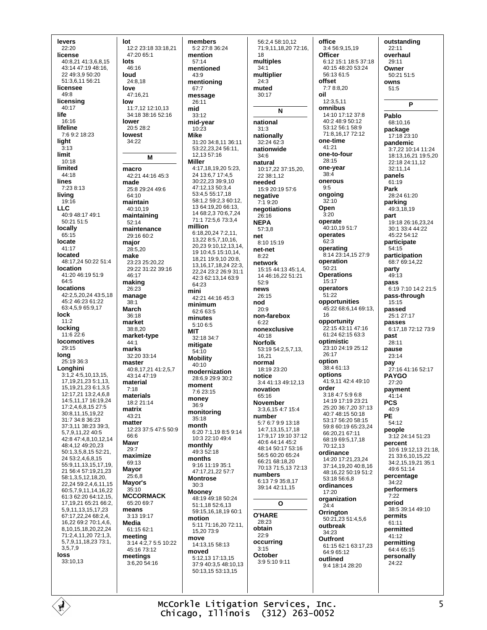levers  $22:20$ license 40.8.21.41.3.6.8.15 43:14 47:19 48:16 22 49:3 9 50:20 51:3 6 11 56:21 licensee 49:8 licensing  $40.17$ life  $16.16$ lifeline 7:6 9:2 18:23 light  $3.13$ limit  $10:18$ limited 44:18 lines 7:23 8:13 living  $19:16$ **LLC** 40.9 48.17 49.1 50:21 51:5 locally  $65:15$ locate 41:17 located 48:17 24 50:22 51:4 location 41:20 46:19 51:9  $64:5$ **locations** 42:2.5.20.24 43:5.18 45:2 46:23 61:22 63:4.5.9 65:9.17 lock  $11:2$ locking 11:6 22:6 **locomotives**  $29:15$ long 25:19 36:3 Longhini 3:1,2 4:5,10,13,15, 17, 19, 21, 23 5: 1, 13, 15.19.21.23 6:1.3.5 12:17.21 13:2.4.6.8 14:5,11,17 16:19,24 17:2.4.6.8.15 27:5 30:8,11,15,19,22 31:7 34:8 36:23 37:3,11 38:23 39:3, 5,7,9,11,22 40:5 42:8 47:4,8,10,12,14 48:4,12 49:20,23 50:1,3,5,8,15 52:21, 24 53:2.4.6.8.15 55:9,11,13,15,17,19, 21 56:4 57:19 21 23 58:1 3 5 12 18 20 22,24 59:2,4,6,11,15 60:5.7.9.11.14.16.22 61:3 62:20 64:12.15. 17.19.21 65:21 66:2. 5,9,11,13,15,17,23 67:17,22,24 68:2,4, 16,22 69:2 70:1,4,6 8,10,15,18,20,22,24 71:2,4,11,20 72:1,3, 5,7,9,11,18,23 73:1, 3.5.7.9 loss 33:10.13

lot 12:2 23:18 33:18,21 47:20 65:1 lots  $46.16$ loud 24:8,18 love  $47.1621$ low  $11.712121013$ 34:18 38:16 52:16 lower 20:5 28:2 lowest  $34:22$ M macro 42:21 44:16 45:3 made 25:8 29:24 49:6  $64.10$ maintain  $40.1019$ maintaining 52:14 maintenance 29:16 60:2 major  $28.520$ make 23:23 25:20,22 29:22 31:22 39:16  $46.17$ making  $26.23$ manage  $38:1$ March 36:18 market 38:8.20 market-type  $44:1$ marks  $32.20.33.14$ master 40:8.17.21 41:2.5.7 43:14 47:19 material  $7:18$ materials  $18.221.14$ matrix 43:21 matter 12:23 37:5 47:5 50:9 66.6 **Mawr**  $29.7$ maximize  $69.13$ **Mayor**  $25:6.8$ Mayor's 35:10 **MCCORMACK**  $65.2069.7$ means 3:13 19:17 Media 61:15 62:1 meeting 3:14 4:2,7 5:5 10:22 45:16 73:12 meetings  $3.620.54.16$ 

members 5:2 27:8 36:24 mention  $57.14$ mentioned  $43.9$ mentioning 67:7 message  $26:11$ mid 33:12 mid-year 10:23 **Mike** 31:20 34:8,11 36:11 53:22.23.24 56:11. 12.13 57:16 **Miller** 4:17,18,19,20 5:23, 24 13:6,7 17:4,5 30:22,23 39:9,10 47.12 13 50:3 4 53:4,5 55:17,18 58:1259:2360:12 13 64:19 20 66:13 14 68:2 3 70:6 7 24 71:1 72:5,6 73:3,4 million 6:18,20,24 7:2,11, 13,22 8:5,7,10,16, 20,23 9:10,12,13,14, 19 10:4,5 15:10,14, 18,21 19:9,10 20:8, 13 16 17 18 24 22:3 22 24 23:2 26:9 31:1 42:3 62:13.14 63:9  $64.23$ mini 42:21 44:16 45:3 minimum 62:6 63:5 minutes 5:10 6:5 **MIT** 32:18 34:7 mitigate  $54:10$ **Mobility** 40:10 modernization 28:6,9 29:9 30:2 moment  $7.623.15$ money  $36:9$ monitoring  $35.18$ month 6:20 7:1,19 8:5 9:14 10:3 22:10 49:4 monthly 49:3 52:18 months  $9.161119351$ 47.17 21 22 57.7 **Montrose**  $30:3$ **Mooney** 48:19 49:18 50:24 51:1.18 52:6.13 59:15,16,18,19 60:1 motion 5:11 71:16,20 72:11, 15,20 73:9 move 14:13.15 58:13 moved 5:12,13 17:13,15 37:9 40:3,5 48:10,13 50:13,15 53:13,15

56:2.4 58:10.12 71:9,11,18,20 72:16, 18 multiples  $34:1$ multiplier  $24:3$ muted 30:17 N national  $31:3$ nationally 32:24 62:3 nationwide  $34:6$ natural 10:17,22 37:15,20. 22 38:1.12 needed 15:9 20:19 57:6 negative  $7.19.20$ negotiations  $26:16$ **NEPA** 57:3.8 net  $8.1015.19$ net-net  $8.22$ network 15:15 44:13 45:1.4. 14 46 16 22 51 21  $52.9$ news  $26.15$ nod 20:9 non-farehox  $6.22$ nonexclusive  $40:18$ **Norfolk**  $53:1954:2.5.7.13$ . 16 21 normal  $18.1923.20$ notice 3:4 41:13 49:12.13 novation  $65.16$ November 3:3,6,15 4:7 15:4 number 5:7 6:7 9:9 13:18 14:7 13 15 17 18 17:9 17 19:10 37:12 40:6 44:14 45:2 48:14.50:17.53:16 56:5 60:20 65:24 66:21 68:18.20 70:13 71:5,13 72:13 numbers 6:13 7:9 35:8,17 39:14 42:11.15  $\Omega$ **O'HARE**  $28.23$ obtain  $22:9$ occurring  $3:15$ October 3:9 5:10 9:11

office 3:4 56:9,15,19 Officer 6:12 15:1 18:5 37:18 40:15 48:20 53:24 56:13.61:5 offset 7:7 8:8.20 oil 12:3,5,11 omnibus 14:10 17:12 37:8  $40.248950.12$ 53:12 56:1 58:9 71.8 16 17 72.12 one-time  $41.21$ one-to-four  $28.15$ one-year  $38:4$ onerous  $9.5$ ongoing  $32.10$ Open  $3.20$ operate .<br>40·10 19 51·7 operates 62:3 operating 8:14 23:14,15 27:9 operation  $50.21$ **Operations**  $15:17$ operators  $51:22$ opportunities 45:22 68:6,14 69:13,  $16$ opportunity 22:15 43:11 47:16 61:24 62:15 63:3 optimistic 23:10 24:19 25:12  $26.17$ option 38:4 61:13 options 41:9.11 42:4 49:10 order 3:18 4:7 5:9 6:8 14:19 17:19 23:21 25:20 36:7,20 37:13 40:7 48:15 50:18 53:17 56:20 58:15 59:8 60:19 65:23,24 66:20,21 67:11 68:19 69:5.17.18  $70.1213$ ordinance 14:20 17:21,23,24 37:14,19,20 40:8,16 48:16,22 50:19 51:2 53:18 56:6,8 ordinances  $17:20$ organization  $24:4$ Orrington 50:21,23 51:4,5,6 outbreak  $34.23$ **Outfront** 61:15 62:1 63:17,23 64:9 65:12 outlined 9:4 18:14 28:20

outstanding  $22:11$ overhaul  $29.11$ Owner  $50.21.51.5$ owns  $51:5$ P Pablo  $68.1016$ package 17:18 23:10 pandemic 3:7,22 10:14 11:24 18:13,16,21 19:5,20 22:18 24:11,12 32:11.14 panels 61:19 Park 28:24 61:20 parking 49:3,18,19 part 19:18 26:16,23,24 30:1 33:4 44:22 45:22 54:12 participate  $54.15$ participation 68:7 69:14,22 party 49:13 pass 6:19 7:10 14:2 21:5 pass-through 15:15 passed 25:1 27:17 passes 6:17.18 72:12 73:9 past  $28:11$ pause  $23.14$ pay<br>27:16 41:16 52:17 **PAYGO** 27:20 payment  $41:14$ **PCS**  $40.9$ PE  $54.12$ people 3:12 24:14 51:23 percent 10:6 19:12,13 21:18, 21 33:6,10,15,22 34:2 15 19 21 35:1 49:6 51:14 percentage  $34.22$ performers  $7:22$ period 38:5 39:14 49:10 permits 61:11 permitted 41:12 permitting 64:4 65:15 personally  $24.22$ 

McCorkle Litigation Services, Inc. Chicago, Illinois (312) 263-0052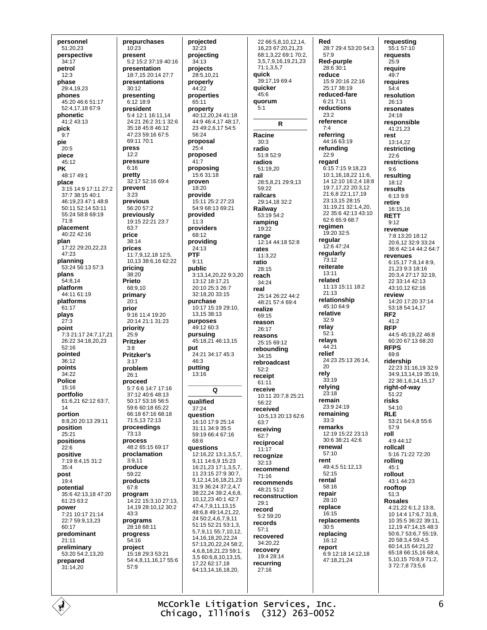personnel 51:20,23 perspective  $34.17$ petrol  $12.3$ phase 29:4,19,23 phones 45:20 46:6 51:17 52:4 17 18 67:9 phonetic 41:2 43:13 pick  $9.7$ pie  $20.5$ piece 45:12 **PK** 48:17 49:1 place 3:15 14:9 17:11 27:2 37:7 38:15 40:1 46:19,23 47:1 48:8 50:11 52:14 53:11 55:24 58:8 69:19 71:8 placement  $40.2242.16$ plan 17:22 29:20,22,23 47:23 planning  $53.2456.1357.3$ plans 54:8.14 platform 44:11 61:19 platforms  $61.17$ plays  $27:3$ point 7:3 21:17 24:7.17.21 26.22 34.18 20 23  $52:16$ pointed  $36.12$ points 34:22 **Police**  $15.16$ portfolio 61:6,21 62:12 63:7,  $14$ portion 8.8.20.20:13.29:11 position  $25.21$ positions  $22:6$ positive 7:19 8:4,15 31:2  $35.4$ post  $19:4$ potential 35:6 42:13.18 47:20  $61.2363.2$ power 7:21 10:17 21:14 22:7 59:9,13,23 60:17 predominant  $21:11$ preliminary 53:20 54:2,13,20 prepared 31:14,20

prepurchases  $10:23$ present 5:2 15:2 37:19 40:16 nresentation 18:7.15 20:14 27:7 presentations 30:12 presentina  $6.1218.9$ president 5:4 12:1 16:11,14 24:21 26:2 31:1 32:6 35:18 45:8 46:12 47:23 59:16 67:5 69:11 70:1 press  $12.2$ pressure  $6:16$ pretty 32:17 52:16 69:4 prevent  $3:23$ previous 56:20 57:2 previously 19:15 22:21 23:7  $63.7$ price 38:14 prices 11:7,9,12,18 12:5, 10.13 38:6.16 62:22 pricing 38:20 Prieto 68:9,10 primary  $20:1$ prior 9:16 11:4 19:20 20:14 21:1 31:23 priority  $25:9$ **Pritzker**  $3:8$ **Pritzker's**  $3.17$ problem  $26.1$ proceed 5:7 6:6 14:7 17:16 37:12 40:6 48:13 50:17 53:16 56:5 59:6 60:18 65:22 66:18 67:16 68:18 71:5,13 72:13 proceedings  $73.13$ process 48:2 65:15 69:17 proclamation  $3:9.11$ produce  $59.22$ products  $67:8$ program 14:22 15:3 10 27:13 14,19 28:10,12 30:2  $43.3$ programs 28:18 68:11 progress  $54:16$ project 15:18 29:3 53:21 54:4,8,11,16,17 55:6  $57:9$ 

projected projecting quick 28:5.10.21 properties  $45:6$  $5.1$ 40:12,20,24 41:18 44:9 46:4,17 48:17, 23 49:2,6,17 54:5 Racine  $30.3$ radio proposed radios proposing 15:6 31:18 rail 15:11 25:2 27:23 54:9 68:13 69:21 providers range providing rates ratio 3:13,14,20,22 9:3,20 reach 13:12 18:17,21 20:10 25:3 26:7 real 32:18,20 33:15 purchase 10:17 15:19 29:10. realize 13 15 38 13 purposes reason 49:12 60:3 pursuing 45:18,21 46:13,15 24:21 34:17 45:3  $52:2$ receipt Q 16:10 17:9 25:14  $63:7$ 31:11 34:9 35:5 59:19 66:4 67:16  $62.7$ questions  $11:17$ 12:16 22 13:1 3 5 7 9 11 14 6 9 15 23 16:21.23 17:1.3.5.7. 11 23:15 27:9 30:7 9.12.14.16.18.21.23 31:9 36:24 37:2.4.7 38:22,24 39:2,4,6,8, 10.12.23 40:1 42:7  $29.1$ 47:4,7,9,11,13,15 record 48:6,8 49:14,21,22, 24 50:2,4,6,7,9,11 51:15 52:21 53:1,3,  $57.1$ 5.7.9.11 55:7.10.12. 14, 16, 18, 20, 22, 24 57:13,20,22,24 58:2, 4.6.8.18.21.23.59:1. 3.5 60:6.8.10.13.15.  $17.22621718$ 64:13.14.16.18.20.

 $32:23$ 

 $34.13$ 

projects

properly

44:22

 $65.11$ 

 $56.24$ 

 $25.4$ 

 $41:7$ 

proven

 $18.20$ 

provide

provided

 $11:3$ 

 $68.12$ 

24:13

 $Q·11$ 

public

**PTF** 

put

 $46.3$ 

putting

 $13:16$ 

qualified

question

 $37.24$ 

68:6

proposal

property

22 66:5.8.10.12.14. 16,23 67:20,21,23 68:1.3.22 69:1 70:2. 3,5,7,9,16,19,21,23 71:1,3,5,7 39:17 19 69:4 quicker quorum  $\mathbf R$ 51:8 52:9 51:19.20 28:5,8,21 29:9,13  $59.22$ railcars 29:14,18 32:2 Railway 53:19 54:2 ramping 19:22 12:14 44:18 52:8 11:3,22 28:15  $34.24$ 25:14 26:22 44:2 48:21 57:4 69:4 69:15  $26.17$ reasons 25:15 69:12 reboundina  $34.15$ rebroadcast 61:11 receive 10:11 20:7.8 25:21  $56.22$ received 10:5,13 20:13 62:6 receiving reciprocal recognize  $32.13$ recommend  $71.16$ recommends 48:21 51:2 reconstruction 5:2 59:20 records recovered 34:20.22 recovery 19:4 28:14 recurring  $27:16$ 

Red 28:7 29:4 53:20 54:3 57:9 Red-purple 28:6 30:1 reduce 15:9 20:16 22:16 25:17 38:19 reduced-fare 6:21 7:11 reductions  $23:2$ reference  $7:4$ referrina  $44:1663:19$ refunding  $22:9$ regard 6:15 7:15 9:18,23 10:1,16,18,22 11:6, 14 12:10 16:2,4 18:8 19:7.17.22 20:3.12 21:6.8 22:1.17.19 23:13 15 28:15 31:19.21 32:1.4.20. 22 35 6 42 13 43 10 62:6 65:9 68:7 regimen 19:20 32:5 reqular 12:6 47:24 regularly  $73:12$ reiterate 13:11 related 11:13 15:11 18:2  $21.13$ relationship 45:10 64:9 relative  $32.9$ relay  $52 - 1$ relays 44:21 relief 24:23 25:13 26:14  $20$ rely  $33:19$ relying  $23.18$ remain  $23.924.19$ remaining  $33.3$ remarks 12:19 15:22 23:13  $30.638.2142.6$ renewal  $57:10$ rent 49:4.5 51:12.13  $52.15$ rental  $58.16$ repair 28:10 replace  $16:15$ replacements  $30:5$ replacing 16:12 report 6:9 12:18 14:12.18 47:18,21,24

requesting 55:1 57:10 reauests  $25.9$ require  $49.7$ requires  $54:4$ resolution  $26:13$ resonates 24:18 responsible 41:21.23 rest 13:14,22 restricting  $22:6$ restrictions  $9:6$ resulting 18:12 results 6:13 9:8 retire 16:15 16 **RETT**  $9:12$ revenue 7'8 13:20 18:12 20:6.12 32:9 33:24 36:6 42:14 44:2 64:7 revenues 6:15,17 7:8,14 8:9, 21,23 9:3 18:16 20:3,4 27:17 32:19, 22 33:14 42:13 43:10,12 62:16 review 14:20 17:20 37:14 53:18 54:14.17  $RF2$  $41:2$ **RFP** 44:5 45:19.22 46:8  $60.2067.1368.20$ **RFPS**  $69.8$ ridership 22:23 31:16,19 32:9 34:9,13,14,19 35:19, 22 36:1,6,14,15,17 right-of-way  $51.22$ risks  $54:10$ **RIF**  $53.21$   $54.4$  8  $55.6$  $57.9$ roll  $4.944.12$ rollcall 5:16 71:22 72:20 rollina  $45.1$ rollout 43:1 44:23 rooftop  $51.3$ **Rosales** 4:21,22 6:1,2 13:8, 10 14:4 17:6,7 31:8, 10 35:5 36:22 39:11, 12,19 47:14,15 48:3 50:6,7 53:6,7 55:19, 20 58:3,4 59:4,5 60:14,15 64:21,22 65:18 66:15.16 68:4. 5,10,15 70:8,9 71:2, 3 72:7,8 73:5,6

## McCorkle Litigation Services, Inc. Chicago, Illinois (312) 263-0052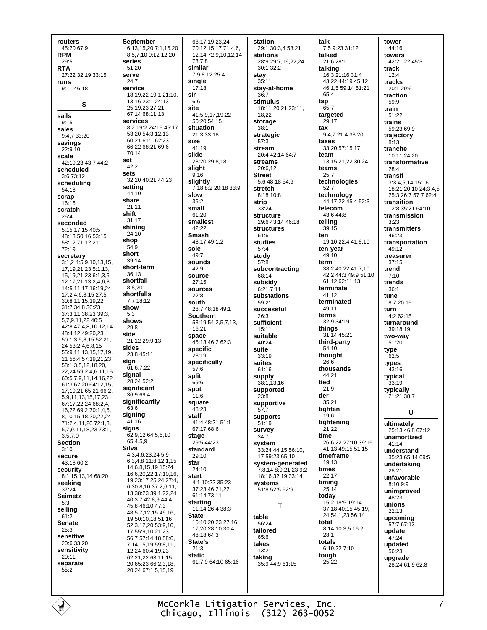routers 45:20 67:9 **RPM**  $29.5$ **RTA** 27:22 32:19 33:15 runs 9:11 46:18 S sails  $9.15$ sales 9:4,7 33:20 savings  $22:9,10$ scale  $42:19.2343:744:2$ scheduled 3:6 73:12 scheduling 54:18 scrap 16:16 scratch  $26:4$ seconded  $5:15$  17:15 40:5 48:13 50:16 53:15 58.12 71.12 21  $72.19$ secretary  $3:1,2$  4:5,9,10,13,15, 17, 19, 21, 23 5: 1, 13, 15, 19, 21, 23 6: 1, 3, 5 12:17,21 13:2,4,6,8 14:5.11.17 16:19.24 17:2,4,6,8,15 27:5 30.8 11 15 19 22  $31.734.836.23$ 37:3,11 38:23 39:3, 5791122405 42:8 47:4.8.10.12.14 48:4,12 49:20,23 50:1,3,5,8,15 52:21, 24 53:2,4,6,8,15 55:9,11,13,15,17,19, 21 56:4 57:19,21,23 58:1,3,5,12,18,20, 22,24 59:2,4,6,11,15 60:5,7,9,11,14,16,22 61:3 62:20 64:12,15, 17, 19, 21 65: 21 66: 2, 5,9,11,13,15,17,23 67:17,22,24 68:2,4, 16 22 69:2 70:1 4 6 8.10.15.18.20.22.24 71:2,4,11,20 72:1,3, 5.7.9.11.18.23 73:1. 3579 **Section**  $3:10$ secure 43:18 60:2 security  $8:1$  15:13.14 68:20 seeking 37:24 **Seimetz**  $5.3$ selling  $61:2$ **Senate**  $25.3$ sensitive 20:6 33:20 sensitivity  $20:11$ separate  $55.2$ 

**September** 6:13,15,20 7:1,15,20 8:5,7,10 9:12 12:20 series  $51:20$ serve  $24.7$ service 18:19,22 19:1 21:10. 13, 16 23:1 24:13 25:19.23 27:21 67:14 68:11 13 services 8.2 19.2 24.15 45.17 53:20 54:3,12,13 60:21 61:1 62:23 66:22 68:21 69:6  $70.14$ set  $42.2$ sets 32:20 40:21 44:23 setting 44:10 share  $21:11$ shift 31:17 shining 24:10 shop 54:9 short 39:14 short-term  $36:13$ shortfall  $8:8,20$ shortfalls 7:7 18:12 show  $5.3$ shows  $29:8$ side  $21:1229:9.13$ sides 23:8 45:11 sign  $61:6,7,22$ signal  $28.2452.2$ significant 36:9 69:4 significantly 63:6 signing  $41:16$ signs 62:9,12 64:5,6,10 65:4,5,9 **Silva** 4:3.4.6.23.24 5:9 6:3 4 8 11:8 12:1 15 14 6 8 15 19 15 24 16:6,20,22 17:10,16, 19 23:17 25:24 27:4, 6 30:8,10 37:2,6,11, 13 38:23 39:1,22,24 40:3,7 42:8,9 44:4 45:8 46:10 47:3 48:5,7,12,15 49:16, 19 50:10,18 51:16 52:3,12,20 53:9,10, 17 55:9.10.21.23 56:7 57:14,18 58:6, 7.14.15.19 59:8.11. 12 24 60:4 19 23 62:21,22 63:11,15, 20 65:23 66:2,3,18. 20,24 67:1,5,15,19

68:17.19.23.24 70:12,15,17 71:4,6, 12, 14 72: 9, 10, 12, 14 73:7.8 similar  $7.98.12254$ single  $17:18$ sir  $6.6$ site 41:5,9,17,19,22  $50.2054.15$ situation  $21:3.33:18$ size  $41:19$ slide 28:20 29:8,18 slight  $9:16$ slightly 7:18 8:2 20:18 33:9 slow  $35.2$ small  $61.20$ smallest  $42.22$ **Smash** 48:17 49:1,2 sole  $49.7$ sounds 42:9 SOUICE  $27:15$ sources  $22.8$ south 28:7 48:18 49:1 **Southern** 53:19 54:2,5,7,13, 16.21 space 45:13 46:2 62:3 specific  $23:19$ specifically  $57.6$ split  $69.6$ spot  $11.6$ square  $48.23$ staff 41:4 48:21 51:1 67:17 68:6 stage  $29.544.23$ standard  $29:10$ star  $24.10$ start 4:1 10:22 35:23 37:23 46:21,22 61:14 73:11 starting 11:14 26:4 38:3 **State** 15:10 20:23 27:16, 17,20 28:10 30:4 48:18 64:3 State's  $21:3$ static 61:7,9 64:10 65:16

station 29:1 30:3,4 53:21 **stations** 28:9 29:7 19 22 24 30:1 32:2 stay  $35.11$ stay-at-home  $36.7$ stimulus 18:11 20:21 23:11 18,22 storage  $38:1$ strategic  $57:3$ stream 20:4 42:14 64:7 **streams** 20:6,12 **Street**  $5.648.1854.6$ stretch 8:18 10:8 strip  $33.24$ structure 29:6 43:14 46:18 structures  $61.6$ studies  $57:4$ study  $57:8$ subcontracting 68:14 subsidy 6:21 7:11 substations 59:21 successful  $26:3$ sufficient  $15:11$ suitable 40:24 suite  $33.19$ suites 61:16 supply 38:1.13.16 supported  $23:8$ supportive  $57 - 7$ supports  $51:19$ survey  $34:7$ system 33:24 44:15 56:10, 17 59:23 65:10 system-generated 7:8,14 8:9,21,23 9:2 18:16 32:19 33:14 systems 51:8 52:5 62:9 т table  $56.24$ tailored 65:6 takes  $13:21$ taking 35:9 44:9 61:15

talk 7:5 9:23 31:12 talked  $21.628.11$ talking 16:3 21:16 31:4 43.22 44.19 45.12 46:1,5 59:14 61:21  $65.4$ tap  $65:7$ targeted  $29.17$ tax  $9.4721.433.20$ taxes 33:20 57:15.17 team 13:15,21,22 30:24 teams  $25.7$ technologies  $52.7$ technology<br>44:17,22 45:4 52:3 telecom  $43.644.8$ telling  $39:15$ ten 19:10 22:4 41:8,10 ten-year  $49.10$ term 38:2 40:22 41:7,10 42:2 44:3 49:9 51:10 61:12 62:11,13 terminate 41:12 terminated 49:11 terms 32:9 34:19 things  $31.1445.21$ third-party  $54:10$ thought  $26.6$ thousands 44:21 tied  $21.9$ tier  $35.21$ tighten  $19:6$ tightening 21:22 time 26:6.22.27:10.39:15 41:13 49:15 51:15 timeframe  $19.13$ times  $22.17$ timing  $25:14$ today 15:2 18:5 19:14 37:18 40:15 45:19, 24 54:1.23 56:14 total 8:14 10:3,5 16:2  $28.1$ totals 6:19,22 7:10 tough  $25.22$ 

tower 44:16 towers 42:21.22 45:3 track  $12.4$ tracks 20:1 29:6 traction  $59.9$ train 51:22 trains 59:23 69:9 trajectory  $8:13$ tranche 10:11 24:20 transformative  $28:4$ transit 3:3,4,5,14 15:16 18:21 20:10 24:3,4,5 25:3 26:7 57:7 62:4 transition 12:8 35:21 64:10 transmission  $3:23$ transmitters  $46.23$ transportation  $49.12$ treasurer  $37:15$ trend  $7:10$ trends  $36.1$ tune 8:7 20:15 turn  $4.262.15$ turnaround 39:18.19 two-way 51:20 type  $62.5$ types 43:16 typical  $33:19$ typically 21:21 38:7 ū ultimately 25:13 46:8 67:12 unamortized  $41:14$ **understand** 35:23 65:14 69:5 undertaking 28:21 unfavorable  $8.1099$ unimproved  $48:23$ unions  $22.13$ upcoming 57:7 67:13 update .<br>47.24 updated  $56.23$ upgrade 28:24 61:9 62:8